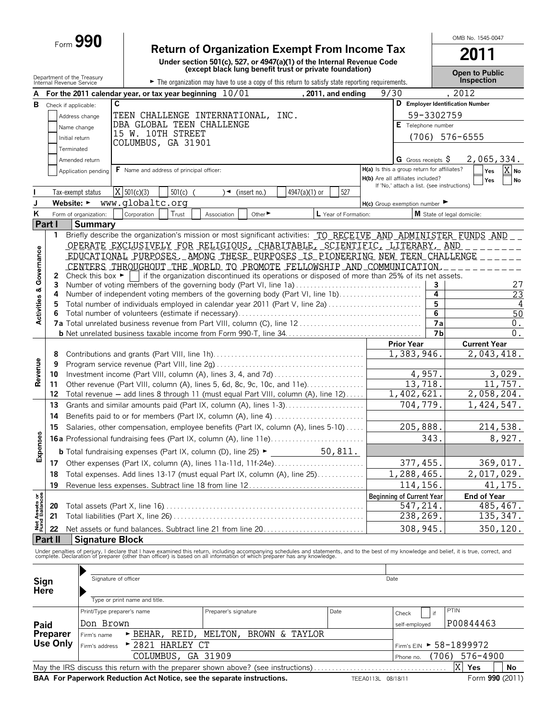Form **990 Return of Organization Exempt From Income Tax**

| <b>Return of Organization Exempt From Income Tax</b> |
|------------------------------------------------------|
|------------------------------------------------------|

**Under section 501(c), 527, or 4947(a)(1) of the Internal Revenue Code (except black lung benefit trust or private foundation)**

**2011 Open to Public**

OMB No. 1545-0047

|                                | Department of the Treasury<br>Internal Revenue Service |                                      |                                                                                                                                                                                                                                   | The organization may have to use a copy of this return to satisfy state reporting requirements. |                |                      |                    |                                             |                      | <b>Open to Public</b><br><b>Inspection</b> |                 |
|--------------------------------|--------------------------------------------------------|--------------------------------------|-----------------------------------------------------------------------------------------------------------------------------------------------------------------------------------------------------------------------------------|-------------------------------------------------------------------------------------------------|----------------|----------------------|--------------------|---------------------------------------------|----------------------|--------------------------------------------|-----------------|
| A                              |                                                        |                                      | For the 2011 calendar year, or tax year beginning 10/01                                                                                                                                                                           |                                                                                                 |                | , 2011, and ending   | 9/30               |                                             |                      | , 2012                                     |                 |
| в                              | Check if applicable:                                   |                                      | C                                                                                                                                                                                                                                 |                                                                                                 |                |                      |                    |                                             |                      | D Employer Identification Number           |                 |
|                                |                                                        | Address change                       | TEEN CHALLENGE INTERNATIONAL, INC.                                                                                                                                                                                                |                                                                                                 |                |                      |                    |                                             | 59-3302759           |                                            |                 |
|                                |                                                        | Name change                          | DBA GLOBAL TEEN CHALLENGE                                                                                                                                                                                                         |                                                                                                 |                |                      |                    | E Telephone number                          |                      |                                            |                 |
|                                | Initial return                                         |                                      | 15 W. 10TH STREET                                                                                                                                                                                                                 |                                                                                                 |                |                      |                    |                                             |                      | $(706)$ 576-6555                           |                 |
|                                | Terminated                                             |                                      | COLUMBUS, GA 31901                                                                                                                                                                                                                |                                                                                                 |                |                      |                    |                                             |                      |                                            |                 |
|                                |                                                        | Amended return                       |                                                                                                                                                                                                                                   |                                                                                                 |                |                      |                    | G Gross receipts $$$                        |                      | 2,065,334.                                 |                 |
|                                |                                                        | Application pending                  | $\mathsf F$ Name and address of principal officer:                                                                                                                                                                                |                                                                                                 |                |                      |                    | H(a) Is this a group return for affiliates? |                      | Yes                                        | X No            |
|                                |                                                        |                                      |                                                                                                                                                                                                                                   |                                                                                                 |                |                      |                    | H(b) Are all affiliates included?           |                      | Yes                                        | No              |
|                                |                                                        | Tax-exempt status                    | $\overline{X}$ 501(c)(3)<br>$501(c)$ (                                                                                                                                                                                            | $\rightarrow$ (insert no.)                                                                      | 4947(a)(1) or  | 527                  |                    | If 'No,' attach a list. (see instructions)  |                      |                                            |                 |
| J                              | Website: $\blacktriangleright$                         |                                      | www.globaltc.org                                                                                                                                                                                                                  |                                                                                                 |                |                      |                    |                                             |                      |                                            |                 |
| Κ                              |                                                        | Form of organization:                | Corporation<br>Trust                                                                                                                                                                                                              | Other <sup>&gt;</sup>                                                                           |                | L Year of Formation: |                    | $H(c)$ Group exemption number               |                      | M State of legal domicile:                 |                 |
|                                | Part I                                                 | <b>Summary</b>                       |                                                                                                                                                                                                                                   | Association                                                                                     |                |                      |                    |                                             |                      |                                            |                 |
|                                | 1.                                                     |                                      | Briefly describe the organization's mission or most significant activities: TO RECEIVE AND ADMINISTER FUNDS AND                                                                                                                   |                                                                                                 |                |                      |                    |                                             |                      |                                            |                 |
|                                |                                                        |                                      | OPERATE EXCLUSIVELY FOR RELIGIOUS, CHARITABLE, SCIENTIFIC, LITERARY, AND                                                                                                                                                          |                                                                                                 |                |                      |                    |                                             |                      |                                            |                 |
|                                |                                                        |                                      | EDUCATIONAL PURPOSES _ AMONG THESE_PURPOSES _IS_PIONEERING NEW TEEN CHALLENGE                                                                                                                                                     |                                                                                                 |                |                      |                    |                                             |                      |                                            |                 |
|                                |                                                        |                                      | CENTERS THROUGHOUT THE WORLD TO PROMOTE FELLOWSHIP AND COMMUNICATION                                                                                                                                                              |                                                                                                 |                |                      |                    |                                             |                      |                                            |                 |
|                                | 2                                                      | Check this box $\blacktriangleright$ |                                                                                                                                                                                                                                   | if the organization discontinued its operations or disposed of more than 25% of its net assets. |                |                      |                    |                                             |                      |                                            |                 |
|                                | 3                                                      |                                      | Number of voting members of the governing body (Part VI, line 1a)                                                                                                                                                                 |                                                                                                 |                |                      |                    |                                             | 3                    |                                            | 27              |
|                                | 4                                                      |                                      | Number of independent voting members of the governing body (Part VI, line 1b)                                                                                                                                                     |                                                                                                 |                |                      |                    |                                             | 4                    |                                            | 23              |
|                                | 5                                                      |                                      | Total number of individuals employed in calendar year 2011 (Part V, line 2a)                                                                                                                                                      |                                                                                                 |                |                      |                    |                                             | 5                    |                                            | 4               |
| Activities & Governance        | 6                                                      |                                      |                                                                                                                                                                                                                                   |                                                                                                 |                |                      |                    |                                             | 6                    |                                            | 50              |
|                                |                                                        |                                      |                                                                                                                                                                                                                                   |                                                                                                 |                |                      |                    |                                             | 7a<br>7 <sub>b</sub> |                                            | $0$ .<br>$0$ .  |
|                                |                                                        |                                      |                                                                                                                                                                                                                                   |                                                                                                 |                |                      |                    | <b>Prior Year</b>                           |                      | <b>Current Year</b>                        |                 |
|                                | 8                                                      |                                      |                                                                                                                                                                                                                                   |                                                                                                 |                |                      |                    | 1,383,946.                                  |                      | 2,043,418.                                 |                 |
|                                | 9                                                      |                                      |                                                                                                                                                                                                                                   |                                                                                                 |                |                      |                    |                                             |                      |                                            |                 |
| Revenue                        | 10                                                     |                                      |                                                                                                                                                                                                                                   |                                                                                                 |                |                      |                    | 4,957.                                      |                      |                                            | 3,029.          |
|                                | 11                                                     |                                      | Other revenue (Part VIII, column (A), lines 5, 6d, 8c, 9c, 10c, and 11e)                                                                                                                                                          |                                                                                                 |                |                      |                    | 13,718.                                     |                      |                                            | 11,757.         |
|                                | 12                                                     |                                      | Total revenue - add lines 8 through 11 (must equal Part VIII, column (A), line 12)                                                                                                                                                |                                                                                                 |                |                      |                    | 1,402,621.                                  |                      | 2,058,204.                                 |                 |
|                                | 13                                                     |                                      | Grants and similar amounts paid (Part IX, column (A), lines 1-3)                                                                                                                                                                  |                                                                                                 |                |                      |                    | 704,779.                                    |                      | 1,424,547.                                 |                 |
|                                | 14                                                     |                                      | Benefits paid to or for members (Part IX, column (A), line 4)                                                                                                                                                                     |                                                                                                 |                |                      |                    |                                             |                      |                                            |                 |
|                                | 15                                                     |                                      | Salaries, other compensation, employee benefits (Part IX, column (A), lines 5-10)                                                                                                                                                 |                                                                                                 |                |                      |                    | 205,888.                                    |                      |                                            | 214,538.        |
| Expenses                       |                                                        |                                      | <b>16a</b> Professional fundraising fees (Part IX, column (A), line 11e)                                                                                                                                                          |                                                                                                 |                |                      |                    |                                             | 343.                 |                                            | 8,927.          |
|                                |                                                        |                                      | <b>b</b> Total fundraising expenses (Part IX, column (D), line 25) $\blacktriangleright$                                                                                                                                          |                                                                                                 |                | 50,811.              |                    |                                             |                      |                                            |                 |
|                                |                                                        |                                      | 17 Other expenses (Part IX, column (A), lines 11a-11d, 11f-24e)                                                                                                                                                                   |                                                                                                 |                |                      |                    | 377, 455.                                   |                      |                                            | 369,017.        |
|                                |                                                        |                                      | 18 Total expenses. Add lines 13-17 (must equal Part IX, column (A), line 25)                                                                                                                                                      |                                                                                                 |                |                      |                    | 1,288,465.                                  |                      | 2,017,029.                                 |                 |
|                                | 19                                                     |                                      | Revenue less expenses. Subtract line 18 from line 12                                                                                                                                                                              |                                                                                                 |                |                      |                    | 114,156.                                    |                      |                                            | 41, 175.        |
|                                |                                                        |                                      |                                                                                                                                                                                                                                   |                                                                                                 |                |                      |                    | <b>Beginning of Current Year</b>            |                      | <b>End of Year</b>                         |                 |
| Net Assets or<br>Fund Balances | 20                                                     |                                      |                                                                                                                                                                                                                                   |                                                                                                 |                |                      |                    | 547,214                                     |                      |                                            | 485, 467.       |
|                                | 21                                                     |                                      |                                                                                                                                                                                                                                   |                                                                                                 |                |                      |                    | 238,269.                                    |                      |                                            | 135,347.        |
|                                | 22                                                     |                                      | Net assets or fund balances. Subtract line 21 from line 20                                                                                                                                                                        |                                                                                                 |                |                      |                    | 308,945                                     |                      |                                            | 350,120.        |
|                                | Part II                                                | <b>Signature Block</b>               |                                                                                                                                                                                                                                   |                                                                                                 |                |                      |                    |                                             |                      |                                            |                 |
|                                |                                                        |                                      |                                                                                                                                                                                                                                   |                                                                                                 |                |                      |                    |                                             |                      |                                            |                 |
|                                |                                                        |                                      | Under penalties of perjury, I declare that I have examined this return, including accompanying schedules and statements, and to the best of my knowledge and belief, it is true, correct, and<br>complete. Declaration of prepare |                                                                                                 |                |                      |                    |                                             |                      |                                            |                 |
|                                |                                                        |                                      |                                                                                                                                                                                                                                   |                                                                                                 |                |                      |                    |                                             |                      |                                            |                 |
| Sign                           |                                                        |                                      | Signature of officer                                                                                                                                                                                                              |                                                                                                 |                |                      | Date               |                                             |                      |                                            |                 |
| Here                           |                                                        |                                      |                                                                                                                                                                                                                                   |                                                                                                 |                |                      |                    |                                             |                      |                                            |                 |
|                                |                                                        |                                      | Type or print name and title.                                                                                                                                                                                                     |                                                                                                 |                |                      |                    |                                             |                      |                                            |                 |
|                                |                                                        |                                      | Print/Type preparer's name                                                                                                                                                                                                        | Preparer's signature                                                                            |                | Date                 |                    | Check                                       | if                   | PTIN                                       |                 |
| Paid                           |                                                        | Don Brown                            |                                                                                                                                                                                                                                   |                                                                                                 |                |                      |                    | self-employed                               |                      | P00844463                                  |                 |
|                                | Preparer                                               | Firm's name                          | > BEHAR, REID,                                                                                                                                                                                                                    | MELTON,                                                                                         | BROWN & TAYLOR |                      |                    |                                             |                      |                                            |                 |
|                                | <b>Use Only</b>                                        | Firm's address                       | ▶ 2821 HARLEY CT                                                                                                                                                                                                                  |                                                                                                 |                |                      |                    |                                             |                      | Firm's EIN ► 58-1899972                    |                 |
|                                |                                                        |                                      | COLUMBUS, GA 31909                                                                                                                                                                                                                |                                                                                                 |                |                      |                    | Phone no.                                   | (706)                | 576-4900                                   |                 |
|                                |                                                        |                                      | May the IRS discuss this return with the preparer shown above? (see instructions)                                                                                                                                                 |                                                                                                 |                |                      |                    |                                             |                      | $\mathbf{X}$<br>Yes                        | No              |
|                                |                                                        |                                      | BAA For Paperwork Reduction Act Notice, see the separate instructions.                                                                                                                                                            |                                                                                                 |                |                      | TEEA0113L 08/18/11 |                                             |                      |                                            | Form 990 (2011) |
|                                |                                                        |                                      |                                                                                                                                                                                                                                   |                                                                                                 |                |                      |                    |                                             |                      |                                            |                 |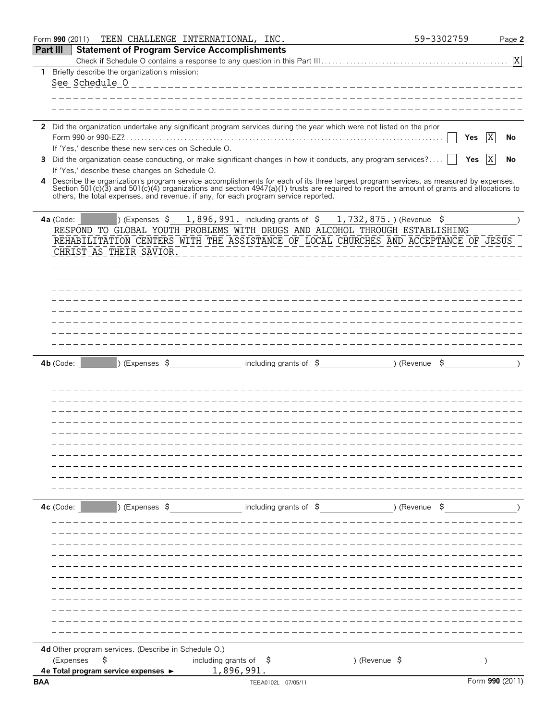| Form 990 (2011)                                                  | TEEN CHALLENGE INTERNATIONAL, INC.                                                                                                                                                                                               | 59-3302759    | Page 2          |
|------------------------------------------------------------------|----------------------------------------------------------------------------------------------------------------------------------------------------------------------------------------------------------------------------------|---------------|-----------------|
| <b>Part III</b>                                                  | <b>Statement of Program Service Accomplishments</b>                                                                                                                                                                              |               |                 |
|                                                                  |                                                                                                                                                                                                                                  |               | $\overline{X}$  |
| 1 Briefly describe the organization's mission:<br>See Schedule 0 |                                                                                                                                                                                                                                  |               |                 |
|                                                                  |                                                                                                                                                                                                                                  |               |                 |
|                                                                  |                                                                                                                                                                                                                                  |               |                 |
|                                                                  |                                                                                                                                                                                                                                  |               |                 |
|                                                                  | 2 Did the organization undertake any significant program services during the year which were not listed on the prior                                                                                                             |               |                 |
|                                                                  |                                                                                                                                                                                                                                  | Yes           | IX<br>No        |
| If 'Yes,' describe these new services on Schedule O.<br>3        | Did the organization cease conducting, or make significant changes in how it conducts, any program services?                                                                                                                     | Yes           | ΙX              |
| If 'Yes,' describe these changes on Schedule O.                  |                                                                                                                                                                                                                                  |               | No              |
| 4                                                                | Describe the organization's program service accomplishments for each of its three largest program services, as measured by expenses.<br>Section 501(c)(3) and 501(c)(4) organizations and section 4947(a)(1) trusts are required |               |                 |
|                                                                  | others, the total expenses, and revenue, if any, for each program service reported.                                                                                                                                              |               |                 |
| $\triangleright$ (Expenses $\uparrow$<br>$4a$ (Code:             | 1,896,991. including grants of $\,$ \$ 1,732,875.) (Revenue $\,$ \$                                                                                                                                                              |               |                 |
|                                                                  | RESPOND TO GLOBAL YOUTH PROBLEMS WITH DRUGS AND ALCOHOL THROUGH ESTABLISHING                                                                                                                                                     |               |                 |
| CHRIST AS THEIR SAVIOR.                                          | REHABILITATION CENTERS WITH THE ASSISTANCE OF LOCAL CHURCHES AND ACCEPTANCE OF JESUS                                                                                                                                             |               |                 |
|                                                                  |                                                                                                                                                                                                                                  |               |                 |
|                                                                  |                                                                                                                                                                                                                                  |               |                 |
|                                                                  |                                                                                                                                                                                                                                  |               |                 |
|                                                                  |                                                                                                                                                                                                                                  |               |                 |
|                                                                  |                                                                                                                                                                                                                                  |               |                 |
|                                                                  |                                                                                                                                                                                                                                  |               |                 |
|                                                                  |                                                                                                                                                                                                                                  |               |                 |
|                                                                  |                                                                                                                                                                                                                                  |               |                 |
| $4b$ (Code:                                                      | ) (Expenses \$ including grants of \$ ) (Revenue \$ )                                                                                                                                                                            |               |                 |
|                                                                  |                                                                                                                                                                                                                                  |               |                 |
|                                                                  |                                                                                                                                                                                                                                  |               |                 |
|                                                                  |                                                                                                                                                                                                                                  |               |                 |
|                                                                  |                                                                                                                                                                                                                                  |               |                 |
|                                                                  |                                                                                                                                                                                                                                  |               |                 |
|                                                                  |                                                                                                                                                                                                                                  |               |                 |
|                                                                  |                                                                                                                                                                                                                                  |               |                 |
|                                                                  |                                                                                                                                                                                                                                  |               |                 |
|                                                                  |                                                                                                                                                                                                                                  |               |                 |
|                                                                  |                                                                                                                                                                                                                                  |               |                 |
|                                                                  |                                                                                                                                                                                                                                  |               |                 |
| $4c$ (Code:                                                      | ) (Expenses \$ including grants of \$ ) (Revenue \$                                                                                                                                                                              |               |                 |
|                                                                  |                                                                                                                                                                                                                                  |               |                 |
|                                                                  |                                                                                                                                                                                                                                  |               |                 |
|                                                                  |                                                                                                                                                                                                                                  |               |                 |
|                                                                  |                                                                                                                                                                                                                                  |               |                 |
|                                                                  |                                                                                                                                                                                                                                  |               |                 |
|                                                                  |                                                                                                                                                                                                                                  |               |                 |
|                                                                  |                                                                                                                                                                                                                                  |               |                 |
|                                                                  |                                                                                                                                                                                                                                  |               |                 |
|                                                                  |                                                                                                                                                                                                                                  |               |                 |
| 4d Other program services. (Describe in Schedule O.)             |                                                                                                                                                                                                                                  |               |                 |
| (Expenses<br>\$<br>4e Total program service expenses ►           | including grants of<br>-Ş<br>1,896,991.                                                                                                                                                                                          | ) (Revenue \$ |                 |
| <b>BAA</b>                                                       | TEEA0102L 07/05/11                                                                                                                                                                                                               |               | Form 990 (2011) |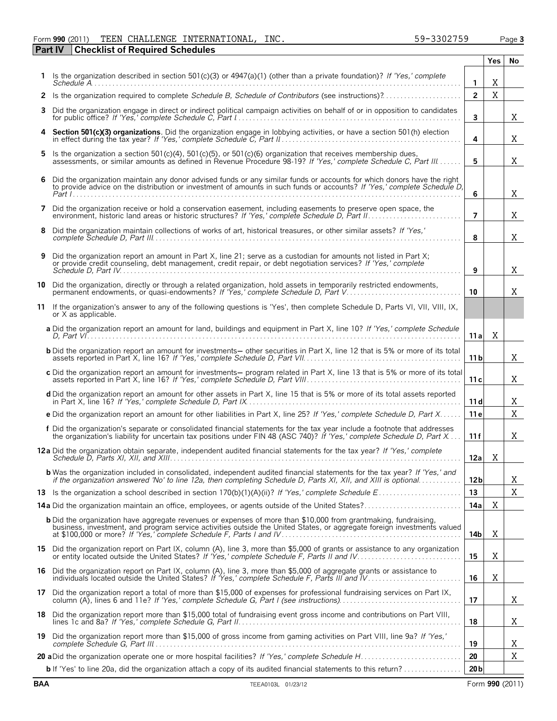#### Form **990** (2011) TEEN CHALLENGE INTERNATIONAL,INC. 59-3302759 Page **3** TEEN CHALLENGE INTERNATIONAL, INC. 59-3302759

**Part IV Checklist of Required Schedules**

|    |                                                                                                                                                                                                                                                     |                 | Yes | No. |
|----|-----------------------------------------------------------------------------------------------------------------------------------------------------------------------------------------------------------------------------------------------------|-----------------|-----|-----|
|    | 1 Is the organization described in section 501(c)(3) or $4947(a)(1)$ (other than a private foundation)? If 'Yes,' complete                                                                                                                          | 1               | X   |     |
|    | 2 Is the organization required to complete Schedule B, Schedule of Contributors (see instructions)?                                                                                                                                                 | $\overline{2}$  | X   |     |
| 3. | Did the organization engage in direct or indirect political campaign activities on behalf of or in opposition to candidates                                                                                                                         | 3               |     | X   |
|    | 4 Section 501(c)(3) organizations. Did the organization engage in lobbying activities, or have a section 501(h) election                                                                                                                            | 4               |     | Χ   |
| 5. | Is the organization a section $501(c)(4)$ , $501(c)(5)$ , or $501(c)(6)$ organization that receives membership dues,<br>assessments, or similar amounts as defined in Revenue Procedure 98-19? If 'Yes,' complete Schedule C, Part III              | 5               |     | X   |
| 6  | Did the organization maintain any donor advised funds or any similar funds or accounts for which donors have the right<br>to provide advice on the distribution or investment of amounts in such funds or accounts? If 'Yes,' complete Schedule D,  | 6               |     | X   |
| 7  | Did the organization receive or hold a conservation easement, including easements to preserve open space, the                                                                                                                                       | $\overline{7}$  |     | X   |
| 8  | Did the organization maintain collections of works of art, historical treasures, or other similar assets? If 'Yes,'                                                                                                                                 | 8               |     | X   |
| 9  | Did the organization report an amount in Part X, line 21; serve as a custodian for amounts not listed in Part X;<br>or provide credit counseling, debt management, credit repair, or debt negotiation services? If 'Yes,' complete                  | 9               |     | X   |
| 10 | Did the organization, directly or through a related organization, hold assets in temporarily restricted endowments,<br>permanent endowments, or quasi-endowments? If 'Yes,' complete Schedule D, Part V.                                            | 10              |     | X   |
|    | 11 If the organization's answer to any of the following questions is 'Yes', then complete Schedule D, Parts VI, VII, VIII, IX,<br>or X as applicable.                                                                                               |                 |     |     |
|    | a Did the organization report an amount for land, buildings and equipment in Part X, line 10? If 'Yes,' complete Schedule                                                                                                                           | 11 a            | Χ   |     |
|    | <b>b</b> Did the organization report an amount for investments— other securities in Part X, line 12 that is 5% or more of its total                                                                                                                 | 11 <sub>b</sub> |     | X   |
|    | c Did the organization report an amount for investments— program related in Part X, line 13 that is 5% or more of its total                                                                                                                         | 11 c            |     | X   |
|    | d Did the organization report an amount for other assets in Part X, line 15 that is 5% or more of its total assets reported                                                                                                                         | 11 d            |     | Χ   |
|    | e Did the organization report an amount for other liabilities in Part X, line 25? If 'Yes,' complete Schedule D, Part X                                                                                                                             | 11 e            |     | X   |
|    | f Did the organization's separate or consolidated financial statements for the tax year include a footnote that addresses<br>the organization's liability for uncertain tax positions under FIN 48 (ASC 740)? If 'Yes,' complete Schedule D, Part X | 11 f            |     | Χ   |
|    | 12a Did the organization obtain separate, independent audited financial statements for the tax year? If 'Yes,' complete                                                                                                                             | 12a             | Χ   |     |
|    | <b>b</b> Was the organization included in consolidated, independent audited financial statements for the tax year? If 'Yes,' and<br>if the organization answered 'No' to line 12a, then completing Schedule D, Parts XI, XII, and XIII is optional  | 12 <sub>b</sub> |     | Χ   |
|    |                                                                                                                                                                                                                                                     | 13<br>14a       | Χ   | X   |
|    | 14a Did the organization maintain an office, employees, or agents outside of the United States?                                                                                                                                                     |                 |     |     |
|    | <b>b</b> Did the organization have aggregate revenues or expenses of more than \$10,000 from grantmaking, fundraising,<br>business, investment, and program service activities outside the United States, or aggregate foreign investments valued   | 14b             | X   |     |
|    | 15 Did the organization report on Part IX, column (A), line 3, more than \$5,000 of grants or assistance to any organization                                                                                                                        | 15              | X   |     |
|    | 16 Did the organization report on Part IX, column (A), line 3, more than \$5,000 of aggregate grants or assistance to individuals located outside the United States? If 'Yes,' complete Schedule F, Parts III and IV                                | 16              | X   |     |
|    | 17 Did the organization report a total of more than \$15,000 of expenses for professional fundraising services on Part IX,                                                                                                                          | 17              |     | Χ   |
|    | 18 Did the organization report more than \$15,000 total of fundraising event gross income and contributions on Part VIII,                                                                                                                           | 18              |     | Χ   |
| 19 | Did the organization report more than \$15,000 of gross income from gaming activities on Part VIII, line 9a? If 'Yes,'                                                                                                                              | 19              |     | Χ   |
|    |                                                                                                                                                                                                                                                     | 20              |     | X   |
|    | <b>b</b> If 'Yes' to line 20a, did the organization attach a copy of its audited financial statements to this return?                                                                                                                               | 20 <sub>b</sub> |     |     |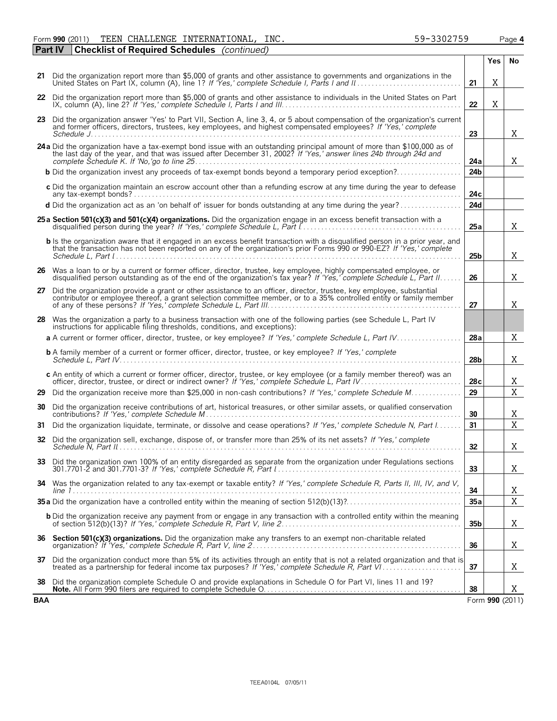Form **990** (2011) TEEN CHALLENGE INTERNATIONAL, INC. 59-3302759 Page **4** TEEN CHALLENGE INTERNATIONAL, INC. 59-3302759

|     | <b>Part IV</b> | <b>Checklist of Required Schedules</b> (continued)                                                                                                                                                                                                                                              |                 |                 |             |
|-----|----------------|-------------------------------------------------------------------------------------------------------------------------------------------------------------------------------------------------------------------------------------------------------------------------------------------------|-----------------|-----------------|-------------|
|     |                |                                                                                                                                                                                                                                                                                                 |                 | Yes             | No          |
|     |                | 21 Did the organization report more than \$5,000 of grants and other assistance to governments and organizations in the<br>United States on Part IX, column (A), line 1? If 'Yes,' complete Schedule I, Parts I and II.                                                                         | 21              | X               |             |
|     |                | 22 Did the organization report more than \$5,000 of grants and other assistance to individuals in the United States on Part<br>$IX$ , column (A), line 2? If 'Yes,' complete Schedule I, Parts I and III. $\ldots$ . $\ldots$ . $\ldots$ . $\ldots$ . $\ldots$ . $\ldots$ . $\ldots$ . $\ldots$ | 22              | X               |             |
| 23  |                | Did the organization answer 'Yes' to Part VII, Section A, line 3, 4, or 5 about compensation of the organization's current<br>and former officers, directors, trustees, key employees, and highest compensated employees? If 'Yes,' complete                                                    | 23              |                 | X           |
|     |                |                                                                                                                                                                                                                                                                                                 |                 |                 |             |
|     |                | 24 a Did the organization have a tax-exempt bond issue with an outstanding principal amount of more than \$100,000 as of the last day of the year, and that was issued after December 31, 2002? If 'Yes,' answer lines 24b thro                                                                 | 24a             |                 | X           |
|     |                | <b>b</b> Did the organization invest any proceeds of tax-exempt bonds beyond a temporary period exception?                                                                                                                                                                                      | 24 <sub>b</sub> |                 |             |
|     |                | c Did the organization maintain an escrow account other than a refunding escrow at any time during the year to defease                                                                                                                                                                          | 24c             |                 |             |
|     |                | d Did the organization act as an 'on behalf of' issuer for bonds outstanding at any time during the year?                                                                                                                                                                                       | 24d             |                 |             |
|     |                | 25 a Section 501(c)(3) and 501(c)(4) organizations. Did the organization engage in an excess benefit transaction with a<br>disqualified person during the year? If 'Yes,' complete Schedule L, Part I.                                                                                          | 25a             |                 | X           |
|     |                | <b>b</b> Is the organization aware that it engaged in an excess benefit transaction with a disqualified person in a prior year, and<br>that the transaction has not been reported on any of the organization's prior Forms 990 or 990-EZ? If 'Yes,' complete                                    | 25 <sub>b</sub> |                 | Χ           |
|     |                | 26 Was a loan to or by a current or former officer, director, trustee, key employee, highly compensated employee, or<br>disqualified person outstanding as of the end of the organization's tax year? If 'Yes,' complete Schedule L, Part II.                                                   | 26              |                 | X           |
| 27  |                | Did the organization provide a grant or other assistance to an officer, director, trustee, key employee, substantial<br>contributor or employee thereof, a grant selection committee member, or to a 35% controlled entity or family member                                                     | 27              |                 | X           |
|     |                | 28 Was the organization a party to a business transaction with one of the following parties (see Schedule L, Part IV<br>instructions for applicable filing thresholds, conditions, and exceptions):                                                                                             |                 |                 |             |
|     |                | a A current or former officer, director, trustee, or key employee? If 'Yes,' complete Schedule L, Part IV                                                                                                                                                                                       | 28a             |                 | X           |
|     |                | <b>b</b> A family member of a current or former officer, director, trustee, or key employee? If 'Yes,' complete                                                                                                                                                                                 | 28 <sub>b</sub> |                 | Χ           |
|     |                | c An entity of which a current or former officer, director, trustee, or key employee (or a family member thereof) was an                                                                                                                                                                        | 28c             |                 | Χ           |
| 29  |                | Did the organization receive more than \$25,000 in non-cash contributions? If 'Yes,' complete Schedule M                                                                                                                                                                                        | 29              |                 | $\mathbf X$ |
| 30  |                | Did the organization receive contributions of art, historical treasures, or other similar assets, or qualified conservation                                                                                                                                                                     | 30              |                 | X           |
| 31  |                | Did the organization liquidate, terminate, or dissolve and cease operations? If 'Yes,' complete Schedule N, Part I                                                                                                                                                                              | 31              |                 | $\mathbf X$ |
| 32  |                | Did the organization sell, exchange, dispose of, or transfer more than 25% of its net assets? If 'Yes,' complete                                                                                                                                                                                | 32              |                 | Χ           |
|     |                | 33 Did the organization own 100% of an entity disregarded as separate from the organization under Regulations sections                                                                                                                                                                          | 33              |                 | X           |
|     |                | 34 Was the organization related to any tax-exempt or taxable entity? If 'Yes,' complete Schedule R, Parts II, III, IV, and V,                                                                                                                                                                   | 34              |                 | Χ           |
|     |                |                                                                                                                                                                                                                                                                                                 | 35a             |                 | X           |
|     |                | <b>b</b> Did the organization receive any payment from or engage in any transaction with a controlled entity within the meaning                                                                                                                                                                 | 35 <sub>b</sub> |                 | Χ           |
|     |                | 36 Section 501(c)(3) organizations. Did the organization make any transfers to an exempt non-charitable related                                                                                                                                                                                 | 36              |                 | Χ           |
| 37  |                | Did the organization conduct more than 5% of its activities through an entity that is not a related organization and that is                                                                                                                                                                    | 37              |                 | Χ           |
| 38  |                | Did the organization complete Schedule O and provide explanations in Schedule O for Part VI, lines 11 and 19?                                                                                                                                                                                   | 38              |                 | Χ           |
| BAA |                |                                                                                                                                                                                                                                                                                                 |                 | Form 990 (2011) |             |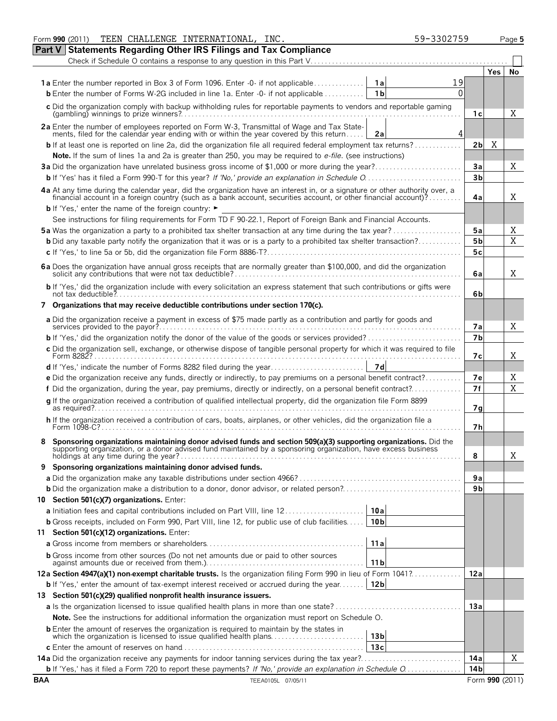|            | TEEN CHALLENGE INTERNATIONAL, INC.<br>Form 990 (2011)                                                                                                                                                                          |                 | 59-3302759 |                 |                 | Page 5 |
|------------|--------------------------------------------------------------------------------------------------------------------------------------------------------------------------------------------------------------------------------|-----------------|------------|-----------------|-----------------|--------|
|            | Part V Statements Regarding Other IRS Filings and Tax Compliance                                                                                                                                                               |                 |            |                 |                 |        |
|            |                                                                                                                                                                                                                                |                 |            |                 |                 |        |
|            |                                                                                                                                                                                                                                |                 |            |                 | Yes.            | No     |
|            | <b>1a</b> Enter the number reported in Box 3 of Form 1096. Enter -0- if not applicable                                                                                                                                         | 1al             | 19         |                 |                 |        |
|            | <b>b</b> Enter the number of Forms W-2G included in line 1a. Enter $-0$ - if not applicable $\dots\dots\dots\dots$                                                                                                             | 1 <sub>b</sub>  | 0          |                 |                 |        |
|            | c Did the organization comply with backup withholding rules for reportable payments to vendors and reportable gaming                                                                                                           |                 |            |                 |                 |        |
|            |                                                                                                                                                                                                                                |                 |            | 1с              |                 | Χ      |
|            | 2a Enter the number of employees reported on Form W-3, Transmittal of Wage and Tax Statements, filed for the calendar year ending with or within the year covered by this return                                               |                 |            |                 |                 |        |
|            |                                                                                                                                                                                                                                | 2a              | 4          |                 |                 |        |
|            | <b>b</b> If at least one is reported on line 2a, did the organization file all required federal employment tax returns?                                                                                                        |                 |            | 2 <sub>b</sub>  | Χ               |        |
|            | Note. If the sum of lines 1a and 2a is greater than 250, you may be required to e-file. (see instructions)                                                                                                                     |                 |            |                 |                 |        |
|            | 3a Did the organization have unrelated business gross income of \$1,000 or more during the year?                                                                                                                               |                 |            | Зa              |                 | Χ      |
|            |                                                                                                                                                                                                                                |                 |            | 3 <sub>b</sub>  |                 |        |
|            | 4a At any time during the calendar year, did the organization have an interest in, or a signature or other authority over, a financial account in a foreign country (such as a bank account, securities account, or other fina |                 |            |                 |                 |        |
|            |                                                                                                                                                                                                                                |                 |            | 4a              |                 | Χ      |
|            | <b>b</b> If 'Yes,' enter the name of the foreign country: ►                                                                                                                                                                    |                 |            |                 |                 |        |
|            | See instructions for filing requirements for Form TD F 90-22.1, Report of Foreign Bank and Financial Accounts.                                                                                                                 |                 |            |                 |                 |        |
|            | 5a Was the organization a party to a prohibited tax shelter transaction at any time during the tax year?                                                                                                                       |                 |            | 5a              |                 | Χ      |
|            | <b>b</b> Did any taxable party notify the organization that it was or is a party to a prohibited tax shelter transaction?                                                                                                      |                 |            | 5b              |                 | X      |
|            |                                                                                                                                                                                                                                |                 |            | 5c              |                 |        |
|            |                                                                                                                                                                                                                                |                 |            | 6a              |                 | Χ      |
|            | b If 'Yes,' did the organization include with every solicitation an express statement that such contributions or gifts were                                                                                                    |                 |            |                 |                 |        |
|            |                                                                                                                                                                                                                                |                 |            | 6b              |                 |        |
|            | 7 Organizations that may receive deductible contributions under section 170(c).                                                                                                                                                |                 |            |                 |                 |        |
|            | a Did the organization receive a payment in excess of \$75 made partly as a contribution and partly for goods and                                                                                                              |                 |            | 7а              |                 | Χ      |
|            | <b>b</b> If 'Yes,' did the organization notify the donor of the value of the goods or services provided?                                                                                                                       |                 |            | 7b              |                 |        |
|            | c Did the organization sell, exchange, or otherwise dispose of tangible personal property for which it was required to file                                                                                                    |                 |            |                 |                 |        |
|            |                                                                                                                                                                                                                                | 7d              |            | 7с              |                 | Χ      |
|            | d If 'Yes,' indicate the number of Forms 8282 filed during the year                                                                                                                                                            |                 |            |                 |                 |        |
|            | e Did the organization receive any funds, directly or indirectly, to pay premiums on a personal benefit contract?                                                                                                              |                 |            | 7e              |                 | Χ<br>X |
|            | f Did the organization, during the year, pay premiums, directly or indirectly, on a personal benefit contract?                                                                                                                 |                 |            | 7f              |                 |        |
|            | g If the organization received a contribution of qualified intellectual property, did the organization file Form 8899                                                                                                          |                 |            | 7g              |                 |        |
|            | h If the organization received a contribution of cars, boats, airplanes, or other vehicles, did the organization file a                                                                                                        |                 |            | 7h              |                 |        |
|            | Sponsoring organizations maintaining donor advised funds and section 509(a)(3) supporting organizations. Did the                                                                                                               |                 |            |                 |                 |        |
|            | supporting organization, or a donor advised fund maintained by a sponsoring organization, have excess business<br>holdings at any time during the year?                                                                        |                 |            | 8               |                 | Χ      |
| 9          | Sponsoring organizations maintaining donor advised funds.                                                                                                                                                                      |                 |            |                 |                 |        |
|            |                                                                                                                                                                                                                                |                 |            | 9a              |                 |        |
|            |                                                                                                                                                                                                                                |                 |            | 9 <sub>b</sub>  |                 |        |
|            | 10 Section 501(c)(7) organizations. Enter:                                                                                                                                                                                     |                 |            |                 |                 |        |
|            | <b>a</b> Initiation fees and capital contributions included on Part VIII, line 12                                                                                                                                              | 10a             |            |                 |                 |        |
|            | <b>b</b> Gross receipts, included on Form 990, Part VIII, line 12, for public use of club facilities                                                                                                                           | 10 <sub>b</sub> |            |                 |                 |        |
|            | 11 Section 501(c)(12) organizations. Enter:                                                                                                                                                                                    |                 |            |                 |                 |        |
|            |                                                                                                                                                                                                                                | 11a             |            |                 |                 |        |
|            | <b>b</b> Gross income from other sources (Do not net amounts due or paid to other sources                                                                                                                                      |                 |            |                 |                 |        |
|            |                                                                                                                                                                                                                                | 11 <sub>b</sub> |            |                 |                 |        |
|            | 12a Section 4947(a)(1) non-exempt charitable trusts. Is the organization filing Form 990 in lieu of Form 1041?                                                                                                                 |                 |            | 12a             |                 |        |
|            | <b>b</b> If 'Yes,' enter the amount of tax-exempt interest received or accrued during the year                                                                                                                                 | 12 <sub>b</sub> |            |                 |                 |        |
|            | 13 Section 501(c)(29) qualified nonprofit health insurance issuers.                                                                                                                                                            |                 |            |                 |                 |        |
|            |                                                                                                                                                                                                                                |                 |            | 13a             |                 |        |
|            | Note. See the instructions for additional information the organization must report on Schedule O.                                                                                                                              |                 |            |                 |                 |        |
|            | <b>b</b> Enter the amount of reserves the organization is required to maintain by the states in<br>which the organization is licensed to issue qualified health plans                                                          | 13 <sub>b</sub> |            |                 |                 |        |
|            |                                                                                                                                                                                                                                | 13c             |            |                 |                 |        |
|            | 14a Did the organization receive any payments for indoor tanning services during the tax year?                                                                                                                                 |                 |            | 14a             |                 | Χ      |
|            | <b>b</b> If 'Yes,' has it filed a Form 720 to report these payments? If 'No,' provide an explanation in Schedule O                                                                                                             |                 |            | 14 <sub>b</sub> |                 |        |
| <b>BAA</b> | TEEA0105L 07/05/11                                                                                                                                                                                                             |                 |            |                 | Form 990 (2011) |        |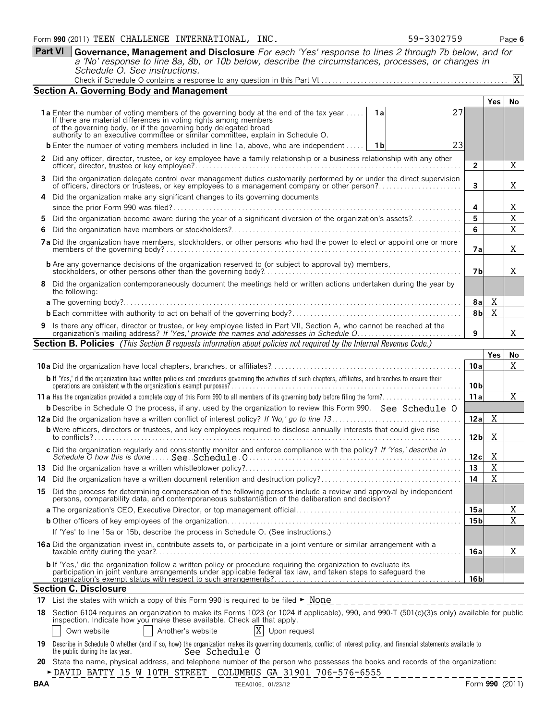**Part VI Governance, Management and Disclosure** *For each 'Yes' response to lines 2 through 7b below, and for a 'No' response to line 8a, 8b, or 10b below, describe the circumstances, processes, or changes in Schedule O. See instructions.* Check if Schedule O contains a response to any question in this Part VI. . . . . . . . . . . . . . . . . . . . . . . . . . . . . . . . . . . . . . . . . . . . . . . . . . . . .

| Check if Schedule O contains a response to any question in this Part VI |
|-------------------------------------------------------------------------|
|-------------------------------------------------------------------------|

|    | <b>Section A. Governing Body and Management</b>                                                                                                                                                                                                                                                                                   |                 |             |        |  |  |  |  |  |  |  |
|----|-----------------------------------------------------------------------------------------------------------------------------------------------------------------------------------------------------------------------------------------------------------------------------------------------------------------------------------|-----------------|-------------|--------|--|--|--|--|--|--|--|
|    |                                                                                                                                                                                                                                                                                                                                   |                 | <b>Yes</b>  | No     |  |  |  |  |  |  |  |
|    | 27<br><b>1a</b> Enter the number of voting members of the governing body at the end of the tax year If there are material differences in voting rights among members<br>1a<br>of the governing body, or if the governing body delegated broad<br>authority to an executive committee or similar committee, explain in Schedule O. |                 |             |        |  |  |  |  |  |  |  |
|    |                                                                                                                                                                                                                                                                                                                                   |                 |             |        |  |  |  |  |  |  |  |
|    | 23<br><b>b</b> Enter the number of voting members included in line 1a, above, who are independent<br>1 b                                                                                                                                                                                                                          |                 |             |        |  |  |  |  |  |  |  |
|    | 2 Did any officer, director, trustee, or key employee have a family relationship or a business relationship with any other                                                                                                                                                                                                        |                 |             |        |  |  |  |  |  |  |  |
|    | 3 Did the organization delegate control over management duties customarily performed by or under the direct supervision of officers, directors or trustees, or key employees to a management company or other person?                                                                                                             |                 |             |        |  |  |  |  |  |  |  |
|    | 4 Did the organization make any significant changes to its governing documents                                                                                                                                                                                                                                                    |                 |             |        |  |  |  |  |  |  |  |
| 5. | Did the organization become aware during the year of a significant diversion of the organization's assets?                                                                                                                                                                                                                        | 4<br>5          |             | X<br>X |  |  |  |  |  |  |  |
|    |                                                                                                                                                                                                                                                                                                                                   | 6               |             | X      |  |  |  |  |  |  |  |
|    | 7a Did the organization have members, stockholders, or other persons who had the power to elect or appoint one or more                                                                                                                                                                                                            | 7a              |             | X      |  |  |  |  |  |  |  |
|    |                                                                                                                                                                                                                                                                                                                                   | 7b              |             | X      |  |  |  |  |  |  |  |
|    | 8 Did the organization contemporaneously document the meetings held or written actions undertaken during the year by<br>the following:                                                                                                                                                                                            |                 |             |        |  |  |  |  |  |  |  |
|    |                                                                                                                                                                                                                                                                                                                                   | 8al             | X           |        |  |  |  |  |  |  |  |
|    |                                                                                                                                                                                                                                                                                                                                   | 8b              | X           |        |  |  |  |  |  |  |  |
|    | Is there any officer, director or trustee, or key employee listed in Part VII, Section A, who cannot be reached at the organization's mailing address? If 'Yes,' provide the names and addresses in Schedule O                                                                                                                    | 9               |             | X      |  |  |  |  |  |  |  |
|    | <b>Section B. Policies</b> (This Section B requests information about policies not required by the Internal Revenue Code.)                                                                                                                                                                                                        |                 |             |        |  |  |  |  |  |  |  |
|    |                                                                                                                                                                                                                                                                                                                                   |                 | Yes         | No     |  |  |  |  |  |  |  |
|    |                                                                                                                                                                                                                                                                                                                                   | 10a             |             | X      |  |  |  |  |  |  |  |
|    | b If 'Yes,' did the organization have written policies and procedures governing the activities of such chapters, affiliates, and branches to ensure their<br>operations are consistent with the organization's exempt purposes?                                                                                                   | 10 <sub>b</sub> |             |        |  |  |  |  |  |  |  |
|    |                                                                                                                                                                                                                                                                                                                                   |                 |             |        |  |  |  |  |  |  |  |
|    | <b>b</b> Describe in Schedule O the process, if any, used by the organization to review this Form 990. See Schedule O                                                                                                                                                                                                             | 11a             |             | X      |  |  |  |  |  |  |  |
|    |                                                                                                                                                                                                                                                                                                                                   | 12a             | X           |        |  |  |  |  |  |  |  |
|    | <b>b</b> Were officers, directors or trustees, and key employees required to disclose annually interests that could give rise                                                                                                                                                                                                     | 12 <sub>b</sub> | X           |        |  |  |  |  |  |  |  |
|    |                                                                                                                                                                                                                                                                                                                                   | 12c             | Χ           |        |  |  |  |  |  |  |  |
|    |                                                                                                                                                                                                                                                                                                                                   | 13              | $\mathbf X$ |        |  |  |  |  |  |  |  |
|    |                                                                                                                                                                                                                                                                                                                                   | 14              | X           |        |  |  |  |  |  |  |  |
|    | 15 Did the process for determining compensation of the following persons include a review and approval by independent<br>persons, comparability data, and contemporaneous substantiation of the deliberation and decision?                                                                                                        |                 |             |        |  |  |  |  |  |  |  |
|    |                                                                                                                                                                                                                                                                                                                                   | 15a             |             | Χ      |  |  |  |  |  |  |  |
|    |                                                                                                                                                                                                                                                                                                                                   | 15 b            |             | X      |  |  |  |  |  |  |  |
|    | If 'Yes' to line 15a or 15b, describe the process in Schedule O. (See instructions.)                                                                                                                                                                                                                                              |                 |             |        |  |  |  |  |  |  |  |
|    | 16a Did the organization invest in, contribute assets to, or participate in a joint venture or similar arrangement with a                                                                                                                                                                                                         | 16a             |             | Χ      |  |  |  |  |  |  |  |
|    | <b>b</b> If 'Yes,' did the organization follow a written policy or procedure requiring the organization to evaluate its<br>participation in joint venture arrangements under applicable federal tax law, and taken steps to safeguard the                                                                                         | 16 <sub>b</sub> |             |        |  |  |  |  |  |  |  |
|    | <b>Section C. Disclosure</b>                                                                                                                                                                                                                                                                                                      |                 |             |        |  |  |  |  |  |  |  |
|    | 17 List the states with which a copy of this Form 990 is required to be filed ► None<br>__________________________                                                                                                                                                                                                                |                 |             |        |  |  |  |  |  |  |  |
|    | 18 Section 6104 requires an organization to make its Forms 1023 (or 1024 if applicable), 990, and 990-T (501(c)(3)s only) available for public<br>inspection. Indicate how you make these available. Check all that apply.                                                                                                        |                 |             |        |  |  |  |  |  |  |  |
|    | X<br>Another's website<br>Own website<br>Upon request                                                                                                                                                                                                                                                                             |                 |             |        |  |  |  |  |  |  |  |
|    | 19 Describe in Schedule O whether (and if so, how) the organization makes its governing documents, conflict of interest policy, and financial statements available to<br>the public during the tax year.<br>See Schedule O                                                                                                        |                 |             |        |  |  |  |  |  |  |  |
|    | 20 State the name, physical address, and telephone number of the person who possesses the books and records of the organization:<br>DAVID BATTY 15 W 10TH STREET COLUMBUS GA 31901 706-576-6555                                                                                                                                   |                 |             |        |  |  |  |  |  |  |  |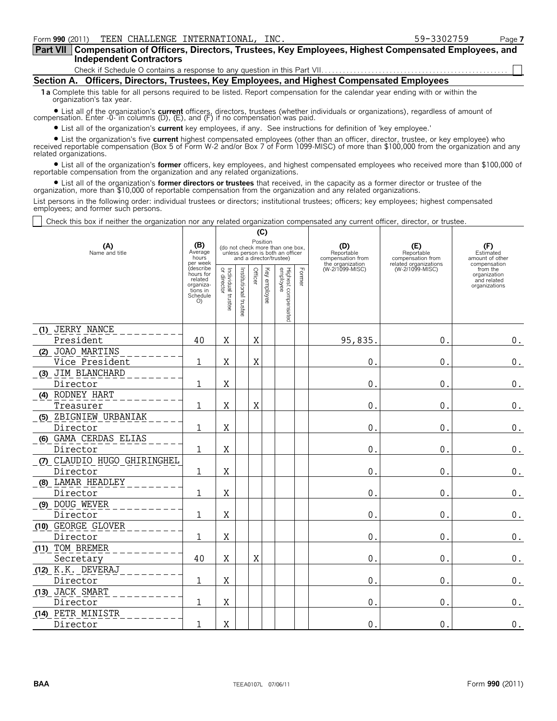**Compensation of Officers, Directors, Trustees, Key Employees, Highest Compensated Employees, and Part VII Independent Contractors**

Check if Schedule O contains a response to any question in this Part VII.

**Section A. Officers, Directors, Trustees, Key Employees, and Highest Compensated Employees**

**1a** Complete this table for all persons required to be listed. Report compensation for the calendar year ending with or within the organization's tax year.

? List all of the organization's **current** officers, directors, trustees (whether individuals or organizations), regardless of amount of compensation. Enter -0- in columns (D), (E), and (F) if no compensation was paid.

? List all of the organization's **current** key employees, if any. See instructions for definition of 'key employee.'

? List the organization's five **current** highest compensated employees (other than an officer, director, trustee, or key employee) who received reportable compensation (Box 5 of Form W-2 and/or Box 7 of Form 1099-MISC) of more than \$100,000 from the organization and any related organizations.

? List all of the organization's **former** officers, key employees, and highest compensated employees who received more than \$100,000 of reportable compensation from the organization and any related organizations.

? List all of the organization's **former directors or trustees** that received, in the capacity as a former director or trustee of the organization, more than \$10,000 of reportable compensation from the organization and any related organizations.

List persons in the following order: individual trustees or directors; institutional trustees; officers; key employees; highest compensated employees; and former such persons.

Check this box if neither the organization nor any related organization compensated any current officer, director, or trustee.

|                                    |                                                                             |                                      |                       |         | (C)             |                                                                                                 |        |                                        |                                          |                                                                          |
|------------------------------------|-----------------------------------------------------------------------------|--------------------------------------|-----------------------|---------|-----------------|-------------------------------------------------------------------------------------------------|--------|----------------------------------------|------------------------------------------|--------------------------------------------------------------------------|
| (A)<br>Name and title              | (B)<br>Average<br>hours<br>per week                                         |                                      |                       |         | Position        | (do not check more than one box,<br>unless person is both an officer<br>and a director/trustee) |        | (D)<br>Reportable<br>compensation from | (E)<br>Reportable<br>compensation from   | (F)<br>Estimated<br>amount of other                                      |
|                                    | (describe<br>hours for<br>related<br>organiza-<br>tions in<br>Schedule<br>O | Individual<br>or director<br>trustee | Institutional trustee | Officer | Key<br>employee | Highest compensated<br>employee                                                                 | Former | the organization<br>(W-2/1099-MISC)    | related organizations<br>(W-2/1099-MISC) | compensation<br>from the<br>organization<br>and related<br>organizations |
| (1) JERRY NANCE                    |                                                                             |                                      |                       |         |                 |                                                                                                 |        |                                        |                                          |                                                                          |
| President                          | 40                                                                          | X                                    |                       | Χ       |                 |                                                                                                 |        | 95,835.                                | 0.                                       | $\boldsymbol{0}$ .                                                       |
| (2) JOAO MARTINS<br>Vice President | 1                                                                           | X                                    |                       | Χ       |                 |                                                                                                 |        | 0.                                     | $\mathbf{0}$ .                           | $0_{.}$                                                                  |
| (3) JIM BLANCHARD                  |                                                                             |                                      |                       |         |                 |                                                                                                 |        |                                        |                                          |                                                                          |
| Director                           | $\mathbf{1}$                                                                | X                                    |                       |         |                 |                                                                                                 |        | 0.                                     | $\mathbf{0}$ .                           | $\boldsymbol{0}$ .                                                       |
| (4) RODNEY HART                    |                                                                             |                                      |                       |         |                 |                                                                                                 |        |                                        |                                          |                                                                          |
| Treasurer                          | 1                                                                           | X                                    |                       | Χ       |                 |                                                                                                 |        | 0.                                     | $\mathbf{0}$ .                           | $\boldsymbol{0}$ .                                                       |
| (5) ZBIGNIEW URBANIAK              |                                                                             |                                      |                       |         |                 |                                                                                                 |        |                                        |                                          |                                                                          |
| Director                           | 1                                                                           | X                                    |                       |         |                 |                                                                                                 |        | 0.                                     | $\mathbf 0$                              | $\boldsymbol{0}$ .                                                       |
| (6) GAMA CERDAS ELIAS              |                                                                             |                                      |                       |         |                 |                                                                                                 |        |                                        |                                          |                                                                          |
| Director                           | 1                                                                           | X                                    |                       |         |                 |                                                                                                 |        | $0$ .                                  | $\mathbf{0}$ .                           | $\boldsymbol{0}$ .                                                       |
| (7) CLAUDIO HUGO GHIRINGHEL        |                                                                             |                                      |                       |         |                 |                                                                                                 |        |                                        |                                          |                                                                          |
| Director                           | 1                                                                           | X                                    |                       |         |                 |                                                                                                 |        | 0.                                     | $\mathbf 0$                              | $\boldsymbol{0}$ .                                                       |
| (8) LAMAR HEADLEY                  |                                                                             |                                      |                       |         |                 |                                                                                                 |        |                                        |                                          |                                                                          |
| Director                           | 1                                                                           | Χ                                    |                       |         |                 |                                                                                                 |        | $0$ .                                  | $\mathbf{0}$ .                           | $\boldsymbol{0}$ .                                                       |
| (9) DOUG WEVER                     |                                                                             |                                      |                       |         |                 |                                                                                                 |        |                                        |                                          |                                                                          |
| Director                           | 1                                                                           | Χ                                    |                       |         |                 |                                                                                                 |        | 0.                                     | $\mathbf{0}$ .                           | $\boldsymbol{0}$ .                                                       |
| (10) GEORGE GLOVER                 |                                                                             |                                      |                       |         |                 |                                                                                                 |        |                                        |                                          |                                                                          |
| Director                           | 1                                                                           | Χ                                    |                       |         |                 |                                                                                                 |        | 0.                                     | $\mathbf{0}$ .                           | $\boldsymbol{0}$ .                                                       |
| (11) TOM BREMER                    |                                                                             |                                      |                       |         |                 |                                                                                                 |        |                                        |                                          |                                                                          |
| Secretary                          | 40                                                                          | Χ                                    |                       | Χ       |                 |                                                                                                 |        | 0.                                     | 0.                                       | $\boldsymbol{0}$ .                                                       |
| (12) K.K. DEVERAJ                  |                                                                             |                                      |                       |         |                 |                                                                                                 |        |                                        |                                          |                                                                          |
| Director                           | 1                                                                           | X                                    |                       |         |                 |                                                                                                 |        | 0.                                     | 0.                                       | $\boldsymbol{0}$ .                                                       |
| (13) JACK SMART                    |                                                                             |                                      |                       |         |                 |                                                                                                 |        |                                        |                                          |                                                                          |
| Director                           | 1                                                                           | X                                    |                       |         |                 |                                                                                                 |        | 0.                                     | $\mathbf{0}$ .                           | $\boldsymbol{0}$ .                                                       |
| (14) PETR MINISTR                  |                                                                             |                                      |                       |         |                 |                                                                                                 |        |                                        |                                          |                                                                          |
| Director                           | $\mathbf{1}$                                                                | X                                    |                       |         |                 |                                                                                                 |        | 0.                                     | $\mathbf{0}$ .                           | $\boldsymbol{0}$ .                                                       |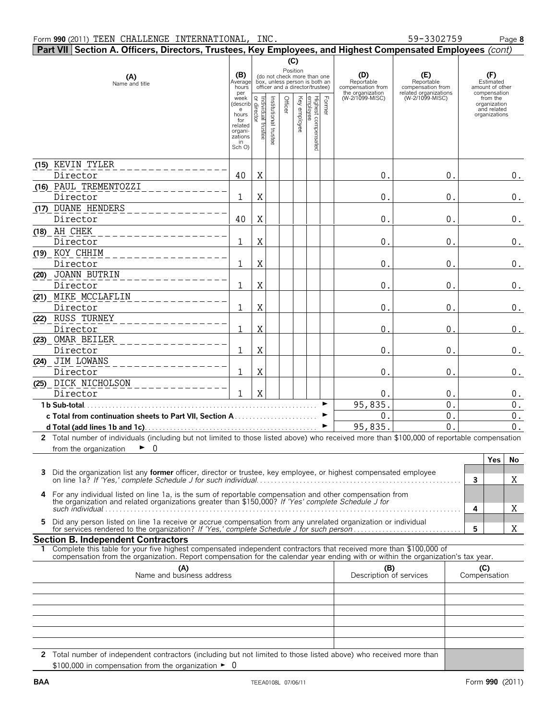|    | Part VII Section A. Officers, Directors, Trustees, Key Employees, and Highest Compensated Employees (cont)                                                                                                                                             |                                                                        |                                      |                    |         |              |                                                                                                             |        |                                                            |                                                                 |                                                          |
|----|--------------------------------------------------------------------------------------------------------------------------------------------------------------------------------------------------------------------------------------------------------|------------------------------------------------------------------------|--------------------------------------|--------------------|---------|--------------|-------------------------------------------------------------------------------------------------------------|--------|------------------------------------------------------------|-----------------------------------------------------------------|----------------------------------------------------------|
|    |                                                                                                                                                                                                                                                        |                                                                        |                                      |                    |         | (C)          |                                                                                                             |        |                                                            |                                                                 |                                                          |
|    | (A)<br>Name and title                                                                                                                                                                                                                                  | (B)<br>Average<br>hours<br>per                                         |                                      |                    |         |              | Position<br>(do not check more than one<br>box, unless person is both an<br>officer and a director/trustee) |        | (D)<br>Reportable<br>compensation from<br>the organization | (E)<br>Reportable<br>compensation from<br>related organizations | (F)<br>Estimated<br>amount of other<br>compensation      |
|    |                                                                                                                                                                                                                                                        | week<br>(describ<br>e<br>hours<br>for<br>related<br>organi-<br>zations | Individual<br>or director<br>trustee | Institutional trus | Officer | Key employee | Highest compensated<br>employee                                                                             | Former | (W-2/1099-MISC)                                            | (W-2/1099-MISC)                                                 | from the<br>organization<br>and related<br>organizations |
|    |                                                                                                                                                                                                                                                        | in<br>Sch O)                                                           |                                      |                    |         |              |                                                                                                             |        |                                                            |                                                                 |                                                          |
|    | (15) KEVIN TYLER<br>Director                                                                                                                                                                                                                           | 40                                                                     | X                                    |                    |         |              |                                                                                                             |        | 0.                                                         | 0.                                                              | $0$ .                                                    |
|    | (16) PAUL TREMENTOZZI<br>Director                                                                                                                                                                                                                      | 1                                                                      | X                                    |                    |         |              |                                                                                                             |        | 0.                                                         | 0.                                                              | $0_{.}$                                                  |
|    | (17) DUANE HENDERS<br>Director                                                                                                                                                                                                                         | 40                                                                     | $\mathbf X$                          |                    |         |              |                                                                                                             |        | 0.                                                         | $0$ .                                                           | $0$ .                                                    |
|    | (18) AH CHEK<br>Director                                                                                                                                                                                                                               | 1                                                                      | X                                    |                    |         |              |                                                                                                             |        | 0.                                                         | 0.                                                              | $0$ .                                                    |
|    | (19) KOY CHHIM<br>Director                                                                                                                                                                                                                             | 1                                                                      | X                                    |                    |         |              |                                                                                                             |        | 0.                                                         | 0.                                                              | $0$ .                                                    |
|    | (20) JOANN BUTRIN<br>Director                                                                                                                                                                                                                          | 1                                                                      | Χ                                    |                    |         |              |                                                                                                             |        | 0.                                                         | 0.                                                              | $0$ .                                                    |
|    | (21) MIKE MCCLAFLIN<br>Director                                                                                                                                                                                                                        | 1                                                                      | Χ                                    |                    |         |              |                                                                                                             |        | 0.                                                         | 0.                                                              | $\boldsymbol{0}$ .                                       |
|    | (22) RUSS TURNEY<br><u>Director</u>                                                                                                                                                                                                                    |                                                                        | X                                    |                    |         |              |                                                                                                             |        | 0                                                          | 0                                                               | 0.                                                       |
|    | (23) OMAR BEILER<br>Director                                                                                                                                                                                                                           | 1                                                                      | X                                    |                    |         |              |                                                                                                             |        | 0.                                                         | 0.                                                              | $0$ .                                                    |
|    | (24) JIM LOWANS<br>Director                                                                                                                                                                                                                            | 1                                                                      | X                                    |                    |         |              |                                                                                                             |        | 0.                                                         | 0.                                                              | $0$ .                                                    |
|    | (25) DICK NICHOLSON<br>Director                                                                                                                                                                                                                        | 1                                                                      | $\mathbf X$                          |                    |         |              |                                                                                                             |        | $0$ .                                                      | 0.                                                              | $0$ .                                                    |
|    | 1 b Sub-total.                                                                                                                                                                                                                                         |                                                                        |                                      |                    |         |              |                                                                                                             | ▶      | 95,835                                                     | $\mathbf{0}$ .                                                  | $0$ .                                                    |
|    | c Total from continuation sheets to Part VII, Section A                                                                                                                                                                                                |                                                                        |                                      |                    |         |              |                                                                                                             | ▶      | $\mathbf 0$ .                                              | 0.                                                              | $0$ .                                                    |
|    |                                                                                                                                                                                                                                                        |                                                                        |                                      |                    |         |              |                                                                                                             |        | 95,835                                                     | $\overline{0}$                                                  | 0.                                                       |
|    | 2 Total number of individuals (including but not limited to those listed above) who received more than \$100,000 of reportable compensation                                                                                                            |                                                                        |                                      |                    |         |              |                                                                                                             |        |                                                            |                                                                 |                                                          |
|    | ►<br>from the organization<br>0                                                                                                                                                                                                                        |                                                                        |                                      |                    |         |              |                                                                                                             |        |                                                            |                                                                 |                                                          |
| 3. | Did the organization list any <b>former</b> officer, director or trustee, key employee, or highest compensated employee                                                                                                                                |                                                                        |                                      |                    |         |              |                                                                                                             |        |                                                            |                                                                 | <b>Yes</b><br>No<br>$\overline{3}$<br>Χ                  |
| 4  | For any individual listed on line 1a, is the sum of reportable compensation and other compensation from<br>the organization and related organizations greater than \$150,000? If 'Yes' complete Schedule J for                                         |                                                                        |                                      |                    |         |              |                                                                                                             |        |                                                            |                                                                 | Χ<br>4                                                   |
| 5. | Did any person listed on line 1a receive or accrue compensation from any unrelated organization or individual                                                                                                                                          |                                                                        |                                      |                    |         |              |                                                                                                             |        |                                                            |                                                                 | 5<br>Χ                                                   |
|    | <b>Section B. Independent Contractors</b>                                                                                                                                                                                                              |                                                                        |                                      |                    |         |              |                                                                                                             |        |                                                            |                                                                 |                                                          |
|    | Complete this table for your five highest compensated independent contractors that received more than \$100,000 of<br>compensation from the organization. Report compensation for the calendar year ending with or within the organization's tax year. |                                                                        |                                      |                    |         |              |                                                                                                             |        |                                                            |                                                                 |                                                          |
|    | (A)<br>Name and business address                                                                                                                                                                                                                       |                                                                        |                                      |                    |         |              |                                                                                                             |        | (B)<br>Description of services                             |                                                                 | (C)<br>Compensation                                      |
|    |                                                                                                                                                                                                                                                        |                                                                        |                                      |                    |         |              |                                                                                                             |        |                                                            |                                                                 |                                                          |
|    |                                                                                                                                                                                                                                                        |                                                                        |                                      |                    |         |              |                                                                                                             |        |                                                            |                                                                 |                                                          |
|    |                                                                                                                                                                                                                                                        |                                                                        |                                      |                    |         |              |                                                                                                             |        |                                                            |                                                                 |                                                          |

**2** Total number of independent contractors (including but not limited to those listed above) who received more than  $$100,000$  in compensation from the organization  $\blacktriangleright$  0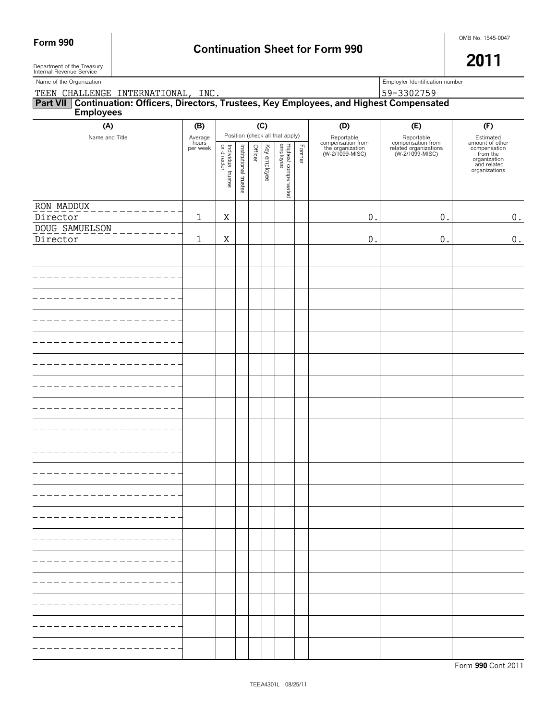Department of the Treasury Internal Revenue Service

**2011**

| Name of the Organization                                                                                  |                              |                                   |                       |         |              |                                                                    |        |                                                                        | Employler Identification number                                             |                                                                                                          |
|-----------------------------------------------------------------------------------------------------------|------------------------------|-----------------------------------|-----------------------|---------|--------------|--------------------------------------------------------------------|--------|------------------------------------------------------------------------|-----------------------------------------------------------------------------|----------------------------------------------------------------------------------------------------------|
| TEEN CHALLENGE INTERNATIONAL, INC.                                                                        |                              |                                   |                       |         |              |                                                                    |        |                                                                        | 59-3302759                                                                  |                                                                                                          |
| Part VII Continuation: Officers, Directors, Trustees, Key Employees, and Highest Compensated<br>Employees |                              |                                   |                       |         |              |                                                                    |        |                                                                        |                                                                             |                                                                                                          |
| (A)                                                                                                       | (B)                          |                                   |                       |         | (C)          |                                                                    |        | (D)                                                                    | (E)                                                                         | (F)                                                                                                      |
| Name and Title                                                                                            | Average<br>hours<br>per week | Individual trustee<br>or director | Institutional trustee | Officer | Key employee | Position (check all that apply)<br>Highest compensated<br>employee | Former | Reportable<br>compensation from<br>the organization<br>(W-2/1099-MISC) | Reportable<br>compensation from<br>related organizations<br>(W-2/1099-MISC) | Estimated<br>amount of other<br>compensation<br>from the<br>organization<br>and related<br>organizations |
| RON MADDUX<br>Director                                                                                    | 1                            | Χ                                 |                       |         |              |                                                                    |        | $\mathbf{0}$ .                                                         | $0$ .                                                                       | $0$ .                                                                                                    |
| DOUG SAMUELSON<br>Director                                                                                | 1                            | Χ                                 |                       |         |              |                                                                    |        | $0$ .                                                                  | $0$ .                                                                       | $\boldsymbol{0}$ .                                                                                       |
|                                                                                                           |                              |                                   |                       |         |              |                                                                    |        |                                                                        |                                                                             |                                                                                                          |
|                                                                                                           |                              |                                   |                       |         |              |                                                                    |        |                                                                        |                                                                             |                                                                                                          |
|                                                                                                           |                              |                                   |                       |         |              |                                                                    |        |                                                                        |                                                                             |                                                                                                          |
|                                                                                                           |                              |                                   |                       |         |              |                                                                    |        |                                                                        |                                                                             |                                                                                                          |
|                                                                                                           |                              |                                   |                       |         |              |                                                                    |        |                                                                        |                                                                             |                                                                                                          |
|                                                                                                           |                              |                                   |                       |         |              |                                                                    |        |                                                                        |                                                                             |                                                                                                          |
|                                                                                                           |                              |                                   |                       |         |              |                                                                    |        |                                                                        |                                                                             |                                                                                                          |
|                                                                                                           |                              |                                   |                       |         |              |                                                                    |        |                                                                        |                                                                             |                                                                                                          |
|                                                                                                           |                              |                                   |                       |         |              |                                                                    |        |                                                                        |                                                                             |                                                                                                          |
|                                                                                                           |                              |                                   |                       |         |              |                                                                    |        |                                                                        |                                                                             |                                                                                                          |
|                                                                                                           |                              |                                   |                       |         |              |                                                                    |        |                                                                        |                                                                             |                                                                                                          |
|                                                                                                           |                              |                                   |                       |         |              |                                                                    |        |                                                                        |                                                                             |                                                                                                          |
|                                                                                                           |                              |                                   |                       |         |              |                                                                    |        |                                                                        |                                                                             |                                                                                                          |
|                                                                                                           |                              |                                   |                       |         |              |                                                                    |        |                                                                        |                                                                             |                                                                                                          |
|                                                                                                           |                              |                                   |                       |         |              |                                                                    |        |                                                                        |                                                                             |                                                                                                          |
|                                                                                                           |                              |                                   |                       |         |              |                                                                    |        |                                                                        |                                                                             |                                                                                                          |
|                                                                                                           |                              |                                   |                       |         |              |                                                                    |        |                                                                        |                                                                             |                                                                                                          |
|                                                                                                           |                              |                                   |                       |         |              |                                                                    |        |                                                                        |                                                                             |                                                                                                          |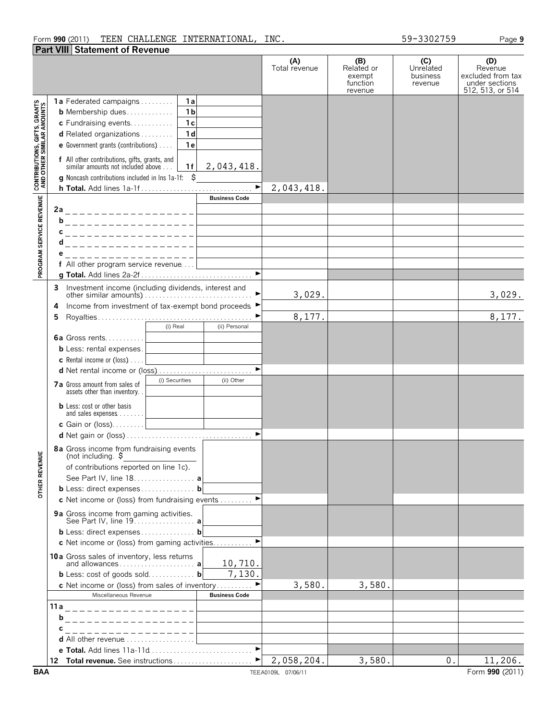## Form **990** (2011) Page **9** TEEN CHALLENGE INTERNATIONAL, INC. 59-3302759 **Part VIII Statement of Revenue**

**(B) (C) (D) (A)** Total revenue Related or **Unrelated Revenue** excluded from tax exempt business function revenue under sections 512, 513, or 514 revenue **1a** Federated campaigns. . . . . . . . . . **1a** CONTRIBUTIONS, GIFTS, GRANTS<br>AND OTHER SIMILAR AMOUNTS **b** Membership dues. . . . . . . . . . . . . **1b c** Fundraising events. . . . . . . . . . . . **1c d** Related organizations . . . . . . . . . **1d e** Government grants (contributions). . . . . **1e f** All other contributions, gifts, grants, and 2,043,418. similar amounts not included above ... | 1 **f g** Noncash contributions included in lns 1a-1f: \$ 2,043,418. **h Total.** Add lines 1a-1f . . . . . . . . . . . . . . . . . . . . . . . . . . . . . . . G PROGRAM SERVICE REVENUE **Business Code 2a b c**\_\_\_\_\_\_\_\_\_\_\_\_\_\_\_ **d e f** All other program service revenue. . . . **g Total.** Add lines 2a-2f . . . . . . . . . . . . . . . . . . . . . . . . . . . . . . . G **3** Investment income (including dividends, interest and 3,029. 3,029. other similar amounts). . . . . . . . . . . . . . . . . . . . . . . . . . . . . . . G **4** Income from investment of tax-exempt bond proceeds ▶ 8,177. **5** Royalties . . . . . . . . . . . . . . . . . . . . . . . . . . . . . . . . . . . . . . . . . . . G (i) Real (ii) Personal **6a** Gross rents. . . . . . . . . . **b** Less: rental expenses. **c** Rental income or (loss). . . . . **d** Net rental income or (loss). . . . . . . . . . . . . . . . . . . . . . . . . . . G **7a** Gross amount from sales of (i) Securities (ii) Other assets other than inventory. **b** Less: cost or other basis and sales expenses . . . . . . **c** Gain or (loss). . . . . . . . . **d** Net gain or (loss) . . . . . . . . . . . . . . . . . . . . . . . . . . . . . . . . . . . G **8a** Gross income from fundraising events **OTHER REVENUE** (not including. \$ of contributions reported on line 1c). See Part IV, line 18. . . . . . . . . . . . . . . . . **a b** Less: direct expenses . . . . . . . . . . . . . . . **b c** Net income or (loss) from fundraising events . . . . . . . . ▶ **9a** Gross income from gaming activities. See Part IV, line 19. . . . . . . . . . . . . . . . . **a b** Less: direct expenses . . . . . . . . . . . . . . . **b c** Net income or (loss) from gaming activities. . . . . . . . . ▶ **10a** Gross sales of inventory, less returns 10,710. and allowances . . . . . . . . . . . . . . . . . . . . . **a** 7,130.**b** Less: cost of goods sold. . . . . . . . . . . . . **b c** Net income or (loss) from sales of inventory . . . . . . . . ■ 3,580. 3,580. Miscellaneous Revenue **Business Code 11a b c d** All other revenue . . . . . . . . . . . . . **e Total.** Add lines 11a-11d . . . . . . . . . . . . . . . **12 Total revenue.** See instructions . . . . . . . . . . . . . . . . . . ▶ 2,058,204. 3,580. 0. 11,206.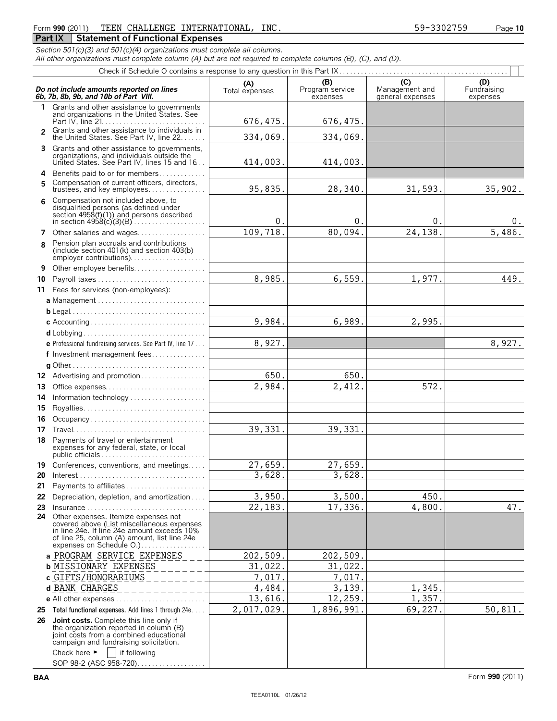# Form **990** (2011) Page **10** TEEN CHALLENGE INTERNATIONAL, INC. 59-3302759

*Section 501(c)(3) and 501(c)(4) organizations must complete all columns.*

*All other organizations must complete column (A) but are not required to complete columns (B), (C), and (D).* Check if Schedule O contains a response to any question in this Part IX. . . . . . . . . . . . . . . . . . . . . . . . . . . . . . . . . . . . . . . . . . . . . . .

|               |                                                                                                                                                                                                                                                                                                | $\mathbf{u}$ behousing to contrain a direction successfully quodition in this matrix $\mathbf{u}$ , $\mathbf{u}$ , $\mathbf{u}$ , $\mathbf{u}$ , $\mathbf{u}$ , $\mathbf{u}$ , $\mathbf{u}$ , $\mathbf{u}$ , $\mathbf{u}$ , $\mathbf{u}$ , $\mathbf{u}$ , $\mathbf{u}$ , $\mathbf{u}$ , $\mathbf{u}$ , |                                    |                                           | .                              |
|---------------|------------------------------------------------------------------------------------------------------------------------------------------------------------------------------------------------------------------------------------------------------------------------------------------------|--------------------------------------------------------------------------------------------------------------------------------------------------------------------------------------------------------------------------------------------------------------------------------------------------------|------------------------------------|-------------------------------------------|--------------------------------|
|               | Do not include amounts reported on lines<br>6b, 7b, 8b, 9b, and 10b of Part VIII.                                                                                                                                                                                                              | (A)<br>Total expenses                                                                                                                                                                                                                                                                                  | (B)<br>Program service<br>expenses | (C)<br>Management and<br>general expenses | (D)<br>Fundraising<br>expenses |
|               | 1 Grants and other assistance to governments<br>and organizations in the United States. See                                                                                                                                                                                                    | 676, 475.                                                                                                                                                                                                                                                                                              | 676, 475.                          |                                           |                                |
| $\mathcal{P}$ | Grants and other assistance to individuals in<br>the United States. See Part IV, line 22                                                                                                                                                                                                       | 334,069.                                                                                                                                                                                                                                                                                               | 334,069.                           |                                           |                                |
| 3             | Grants and other assistance to governments,<br>organizations, and individuals outside the                                                                                                                                                                                                      |                                                                                                                                                                                                                                                                                                        |                                    |                                           |                                |
|               | United States. See Part IV, lines 15 and 16.                                                                                                                                                                                                                                                   | 414,003.                                                                                                                                                                                                                                                                                               | 414,003.                           |                                           |                                |
| 4<br>5        | Benefits paid to or for members<br>Compensation of current officers, directors,<br>trustees, and key employees                                                                                                                                                                                 | 95,835.                                                                                                                                                                                                                                                                                                | 28,340.                            | 31,593.                                   | 35,902.                        |
| 6             | Compensation not included above, to<br>disqualified persons (as defined under<br>section $4958(f)(1)$ and persons described                                                                                                                                                                    | 0.                                                                                                                                                                                                                                                                                                     | 0.                                 | 0.                                        | 0.                             |
| 7             | Other salaries and wages                                                                                                                                                                                                                                                                       | 109,718.                                                                                                                                                                                                                                                                                               | 80,094.                            | 24,138.                                   | 5,486.                         |
| 8             | Pension plan accruals and contributions<br>(include section $401(k)$ and section $403(b)$ )<br>employer contributions)                                                                                                                                                                         |                                                                                                                                                                                                                                                                                                        |                                    |                                           |                                |
| 9             | Other employee benefits                                                                                                                                                                                                                                                                        |                                                                                                                                                                                                                                                                                                        |                                    |                                           |                                |
| 10            | Payroll taxes<br>11 Fees for services (non-employees):                                                                                                                                                                                                                                         | 8,985.                                                                                                                                                                                                                                                                                                 | 6,559.                             | 1,977.                                    | 449.                           |
|               | a Management                                                                                                                                                                                                                                                                                   |                                                                                                                                                                                                                                                                                                        |                                    |                                           |                                |
|               |                                                                                                                                                                                                                                                                                                |                                                                                                                                                                                                                                                                                                        |                                    |                                           |                                |
|               |                                                                                                                                                                                                                                                                                                | 9,984.                                                                                                                                                                                                                                                                                                 | 6,989.                             | 2,995.                                    |                                |
|               |                                                                                                                                                                                                                                                                                                |                                                                                                                                                                                                                                                                                                        |                                    |                                           |                                |
|               | <b>e</b> Professional fundraising services. See Part IV, line 17                                                                                                                                                                                                                               | 8,927.                                                                                                                                                                                                                                                                                                 |                                    |                                           | 8,927.                         |
|               | f Investment management fees                                                                                                                                                                                                                                                                   |                                                                                                                                                                                                                                                                                                        |                                    |                                           |                                |
|               | 12 Advertising and promotion                                                                                                                                                                                                                                                                   | 650.                                                                                                                                                                                                                                                                                                   | 650.                               |                                           |                                |
| 13            |                                                                                                                                                                                                                                                                                                | 2,984.                                                                                                                                                                                                                                                                                                 | 2,412.                             | 572.                                      |                                |
| 14            | Information technology                                                                                                                                                                                                                                                                         |                                                                                                                                                                                                                                                                                                        |                                    |                                           |                                |
| 15            |                                                                                                                                                                                                                                                                                                |                                                                                                                                                                                                                                                                                                        |                                    |                                           |                                |
| 16            | Occupancy                                                                                                                                                                                                                                                                                      |                                                                                                                                                                                                                                                                                                        |                                    |                                           |                                |
| 17            |                                                                                                                                                                                                                                                                                                | 39,331.                                                                                                                                                                                                                                                                                                | 39,331.                            |                                           |                                |
| 18            | Payments of travel or entertainment<br>expenses for any federal, state, or local                                                                                                                                                                                                               |                                                                                                                                                                                                                                                                                                        |                                    |                                           |                                |
|               | 19 Conferences, conventions, and meetings                                                                                                                                                                                                                                                      | 27,659.                                                                                                                                                                                                                                                                                                | 27,659.                            |                                           |                                |
| 20            |                                                                                                                                                                                                                                                                                                | 3,628.                                                                                                                                                                                                                                                                                                 | 3,628.                             |                                           |                                |
|               | 21 Payments to affiliates                                                                                                                                                                                                                                                                      |                                                                                                                                                                                                                                                                                                        |                                    |                                           |                                |
| 22<br>23      | Depreciation, depletion, and amortization                                                                                                                                                                                                                                                      | 3,950.<br>22,183.                                                                                                                                                                                                                                                                                      | 3,500.<br>17,336.                  | 450.<br>4,800.                            | 47.                            |
|               | $Insurance \ldots \ldots \ldots \ldots \ldots \ldots \ldots \ldots \ldots$<br>24 Other expenses. Itemize expenses not<br>covered above (List miscellaneous expenses<br>in line 24e. If line 24e amount exceeds 10%<br>of line 25, column (A) amount, list line 24e<br>expenses on Schedule O.) |                                                                                                                                                                                                                                                                                                        |                                    |                                           |                                |
|               | a PROGRAM SERVICE EXPENSES                                                                                                                                                                                                                                                                     | 202,509.                                                                                                                                                                                                                                                                                               | 202,509.                           |                                           |                                |
|               | <b>b MISSIONARY EXPENSES</b>                                                                                                                                                                                                                                                                   | 31,022.                                                                                                                                                                                                                                                                                                | 31,022.                            |                                           |                                |
|               | c GIFTS/HONORARIUMS                                                                                                                                                                                                                                                                            | 7,017.                                                                                                                                                                                                                                                                                                 | 7,017.                             |                                           |                                |
|               | d BANK CHARGES                                                                                                                                                                                                                                                                                 | 4,484.                                                                                                                                                                                                                                                                                                 | 3,139.                             | 1,345.                                    |                                |
|               |                                                                                                                                                                                                                                                                                                | 13,616.                                                                                                                                                                                                                                                                                                | 12,259.                            | 1,357.                                    |                                |
| 25            | Total functional expenses. Add lines 1 through 24e                                                                                                                                                                                                                                             | 2,017,029.                                                                                                                                                                                                                                                                                             | 1,896,991.                         | 69,227.                                   | 50,811.                        |
| 26            | <b>Joint costs.</b> Complete this line only if<br>the organization reported in column (B)<br>joint costs from a combined educational<br>campaign and fundraising solicitation.                                                                                                                 |                                                                                                                                                                                                                                                                                                        |                                    |                                           |                                |
|               | Check here $\blacktriangleright$<br>if following<br>SOP 98-2 (ASC 958-720)                                                                                                                                                                                                                     |                                                                                                                                                                                                                                                                                                        |                                    |                                           |                                |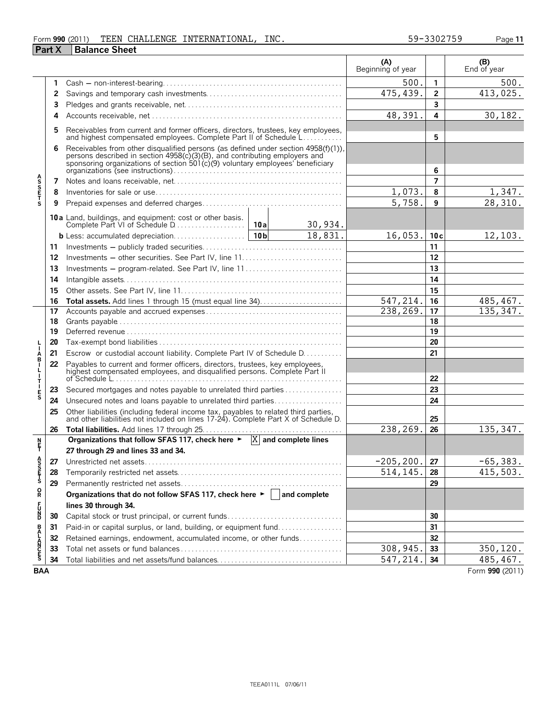## Form **990** (2011) Page **11** TEEN CHALLENGE INTERNATIONAL, INC. 59-3302759 **Part X Balance Sheet**

|                    |          |                                                                                                                                                                                                                                                   |          |           | (A)<br>Beginning of year |           | $( B )$<br>End of year |
|--------------------|----------|---------------------------------------------------------------------------------------------------------------------------------------------------------------------------------------------------------------------------------------------------|----------|-----------|--------------------------|-----------|------------------------|
|                    | 1        |                                                                                                                                                                                                                                                   |          |           | 500                      | 1         | 500.                   |
|                    | 2        |                                                                                                                                                                                                                                                   |          |           | 475,439.                 | 2         | 413,025.               |
|                    | 3        |                                                                                                                                                                                                                                                   |          |           |                          | 3         |                        |
|                    | 4        |                                                                                                                                                                                                                                                   |          |           | 48,391.                  | 4         | 30, 182.               |
|                    | 5        | Receivables from current and former officers, directors, trustees, key employees,                                                                                                                                                                 |          |           |                          |           |                        |
|                    |          | and highest compensated employees. Complete Part II of Schedule L                                                                                                                                                                                 |          |           |                          | 5         |                        |
|                    | 6        | Receivables from other disqualified persons (as defined under section 4958(f)(1)), persons described in section 4958(c)(3)(B), and contributing employers and<br>sponsoring organizations of section $501(c)(9)$ voluntary employees' beneficiary |          |           |                          |           |                        |
|                    |          |                                                                                                                                                                                                                                                   |          |           |                          | 6<br>7    |                        |
| <b>ASSETS</b>      | 7<br>8   |                                                                                                                                                                                                                                                   |          | 1,073.    | 8                        | 1,347.    |                        |
|                    | 9        |                                                                                                                                                                                                                                                   |          |           | 5,758.                   | 9         | 28,310.                |
|                    |          |                                                                                                                                                                                                                                                   |          |           |                          |           |                        |
|                    |          | <b>10a</b> Land, buildings, and equipment: cost or other basis.                                                                                                                                                                                   |          | 30,934.   |                          |           |                        |
|                    |          |                                                                                                                                                                                                                                                   |          | 18,831.   | 16,053.                  | 10c       | 12,103.                |
|                    | 11       |                                                                                                                                                                                                                                                   |          |           | 11                       |           |                        |
|                    | 12       |                                                                                                                                                                                                                                                   |          |           |                          | 12        |                        |
|                    | 13       |                                                                                                                                                                                                                                                   |          |           | 13                       |           |                        |
|                    | 14       |                                                                                                                                                                                                                                                   |          | 14        |                          |           |                        |
|                    | 15       |                                                                                                                                                                                                                                                   |          |           |                          | 15        |                        |
|                    | 16       | Total assets. Add lines 1 through 15 (must equal line 34)                                                                                                                                                                                         |          |           | 547,214.                 | 16        | 485, 467.              |
|                    | 17       |                                                                                                                                                                                                                                                   |          | 238, 269. | 17                       | 135, 347. |                        |
|                    | 18       |                                                                                                                                                                                                                                                   |          | 18<br>19  |                          |           |                        |
|                    | 19       |                                                                                                                                                                                                                                                   |          | 20        |                          |           |                        |
|                    | 20       |                                                                                                                                                                                                                                                   |          | 21        |                          |           |                        |
| Å                  | 21<br>22 | Escrow or custodial account liability. Complete Part IV of Schedule D.                                                                                                                                                                            |          |           |                          |           |                        |
| $\frac{1}{1}$<br>Τ |          | Payables to current and former officers, directors, trustees, key employees, highest compensated employees, and disqualified persons. Complete Part II                                                                                            |          |           |                          | 22        |                        |
|                    | 23       | Secured mortgages and notes payable to unrelated third parties                                                                                                                                                                                    |          |           |                          | 23        |                        |
| $\frac{E}{S}$      | 24       | Unsecured notes and loans payable to unrelated third parties                                                                                                                                                                                      |          |           |                          | 24        |                        |
|                    | 25       | Other liabilities (including federal income tax, payables to related third parties, and other liabilities not included on lines 17-24). Complete Part X of Schedule D.                                                                            |          |           |                          | 25        |                        |
|                    | 26       |                                                                                                                                                                                                                                                   |          |           | 238,269.                 | 26        | 135, 347.              |
| n<br>F             |          | Organizations that follow SFAS 117, check here $\blacktriangleright$ $\ X\ $ and complete lines                                                                                                                                                   |          |           |                          |           |                        |
|                    |          | 27 through 29 and lines 33 and 34.                                                                                                                                                                                                                |          |           |                          |           |                        |
| ĕ                  |          | 27 Unrestricted net assets                                                                                                                                                                                                                        |          |           | $-205, 200.$             | 27        | $-65,383.$             |
| S<br>TFT<br>S      | 28       |                                                                                                                                                                                                                                                   |          |           | 514,145.                 | 28        | 415,503.               |
|                    | 29       |                                                                                                                                                                                                                                                   |          | 29        |                          |           |                        |
| R                  |          | Organizations that do not follow SFAS 117, check here $\blacktriangleright$   and complete                                                                                                                                                        |          |           |                          |           |                        |
| 5<br>Da            |          | lines 30 through 34.                                                                                                                                                                                                                              |          |           |                          |           |                        |
|                    | 30       |                                                                                                                                                                                                                                                   |          |           | 30                       |           |                        |
|                    | 31       | Paid-in or capital surplus, or land, building, or equipment fund                                                                                                                                                                                  |          |           |                          | 31        |                        |
| <b>BALANCES</b>    | 32       | Retained earnings, endowment, accumulated income, or other funds                                                                                                                                                                                  |          |           | 32                       |           |                        |
|                    | 33       |                                                                                                                                                                                                                                                   |          | 308,945   | 33                       | 350, 120. |                        |
|                    | 34       |                                                                                                                                                                                                                                                   | 547,214. | 34        | 485, 467.                |           |                        |

**BAA** Form **990** (2011)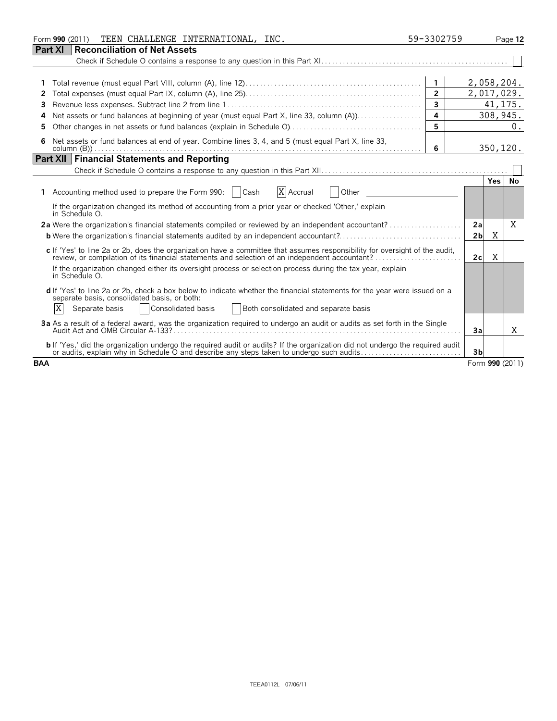| TEEN CHALLENGE INTERNATIONAL, INC.<br>Form 990 (2011)                                                                                                                                                                            | 59-3302759              |                | Page 12 |                 |
|----------------------------------------------------------------------------------------------------------------------------------------------------------------------------------------------------------------------------------|-------------------------|----------------|---------|-----------------|
| Part XI<br><b>Reconciliation of Net Assets</b>                                                                                                                                                                                   |                         |                |         |                 |
|                                                                                                                                                                                                                                  |                         |                |         |                 |
|                                                                                                                                                                                                                                  |                         |                |         |                 |
|                                                                                                                                                                                                                                  | $\mathbf{1}$            | 2,058,204.     |         |                 |
| 2                                                                                                                                                                                                                                | $\overline{2}$          | 2,017,029.     |         |                 |
| 3                                                                                                                                                                                                                                | $\mathbf{3}$            |                |         | 41, 175.        |
| Net assets or fund balances at beginning of year (must equal Part X, line 33, column (A)).<br>4                                                                                                                                  | $\overline{\mathbf{A}}$ |                |         | 308,945.        |
| 5                                                                                                                                                                                                                                | 5                       |                |         | 0.              |
| Net assets or fund balances at end of year. Combine lines 3, 4, and 5 (must equal Part X, line 33,<br>6                                                                                                                          | 6                       |                |         | 350, 120.       |
| <b>Part XII   Financial Statements and Reporting</b>                                                                                                                                                                             |                         |                |         |                 |
|                                                                                                                                                                                                                                  |                         |                |         |                 |
|                                                                                                                                                                                                                                  |                         |                | Yes I   | No              |
| X Accrual<br>Accounting method used to prepare the Form 990:   Cash<br>Other<br>1.                                                                                                                                               |                         |                |         |                 |
| If the organization changed its method of accounting from a prior year or checked 'Other,' explain<br>in Schedule O.                                                                                                             |                         |                |         |                 |
| 2a Were the organization's financial statements compiled or reviewed by an independent accountant?                                                                                                                               |                         | 2a             |         | Χ               |
| <b>b</b> Were the organization's financial statements audited by an independent accountant?                                                                                                                                      |                         | 2 <sub>b</sub> | X       |                 |
| c If 'Yes' to line 2a or 2b, does the organization have a committee that assumes responsibility for oversight of the audit,<br>review, or compilation of its financial statements and selection of an independent accountant?    |                         | 2c             | Χ       |                 |
| If the organization changed either its oversight process or selection process during the tax year, explain<br>in Schedule O.                                                                                                     |                         |                |         |                 |
| d If 'Yes' to line 2a or 2b, check a box below to indicate whether the financial statements for the year were issued on a<br>separate basis, consolidated basis, or both:                                                        |                         |                |         |                 |
| X<br>Both consolidated and separate basis<br>Separate basis<br>Consolidated basis                                                                                                                                                |                         |                |         |                 |
| 3a As a result of a federal award, was the organization required to undergo an audit or audits as set forth in the Single                                                                                                        |                         | 3a             |         | X               |
| <b>b</b> If 'Yes,' did the organization undergo the required audit or audits? If the organization did not undergo the required audit<br>or audits, explain why in Schedule O and describe any steps taken to undergo such audits |                         | 3 <sub>b</sub> |         |                 |
| <b>BAA</b>                                                                                                                                                                                                                       |                         |                |         | Form 990 (2011) |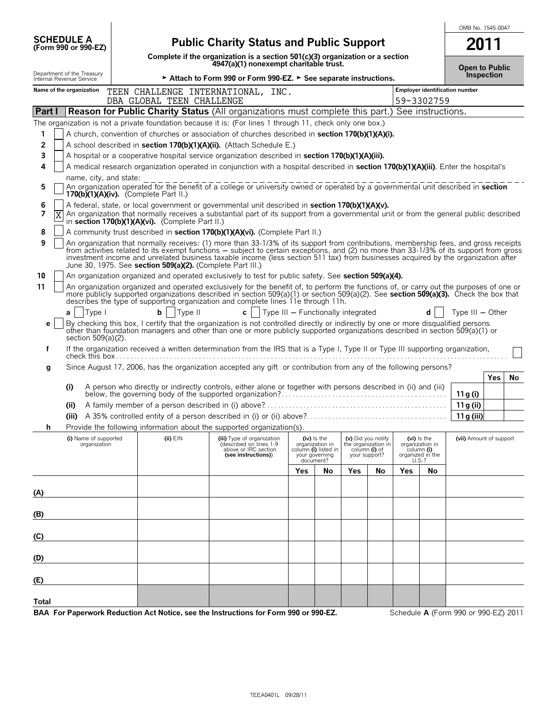| <b>SCHEDULE A</b><br>(Form 990 or 990-EZ)              | <b>Public Charity Status and Public Support</b>                                                                                                                                                                                                                                                                                                                                                                                                                                    |                                                                                                                           |     |                                                                          |               |                                                            |              | 2011                                                 |                                            |     |    |
|--------------------------------------------------------|------------------------------------------------------------------------------------------------------------------------------------------------------------------------------------------------------------------------------------------------------------------------------------------------------------------------------------------------------------------------------------------------------------------------------------------------------------------------------------|---------------------------------------------------------------------------------------------------------------------------|-----|--------------------------------------------------------------------------|---------------|------------------------------------------------------------|--------------|------------------------------------------------------|--------------------------------------------|-----|----|
|                                                        |                                                                                                                                                                                                                                                                                                                                                                                                                                                                                    | Complete if the organization is a section $501(c)(3)$ organization or a section<br>4947(a)(1) nonexempt charitable trust. |     |                                                                          |               |                                                            |              |                                                      |                                            |     |    |
| Department of the Treasury<br>Internal Revenue Service |                                                                                                                                                                                                                                                                                                                                                                                                                                                                                    | ► Attach to Form 990 or Form 990-EZ. ► See separate instructions.                                                         |     |                                                                          |               |                                                            |              |                                                      | <b>Open to Public</b><br><b>Inspection</b> |     |    |
| Name of the organization                               | TEEN CHALLENGE INTERNATIONAL, INC.<br>DBA GLOBAL TEEN CHALLENGE                                                                                                                                                                                                                                                                                                                                                                                                                    |                                                                                                                           |     |                                                                          |               |                                                            |              | 59-3302759                                           | Employer identification number             |     |    |
| <b>Part I</b>                                          | <b>Reason for Public Charity Status (All organizations must complete this part.) See instructions.</b>                                                                                                                                                                                                                                                                                                                                                                             |                                                                                                                           |     |                                                                          |               |                                                            |              |                                                      |                                            |     |    |
|                                                        | The organization is not a private foundation because it is: (For lines 1 through 11, check only one box.)                                                                                                                                                                                                                                                                                                                                                                          |                                                                                                                           |     |                                                                          |               |                                                            |              |                                                      |                                            |     |    |
| 1.                                                     | A church, convention of churches or association of churches described in <b>section 170(b)(1)(A)(i)</b> .                                                                                                                                                                                                                                                                                                                                                                          |                                                                                                                           |     |                                                                          |               |                                                            |              |                                                      |                                            |     |    |
| 2                                                      | A school described in section 170(b)(1)(A)(ii). (Attach Schedule E.)                                                                                                                                                                                                                                                                                                                                                                                                               |                                                                                                                           |     |                                                                          |               |                                                            |              |                                                      |                                            |     |    |
| 3                                                      | A hospital or a cooperative hospital service organization described in section 170(b)(1)(A)(iii).                                                                                                                                                                                                                                                                                                                                                                                  |                                                                                                                           |     |                                                                          |               |                                                            |              |                                                      |                                            |     |    |
| 4                                                      | A medical research organization operated in conjunction with a hospital described in section 170(b)(1)(A)(iii). Enter the hospital's                                                                                                                                                                                                                                                                                                                                               |                                                                                                                           |     |                                                                          |               |                                                            |              |                                                      |                                            |     |    |
| name, city, and state:                                 |                                                                                                                                                                                                                                                                                                                                                                                                                                                                                    |                                                                                                                           |     |                                                                          |               |                                                            |              |                                                      |                                            |     |    |
| 5                                                      | An organization operated for the benefit of a college or university owned or operated by a governmental unit described in <b>section</b><br>170(b) $(1)(A)(iv)$ . (Complete Part II.)                                                                                                                                                                                                                                                                                              |                                                                                                                           |     |                                                                          |               |                                                            |              |                                                      |                                            |     |    |
| 6<br>7<br>Χ                                            | A federal, state, or local government or governmental unit described in section 170(b)(1)(A)(v).<br>An organization that normally receives a substantial part of its support from a governmental unit or from the general public described<br>in section 170(b)(1)(A)(vi). (Complete Part II.)                                                                                                                                                                                     |                                                                                                                           |     |                                                                          |               |                                                            |              |                                                      |                                            |     |    |
| 8                                                      | A community trust described in section 170(b)(1)(A)(vi). (Complete Part II.)                                                                                                                                                                                                                                                                                                                                                                                                       |                                                                                                                           |     |                                                                          |               |                                                            |              |                                                      |                                            |     |    |
| 9                                                      | An organization that normally receives: (1) more than 33-1/3% of its support from contributions, membership fees, and gross receipts<br>from activities related to its exempt functions – subject to certain exceptions, and (2) no more than 33-1/3% of its support from gross<br>investment income and unrelated business taxable income (less section 511 tax) from businesses acquired by the organization after<br>June 30, 1975. See section 509(a)(2). (Complete Part III.) |                                                                                                                           |     |                                                                          |               |                                                            |              |                                                      |                                            |     |    |
| 10                                                     | An organization organized and operated exclusively to test for public safety. See section 509(a)(4).                                                                                                                                                                                                                                                                                                                                                                               |                                                                                                                           |     |                                                                          |               |                                                            |              |                                                      |                                            |     |    |
| 11                                                     | An organization organized and operated exclusively for the benefit of, to perform the functions of, or carry out the purposes of one or<br>more publicly supported organizations described in section 509(a)(1) or section 509(a)(2). See section 509(a)(3). Check the box that<br>describes the type of supporting organization and complete lines 11e through 11h.                                                                                                               |                                                                                                                           |     |                                                                          |               |                                                            |              |                                                      |                                            |     |    |
| Type I<br>a                                            | bl<br>Type II                                                                                                                                                                                                                                                                                                                                                                                                                                                                      | c   $\vert$ Type III - Functionally integrated                                                                            |     |                                                                          |               |                                                            |              |                                                      | Type $III - Other$                         |     |    |
| е                                                      | By checking this box, I certify that the organization is not controlled directly or indirectly by one or more disqualified persons                                                                                                                                                                                                                                                                                                                                                 |                                                                                                                           |     |                                                                          |               |                                                            |              |                                                      |                                            |     |    |
| section 509(a)(2).                                     | other than foundation managers and other than one or more publicly supported organizations described in section 509(a)(1) or                                                                                                                                                                                                                                                                                                                                                       |                                                                                                                           |     |                                                                          |               |                                                            |              |                                                      |                                            |     |    |
| f                                                      | If the organization received a written determination from the IRS that is a Type I, Type II or Type III supporting organization,                                                                                                                                                                                                                                                                                                                                                   |                                                                                                                           |     |                                                                          |               |                                                            |              |                                                      |                                            |     |    |
|                                                        |                                                                                                                                                                                                                                                                                                                                                                                                                                                                                    |                                                                                                                           |     |                                                                          |               |                                                            |              |                                                      |                                            |     |    |
| g                                                      | Since August 17, 2006, has the organization accepted any gift or contribution from any of the following persons?                                                                                                                                                                                                                                                                                                                                                                   |                                                                                                                           |     |                                                                          |               |                                                            |              |                                                      |                                            |     |    |
| (i)                                                    |                                                                                                                                                                                                                                                                                                                                                                                                                                                                                    |                                                                                                                           |     |                                                                          |               |                                                            |              |                                                      |                                            | Yes | No |
|                                                        |                                                                                                                                                                                                                                                                                                                                                                                                                                                                                    |                                                                                                                           |     |                                                                          |               |                                                            |              |                                                      | 11 g (i)                                   |     |    |
| (ii)                                                   |                                                                                                                                                                                                                                                                                                                                                                                                                                                                                    |                                                                                                                           |     |                                                                          |               |                                                            |              |                                                      | 11 g (ii)                                  |     |    |
| (iii)                                                  |                                                                                                                                                                                                                                                                                                                                                                                                                                                                                    |                                                                                                                           |     |                                                                          |               |                                                            |              |                                                      | 11g (iii)                                  |     |    |
| h                                                      | Provide the following information about the supported organization(s).                                                                                                                                                                                                                                                                                                                                                                                                             |                                                                                                                           |     |                                                                          |               |                                                            |              |                                                      |                                            |     |    |
| (i) Name of supported<br>organization                  | (ii) EIN                                                                                                                                                                                                                                                                                                                                                                                                                                                                           | (iii) Type of organization<br>(described on lines 1-9<br>above or IRC section<br>(see instructions))                      |     | (iv) is the<br>organization in<br>column (i) listed in<br>your governing | your support? | (v) Did you notify<br>the organization in<br>column (i) of | column (i)   | $(vi)$ is the<br>organization in<br>organized in the | (vii) Amount of support                    |     |    |
|                                                        |                                                                                                                                                                                                                                                                                                                                                                                                                                                                                    |                                                                                                                           | Yes | document?<br>No                                                          | Yes           | No                                                         | U.S.?<br>Yes | No                                                   |                                            |     |    |
|                                                        |                                                                                                                                                                                                                                                                                                                                                                                                                                                                                    |                                                                                                                           |     |                                                                          |               |                                                            |              |                                                      |                                            |     |    |
| (A)                                                    |                                                                                                                                                                                                                                                                                                                                                                                                                                                                                    |                                                                                                                           |     |                                                                          |               |                                                            |              |                                                      |                                            |     |    |
|                                                        |                                                                                                                                                                                                                                                                                                                                                                                                                                                                                    |                                                                                                                           |     |                                                                          |               |                                                            |              |                                                      |                                            |     |    |
| (B)                                                    |                                                                                                                                                                                                                                                                                                                                                                                                                                                                                    |                                                                                                                           |     |                                                                          |               |                                                            |              |                                                      |                                            |     |    |
| (C)                                                    |                                                                                                                                                                                                                                                                                                                                                                                                                                                                                    |                                                                                                                           |     |                                                                          |               |                                                            |              |                                                      |                                            |     |    |
| (D)                                                    |                                                                                                                                                                                                                                                                                                                                                                                                                                                                                    |                                                                                                                           |     |                                                                          |               |                                                            |              |                                                      |                                            |     |    |
|                                                        |                                                                                                                                                                                                                                                                                                                                                                                                                                                                                    |                                                                                                                           |     |                                                                          |               |                                                            |              |                                                      |                                            |     |    |
| (E)                                                    |                                                                                                                                                                                                                                                                                                                                                                                                                                                                                    |                                                                                                                           |     |                                                                          |               |                                                            |              |                                                      |                                            |     |    |
| Total                                                  |                                                                                                                                                                                                                                                                                                                                                                                                                                                                                    |                                                                                                                           |     |                                                                          |               |                                                            |              |                                                      |                                            |     |    |
|                                                        | BAA For Paperwork Reduction Act Notice, see the Instructions for Form 990 or 990-EZ.                                                                                                                                                                                                                                                                                                                                                                                               |                                                                                                                           |     |                                                                          |               |                                                            |              |                                                      | Schedule A (Form 990 or 990-EZ) 2011       |     |    |

OMB No. 1545-0047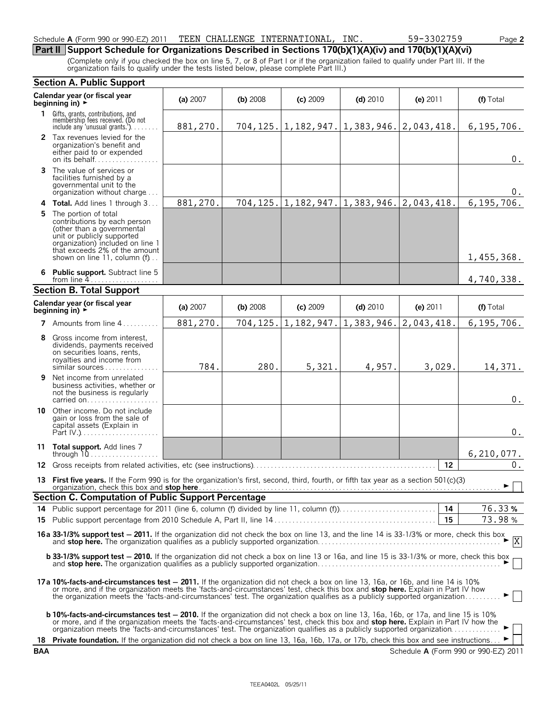## Schedule **A** (Form 990 or 990-EZ) 2011 TEEN CHALLENGE INTERNATIONAL, INC. 59-3302759 Page **2**

# **Part II Support Schedule for Organizations Described in Sections 170(b)(1)(A)(iv) and 170(b)(1)(A)(vi)**

(Complete only if you checked the box on line 5, 7, or 8 of Part I or if the organization failed to qualify under Part III. If the organization fails to qualify under the tests listed below, please complete Part III.)

|     | <b>Section A. Public Support</b>                                                                                                                                                                                                                                                                                                                                                                            |          |          |            |                                                  |            |                                      |
|-----|-------------------------------------------------------------------------------------------------------------------------------------------------------------------------------------------------------------------------------------------------------------------------------------------------------------------------------------------------------------------------------------------------------------|----------|----------|------------|--------------------------------------------------|------------|--------------------------------------|
|     | Calendar year (or fiscal year<br>beginning in) $\rightarrow$                                                                                                                                                                                                                                                                                                                                                | (a) 2007 | (b) 2008 | $(c)$ 2009 | $(d)$ 2010                                       | (e) 2011   | (f) Total                            |
|     | <b>1</b> Gifts, grants, contributions, and<br>membership fees received. (Do not<br>include any 'unusual grants.')                                                                                                                                                                                                                                                                                           | 881,270. |          |            | 704, 125. 1, 182, 947. 1, 383, 946. 2, 043, 418. |            | 6,195,706.                           |
|     | 2 Tax revenues levied for the<br>organization's benefit and<br>either paid to or expended<br>on its behalf                                                                                                                                                                                                                                                                                                  |          |          |            |                                                  |            | $0$ .                                |
| 3   | The value of services or<br>facilities furnished by a<br>governmental unit to the<br>organization without charge                                                                                                                                                                                                                                                                                            |          |          |            |                                                  |            | 0.                                   |
| 4   | Total. Add lines 1 through 3                                                                                                                                                                                                                                                                                                                                                                                | 881,270. | 704,125. |            | $1, 182, 947.$ 1, 383, 946.                      | 2,043,418. | 6,195,706.                           |
|     | <b>5</b> The portion of total<br>contributions by each person<br>(other than a governmental<br>unit or publicly supported<br>organization) included on line 1<br>that exceeds 2% of the amount<br>shown on line 11, column (f)                                                                                                                                                                              |          |          |            |                                                  |            | 1,455,368.                           |
| 6   | <b>Public support.</b> Subtract line 5<br>from line $4$                                                                                                                                                                                                                                                                                                                                                     |          |          |            |                                                  |            | 4,740,338.                           |
|     | <b>Section B. Total Support</b>                                                                                                                                                                                                                                                                                                                                                                             |          |          |            |                                                  |            |                                      |
|     | Calendar year (or fiscal year<br>beginning in) $\rightarrow$                                                                                                                                                                                                                                                                                                                                                | (a) 2007 | (b) 2008 | $(c)$ 2009 | $(d)$ 2010                                       | (e) 2011   | (f) Total                            |
|     | 7 Amounts from line 4                                                                                                                                                                                                                                                                                                                                                                                       | 881,270. | 704,125. | 1,182,947. | 1,383,946.                                       | 2,043,418. | 6,195,706.                           |
| 8   | Gross income from interest,<br>dividends, payments received<br>on securities loans, rents,<br>royalties and income from<br>similar sources                                                                                                                                                                                                                                                                  | 784.     | 280.     | 5,321.     | 4,957.                                           | 3,029.     | 14,371.                              |
| 9   | Net income from unrelated<br>business activities, whether or<br>not the business is regularly<br>carried on                                                                                                                                                                                                                                                                                                 |          |          |            |                                                  |            | $0$ .                                |
| 10  | Other income. Do not include<br>gain or loss from the sale of<br>capital assets (Explain in<br>Part $IV.$ )                                                                                                                                                                                                                                                                                                 |          |          |            |                                                  |            | $0$ .                                |
|     | 11 Total support. Add lines 7<br>through $10$                                                                                                                                                                                                                                                                                                                                                               |          |          |            |                                                  |            | 6, 210, 077.                         |
| 12  |                                                                                                                                                                                                                                                                                                                                                                                                             |          |          |            |                                                  | 12         | 0.                                   |
|     | 13 First five years. If the Form 990 is for the organization's first, second, third, fourth, or fifth tax year as a section 501(c)(3)<br>organization, check this box and stop here <b>Manual Accept and Construct of the Constantine Construct of the Stop</b>                                                                                                                                             |          |          |            |                                                  |            | ► ∣ ∣                                |
|     | Section C. Computation of Public Support Percentage                                                                                                                                                                                                                                                                                                                                                         |          |          |            |                                                  |            |                                      |
|     |                                                                                                                                                                                                                                                                                                                                                                                                             |          |          |            |                                                  | 14<br>15   | 76.33%                               |
|     |                                                                                                                                                                                                                                                                                                                                                                                                             |          |          |            |                                                  |            | 73.98%                               |
|     | <b>16a 33-1/3% support test - 2011.</b> If the organization did not check the box on line 13, and the line 14 is 33-1/3% or more, check this box and <b>stop here.</b> The organization qualifies as a publicly supported organization.                                                                                                                                                                     |          |          |            |                                                  |            |                                      |
|     | <b>b 33-1/3% support test - 2010.</b> If the organization did not check a box on line 13 or 16a, and line 15 is 33-1/3% or more, check this box                                                                                                                                                                                                                                                             |          |          |            |                                                  |            |                                      |
|     | 17a 10%-facts-and-circumstances test – 2011. If the organization did not check a box on line 13, 16a, or 16b, and line 14 is 10%<br>or more, and if the organization meets the 'facts-and-circumstances' test, check this box and stop here. Explain in Part IV how<br>the organization meets the 'facts-and-circumstances' test. The organization qualifies as a publicly supported organization           |          |          |            |                                                  |            | ►∣∣                                  |
|     | <b>b 10%-facts-and-circumstances test – 2010.</b> If the organization did not check a box on line 13, 16a, 16b, or 17a, and line 15 is 10%<br>or more, and if the organization meets the 'facts-and-circumstances' test, check this box and stop here. Explain in Part IV how the<br>organization meets the 'facts-and-circumstances' test. The organization qualifies as a publicly supported organization |          |          |            |                                                  |            |                                      |
| 18  | <b>Private foundation.</b> If the organization did not check a box on line 13, 16a, 16b, 17a, or 17b, check this box and see instructions                                                                                                                                                                                                                                                                   |          |          |            |                                                  |            |                                      |
| BAA |                                                                                                                                                                                                                                                                                                                                                                                                             |          |          |            |                                                  |            | Schedule A (Form 990 or 990-EZ) 2011 |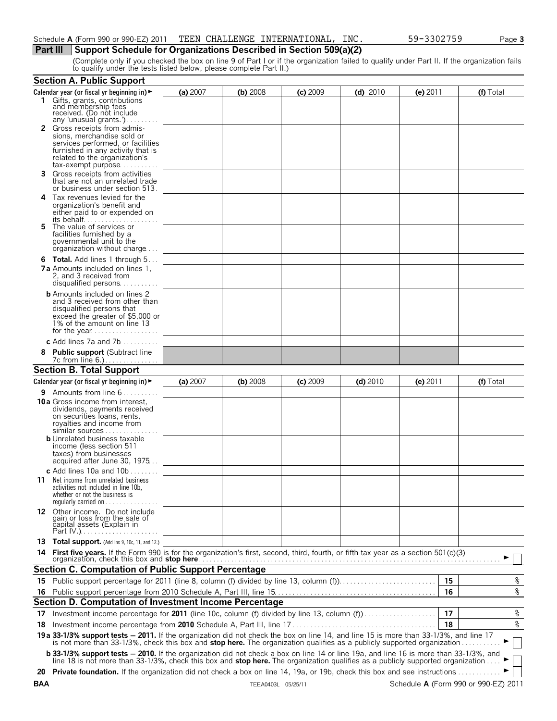# **Part III** Support Schedule for Organizations Described in Section 509(a)(2)

(Complete only if you checked the box on line 9 of Part I or if the organization failed to qualify under Part II. If the organization fails to qualify under the tests listed below, please complete Part II.)

|    | <b>Section A. Public Support</b>                                                                                                                                                                                                                                 |          |            |            |            |            |           |
|----|------------------------------------------------------------------------------------------------------------------------------------------------------------------------------------------------------------------------------------------------------------------|----------|------------|------------|------------|------------|-----------|
|    | Calendar year (or fiscal yr beginning in) $\blacktriangleright$                                                                                                                                                                                                  | (a) 2007 | (b) 2008   | $(c)$ 2009 | $(d)$ 2010 | $(e)$ 2011 | (f) Total |
|    | 1 Gifts, grants, contributions<br>and membership fees<br>received. (Do not include                                                                                                                                                                               |          |            |            |            |            |           |
|    | any 'unusual grants.')<br>2 Gross receipts from admis-                                                                                                                                                                                                           |          |            |            |            |            |           |
|    | sions, merchandise sold or                                                                                                                                                                                                                                       |          |            |            |            |            |           |
|    | services performed, or facilities<br>furnished in any activity that is                                                                                                                                                                                           |          |            |            |            |            |           |
|    | related to the organization's                                                                                                                                                                                                                                    |          |            |            |            |            |           |
| 3. | tax-exempt purpose<br>Gross receipts from activities                                                                                                                                                                                                             |          |            |            |            |            |           |
|    | that are not an unrelated trade<br>or business under section 513.                                                                                                                                                                                                |          |            |            |            |            |           |
|    | 4 Tax revenues levied for the                                                                                                                                                                                                                                    |          |            |            |            |            |           |
|    | organization's benefit and<br>either paid to or expended on                                                                                                                                                                                                      |          |            |            |            |            |           |
| 5. | its behalf<br>The value of services or                                                                                                                                                                                                                           |          |            |            |            |            |           |
|    | facilities furnished by a                                                                                                                                                                                                                                        |          |            |            |            |            |           |
|    | governmental unit to the<br>organization without charge                                                                                                                                                                                                          |          |            |            |            |            |           |
|    | <b>6 Total.</b> Add lines 1 through 5                                                                                                                                                                                                                            |          |            |            |            |            |           |
|    | <b>7a</b> Amounts included on lines 1.                                                                                                                                                                                                                           |          |            |            |            |            |           |
|    | 2, and 3 received from                                                                                                                                                                                                                                           |          |            |            |            |            |           |
|    | disqualified persons                                                                                                                                                                                                                                             |          |            |            |            |            |           |
|    | <b>b</b> Amounts included on lines 2<br>and 3 received from other than                                                                                                                                                                                           |          |            |            |            |            |           |
|    | disqualified persons that                                                                                                                                                                                                                                        |          |            |            |            |            |           |
|    | exceed the greater of \$5,000 or<br>1% of the amount on line 13                                                                                                                                                                                                  |          |            |            |            |            |           |
|    |                                                                                                                                                                                                                                                                  |          |            |            |            |            |           |
|    | c Add lines $7a$ and $7b$                                                                                                                                                                                                                                        |          |            |            |            |            |           |
|    | <b>Public support (Subtract line</b><br>7c from line 6.)                                                                                                                                                                                                         |          |            |            |            |            |           |
|    | <b>Section B. Total Support</b>                                                                                                                                                                                                                                  |          |            |            |            |            |           |
|    | Calendar year (or fiscal yr beginning in) $\blacktriangleright$                                                                                                                                                                                                  | (a) 2007 | $(b)$ 2008 | $(c)$ 2009 | $(d)$ 2010 | (e) $2011$ | (f) Total |
|    | 9 Amounts from line 6                                                                                                                                                                                                                                            |          |            |            |            |            |           |
|    | <b>10 a</b> Gross income from interest,                                                                                                                                                                                                                          |          |            |            |            |            |           |
|    | dividends, payments received<br>on securities loans, rents,                                                                                                                                                                                                      |          |            |            |            |            |           |
|    | royalties and income from                                                                                                                                                                                                                                        |          |            |            |            |            |           |
|    | similar sources<br><b>b</b> Unrelated business taxable                                                                                                                                                                                                           |          |            |            |            |            |           |
|    | income (less section 511                                                                                                                                                                                                                                         |          |            |            |            |            |           |
|    | taxes) from businesses<br>acquired after June 30, 1975                                                                                                                                                                                                           |          |            |            |            |            |           |
|    | c Add lines 10a and $10b$                                                                                                                                                                                                                                        |          |            |            |            |            |           |
|    | <b>11</b> Net income from unrelated business                                                                                                                                                                                                                     |          |            |            |            |            |           |
|    | activities not included in line 10b,                                                                                                                                                                                                                             |          |            |            |            |            |           |
|    | whether or not the business is<br>regularly carried on $\dots\dots\dots$                                                                                                                                                                                         |          |            |            |            |            |           |
|    |                                                                                                                                                                                                                                                                  |          |            |            |            |            |           |
|    | 12 Other income. Do not include<br>gain or loss from the sale of<br>capital assets (Explain in                                                                                                                                                                   |          |            |            |            |            |           |
|    |                                                                                                                                                                                                                                                                  |          |            |            |            |            |           |
|    | 13 Total support. (Add Ins 9, 10c, 11, and 12.)                                                                                                                                                                                                                  |          |            |            |            |            |           |
|    |                                                                                                                                                                                                                                                                  |          |            |            |            |            |           |
|    | <b>Section C. Computation of Public Support Percentage</b>                                                                                                                                                                                                       |          |            |            |            |            |           |
|    |                                                                                                                                                                                                                                                                  |          |            |            |            | 15         | %         |
|    |                                                                                                                                                                                                                                                                  |          |            |            |            | 16         | %         |
|    | Section D. Computation of Investment Income Percentage                                                                                                                                                                                                           |          |            |            |            |            |           |
|    | 17 Investment income percentage for 2011 (line 10c, column (f) divided by line 13, column (f)                                                                                                                                                                    |          |            |            |            | 17         | $\,$ $\,$ |
|    |                                                                                                                                                                                                                                                                  |          |            |            |            | 18         | နွ        |
|    | 19a 33-1/3% support tests - 2011. If the organization did not check the box on line 14, and line 15 is more than 33-1/3%, and line 17<br>is not more than 33-1/3%, check this box and stop here. The organization qualifies as a publicly supported organization |          |            |            |            |            |           |
|    | <b>b 33-1/3% support tests - 2010.</b> If the organization did not check a box on line 14 or line 19a, and line 16 is more than 33-1/3%, and line 18 is not more than 33-1/3%, check this box and <b>stop here.</b> The organization qua                         |          |            |            |            |            |           |
|    |                                                                                                                                                                                                                                                                  |          |            |            |            |            |           |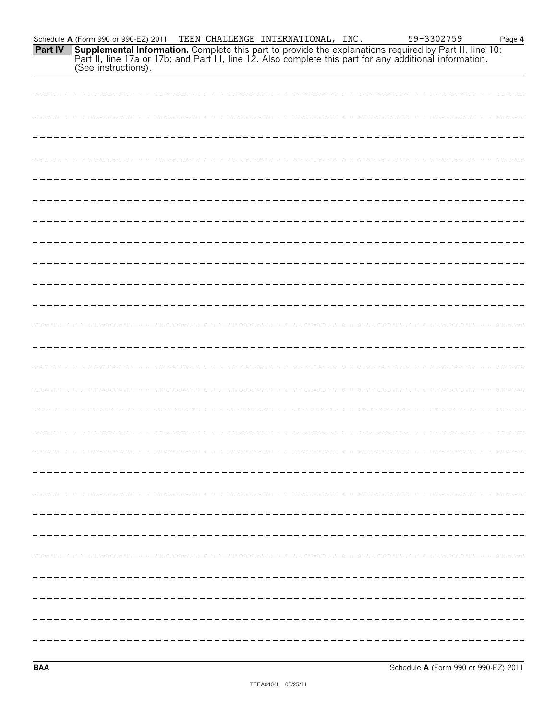| Schedule <b>A</b> (Form 990 or 990-EZ) 2011 TEEN CHALLENGE INTERNATIONAL, INC. |  |  | 59-3302759                                                                                                            | Page 4 |
|--------------------------------------------------------------------------------|--|--|-----------------------------------------------------------------------------------------------------------------------|--------|
|                                                                                |  |  | <b>Part IV</b> Supplemental Information. Complete this part to provide the explanations required by Part II, line 10; |        |
|                                                                                |  |  | Part II, line 17a or 17b; and Part III, line 12. Also complete this part for any additional information.              |        |
| (See instructions).                                                            |  |  |                                                                                                                       |        |

**BAA** Schedule **A** (Form 990 or 990-EZ) 2011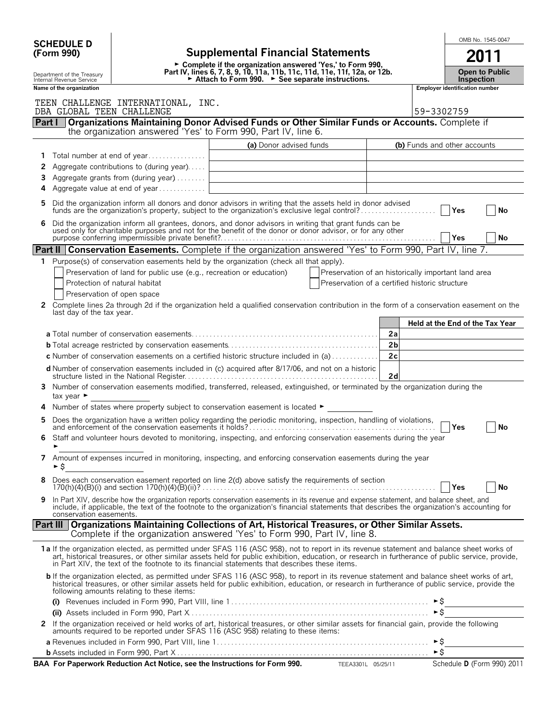|              | <b>SCHEDULE D</b>                                      |                                                                     |                                                                                                                                                                                                                                                                                                                                                                                               |                      |                                 | OMB No. 1545-0047                          |  |    |
|--------------|--------------------------------------------------------|---------------------------------------------------------------------|-----------------------------------------------------------------------------------------------------------------------------------------------------------------------------------------------------------------------------------------------------------------------------------------------------------------------------------------------------------------------------------------------|----------------------|---------------------------------|--------------------------------------------|--|----|
|              | (Form 990)                                             |                                                                     | <b>Supplemental Financial Statements</b>                                                                                                                                                                                                                                                                                                                                                      |                      |                                 | 2011                                       |  |    |
|              | Department of the Treasury<br>Internal Revenue Service |                                                                     | ► Complete if the organization answered 'Yes,' to Form 990,<br>Part IV, lines 6, 7, 8, 9, 10, 11a, 11b, 11c, 11d, 11e, 11f, 12a, or 12b.<br>► Attach to Form 990. ► See separate instructions.                                                                                                                                                                                                |                      |                                 | <b>Open to Public</b><br><b>Inspection</b> |  |    |
|              | Name of the organization                               |                                                                     |                                                                                                                                                                                                                                                                                                                                                                                               |                      |                                 | Employer identification number             |  |    |
|              | DBA GLOBAL TEEN CHALLENGE                              | TEEN CHALLENGE INTERNATIONAL, INC.                                  |                                                                                                                                                                                                                                                                                                                                                                                               | 59-3302759           |                                 |                                            |  |    |
|              | Part                                                   |                                                                     | Organizations Maintaining Donor Advised Funds or Other Similar Funds or Accounts. Complete if<br>the organization answered 'Yes' to Form 990, Part IV, line 6.                                                                                                                                                                                                                                |                      |                                 |                                            |  |    |
|              |                                                        |                                                                     | (a) Donor advised funds                                                                                                                                                                                                                                                                                                                                                                       |                      | (b) Funds and other accounts    |                                            |  |    |
| 1            |                                                        | Total number at end of year                                         |                                                                                                                                                                                                                                                                                                                                                                                               |                      |                                 |                                            |  |    |
| 2            |                                                        | Aggregate contributions to (during year)                            |                                                                                                                                                                                                                                                                                                                                                                                               |                      |                                 |                                            |  |    |
| 3            |                                                        | Aggregate grants from (during year)                                 |                                                                                                                                                                                                                                                                                                                                                                                               |                      |                                 |                                            |  |    |
| 4            |                                                        | Aggregate value at end of year                                      |                                                                                                                                                                                                                                                                                                                                                                                               |                      |                                 |                                            |  |    |
| 5            |                                                        |                                                                     | Did the organization inform all donors and donor advisors in writing that the assets held in donor advised<br>funds are the organization's property, subject to the organization's exclusive legal control?                                                                                                                                                                                   |                      |                                 | <b>PYes</b>                                |  | No |
| 6            |                                                        |                                                                     | Did the organization inform all grantees, donors, and donor advisors in writing that grant funds can be used only for charitable purposes and not for the benefit of the donor or donor advisor, or for any other                                                                                                                                                                             |                      |                                 |                                            |  |    |
|              | Yes                                                    |                                                                     |                                                                                                                                                                                                                                                                                                                                                                                               |                      |                                 |                                            |  | No |
|              |                                                        |                                                                     | Part II Conservation Easements. Complete if the organization answered 'Yes' to Form 990, Part IV, line 7.                                                                                                                                                                                                                                                                                     |                      |                                 |                                            |  |    |
| $\mathbf{1}$ |                                                        |                                                                     | Purpose(s) of conservation easements held by the organization (check all that apply).                                                                                                                                                                                                                                                                                                         |                      |                                 |                                            |  |    |
|              |                                                        | Preservation of land for public use (e.g., recreation or education) | Preservation of an historically important land area                                                                                                                                                                                                                                                                                                                                           |                      |                                 |                                            |  |    |
|              |                                                        | Protection of natural habitat                                       | Preservation of a certified historic structure                                                                                                                                                                                                                                                                                                                                                |                      |                                 |                                            |  |    |
| 2            |                                                        | Preservation of open space                                          | Complete lines 2a through 2d if the organization held a qualified conservation contribution in the form of a conservation easement on the                                                                                                                                                                                                                                                     |                      |                                 |                                            |  |    |
|              | last day of the tax year.                              |                                                                     |                                                                                                                                                                                                                                                                                                                                                                                               |                      |                                 |                                            |  |    |
|              |                                                        |                                                                     |                                                                                                                                                                                                                                                                                                                                                                                               |                      | Held at the End of the Tax Year |                                            |  |    |
|              |                                                        |                                                                     |                                                                                                                                                                                                                                                                                                                                                                                               | 2a                   |                                 |                                            |  |    |
|              |                                                        |                                                                     | <b>c</b> Number of conservation easements on a certified historic structure included in (a)                                                                                                                                                                                                                                                                                                   | 2 <sub>b</sub><br>2c |                                 |                                            |  |    |
|              |                                                        |                                                                     | d Number of conservation easements included in (c) acquired after 8/17/06, and not on a historic                                                                                                                                                                                                                                                                                              |                      |                                 |                                            |  |    |
| 3            |                                                        |                                                                     | Number of conservation easements modified, transferred, released, extinguished, or terminated by the organization during the                                                                                                                                                                                                                                                                  | 2d                   |                                 |                                            |  |    |
|              | tax year $\blacktriangleright$                         |                                                                     |                                                                                                                                                                                                                                                                                                                                                                                               |                      |                                 |                                            |  |    |
| 4            |                                                        |                                                                     | Number of states where property subject to conservation easement is located $\blacktriangleright$                                                                                                                                                                                                                                                                                             |                      |                                 |                                            |  |    |
| 5            |                                                        |                                                                     |                                                                                                                                                                                                                                                                                                                                                                                               |                      |                                 | Yes                                        |  | No |
|              | ٠                                                      |                                                                     | Staff and volunteer hours devoted to monitoring, inspecting, and enforcing conservation easements during the year                                                                                                                                                                                                                                                                             |                      |                                 |                                            |  |    |
| 7            | ► \$                                                   |                                                                     | Amount of expenses incurred in monitoring, inspecting, and enforcing conservation easements during the year                                                                                                                                                                                                                                                                                   |                      |                                 |                                            |  |    |
| 8            |                                                        |                                                                     | Does each conservation easement reported on line 2(d) above satisfy the requirements of section                                                                                                                                                                                                                                                                                               |                      |                                 | Yes                                        |  | No |
| 9            | conservation easements.                                |                                                                     | In Part XIV, describe how the organization reports conservation easements in its revenue and expense statement, and balance sheet, and<br>include, if applicable, the text of the footnote to the organization's financial statements that describes the organization's accounting for                                                                                                        |                      |                                 |                                            |  |    |
|              |                                                        |                                                                     | Part III   Organizations Maintaining Collections of Art, Historical Treasures, or Other Similar Assets.<br>Complete if the organization answered 'Yes' to Form 990, Part IV, line 8.                                                                                                                                                                                                          |                      |                                 |                                            |  |    |
|              |                                                        |                                                                     | 1a If the organization elected, as permitted under SFAS 116 (ASC 958), not to report in its revenue statement and balance sheet works of<br>art, historical treasures, or other similar assets held for public exhibition, education, or research in furtherance of public service, provide,<br>in Part XIV, the text of the footnote to its financial statements that describes these items. |                      |                                 |                                            |  |    |
|              |                                                        | following amounts relating to these items:                          | <b>b</b> If the organization elected, as permitted under SFAS 116 (ASC 958), to report in its revenue statement and balance sheet works of art,<br>historical treasures, or other similar assets held for public exhibition, education, or research in furtherance of public service, provide the                                                                                             |                      |                                 |                                            |  |    |
|              |                                                        |                                                                     |                                                                                                                                                                                                                                                                                                                                                                                               |                      | $\triangleright$ \$             |                                            |  |    |
| $\mathbf{2}$ |                                                        |                                                                     |                                                                                                                                                                                                                                                                                                                                                                                               |                      |                                 |                                            |  |    |
|              |                                                        |                                                                     | If the organization received or held works of art, historical treasures, or other similar assets for financial gain, provide the following amounts required to be reported under SFAS 116 (ASC 958) relating to these items:                                                                                                                                                                  |                      |                                 |                                            |  |    |
|              |                                                        |                                                                     |                                                                                                                                                                                                                                                                                                                                                                                               |                      | \$≁                             |                                            |  |    |
|              |                                                        |                                                                     |                                                                                                                                                                                                                                                                                                                                                                                               |                      | ►Ŝ                              |                                            |  |    |
|              |                                                        |                                                                     | BAA For Paperwork Reduction Act Notice, see the Instructions for Form 990. TEEA3301L 05/25/11                                                                                                                                                                                                                                                                                                 |                      |                                 | Schedule D (Form 990) 2011                 |  |    |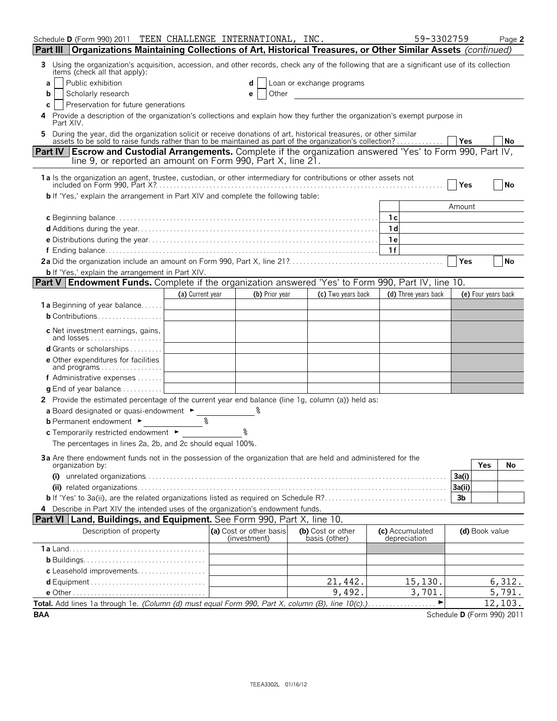| Schedule D (Form 990) 2011 TEEN CHALLENGE INTERNATIONAL, INC.                                                                                                                                                                  |                                                     |                                         |                                             | 59-3302759                      |                            |     | Page 2    |
|--------------------------------------------------------------------------------------------------------------------------------------------------------------------------------------------------------------------------------|-----------------------------------------------------|-----------------------------------------|---------------------------------------------|---------------------------------|----------------------------|-----|-----------|
| Part III   Organizations Maintaining Collections of Art, Historical Treasures, or Other Similar Assets (continued)                                                                                                             |                                                     |                                         |                                             |                                 |                            |     |           |
| Using the organization's acquisition, accession, and other records, check any of the following that are a significant use of its collection items (check all that apply):<br>3                                                 |                                                     |                                         |                                             |                                 |                            |     |           |
| Public exhibition<br>a                                                                                                                                                                                                         |                                                     |                                         | Loan or exchange programs                   |                                 |                            |     |           |
| Scholarly research<br>b                                                                                                                                                                                                        |                                                     | Other<br>е                              | <u> 1980 - Jan Samuel Barbara, martin d</u> |                                 |                            |     |           |
| Preservation for future generations<br>C                                                                                                                                                                                       |                                                     |                                         |                                             |                                 |                            |     |           |
| Provide a description of the organization's collections and explain how they further the organization's exempt purpose in<br>4<br>Part XIV.                                                                                    |                                                     |                                         |                                             |                                 |                            |     |           |
| During the year, did the organization solicit or receive donations of art, historical treasures, or other similar assets to be sold to raise funds rather than to be maintained as part of the organization's collection?<br>5 |                                                     |                                         |                                             |                                 | <b>PYes</b>                |     | No        |
| Part IV   Escrow and Custodial Arrangements. Complete if the organization answered 'Yes' to Form 990, Part IV,<br>line 9, or reported an amount on Form 990, Part X, line 21.                                                  |                                                     |                                         |                                             |                                 |                            |     |           |
| 1a ls the organization an agent, trustee, custodian, or other intermediary for contributions or other assets not                                                                                                               |                                                     |                                         |                                             |                                 | Yes                        |     | No        |
| <b>b</b> If 'Yes,' explain the arrangement in Part XIV and complete the following table:                                                                                                                                       |                                                     |                                         |                                             |                                 |                            |     |           |
|                                                                                                                                                                                                                                |                                                     |                                         |                                             |                                 | Amount                     |     |           |
|                                                                                                                                                                                                                                |                                                     |                                         |                                             | 1c                              |                            |     |           |
|                                                                                                                                                                                                                                |                                                     |                                         |                                             | 1 <sub>d</sub>                  |                            |     |           |
|                                                                                                                                                                                                                                |                                                     |                                         |                                             | 1e<br>1f                        |                            |     |           |
|                                                                                                                                                                                                                                |                                                     |                                         |                                             |                                 | <b>Yes</b>                 |     | <b>No</b> |
| <b>b</b> If 'Yes,' explain the arrangement in Part XIV.                                                                                                                                                                        |                                                     |                                         |                                             |                                 |                            |     |           |
| Part V   Endowment Funds. Complete if the organization answered 'Yes' to Form 990, Part IV, line 10.                                                                                                                           |                                                     |                                         |                                             |                                 |                            |     |           |
|                                                                                                                                                                                                                                | (a) Current year                                    | (b) Prior year                          | (c) Two years back                          | (d) Three years back            | (e) Four years back        |     |           |
| 1a Beginning of year balance                                                                                                                                                                                                   | the contract of the contract of the contract of the |                                         |                                             |                                 |                            |     |           |
| <b>b</b> Contributions $\ldots \ldots \ldots \ldots \ldots$                                                                                                                                                                    |                                                     |                                         |                                             |                                 |                            |     |           |
| c Net investment earnings, gains,                                                                                                                                                                                              |                                                     |                                         |                                             |                                 |                            |     |           |
| <b>d</b> Grants or scholarships $\ldots$                                                                                                                                                                                       |                                                     |                                         |                                             |                                 |                            |     |           |
| <b>e</b> Other expenditures for facilities<br>and programs                                                                                                                                                                     |                                                     |                                         |                                             |                                 |                            |     |           |
| f Administrative expenses                                                                                                                                                                                                      |                                                     |                                         |                                             |                                 |                            |     |           |
| <b>g</b> End of year balance $\ldots \ldots \ldots$                                                                                                                                                                            |                                                     |                                         |                                             |                                 |                            |     |           |
| 2 Provide the estimated percentage of the current year end balance (line 1g, column (a)) held as:                                                                                                                              |                                                     |                                         |                                             |                                 |                            |     |           |
| a Board designated or quasi-endowment ►                                                                                                                                                                                        |                                                     |                                         |                                             |                                 |                            |     |           |
| <b>b</b> Permanent endowment ►                                                                                                                                                                                                 |                                                     |                                         |                                             |                                 |                            |     |           |
| c Temporarily restricted endowment ►                                                                                                                                                                                           |                                                     |                                         |                                             |                                 |                            |     |           |
| The percentages in lines 2a, 2b, and 2c should equal 100%.                                                                                                                                                                     |                                                     |                                         |                                             |                                 |                            |     |           |
| 3a Are there endowment funds not in the possession of the organization that are held and administered for the<br>organization by:                                                                                              |                                                     |                                         |                                             |                                 |                            | Yes | No.       |
|                                                                                                                                                                                                                                |                                                     |                                         |                                             |                                 | 3a(i)                      |     |           |
|                                                                                                                                                                                                                                |                                                     |                                         |                                             |                                 | 3a(ii)                     |     |           |
|                                                                                                                                                                                                                                |                                                     |                                         |                                             |                                 | 3 <sub>b</sub>             |     |           |
| 4 Describe in Part XIV the intended uses of the organization's endowment funds.                                                                                                                                                |                                                     |                                         |                                             |                                 |                            |     |           |
| <b>Part VI   Land, Buildings, and Equipment.</b> See Form 990, Part X, line 10.                                                                                                                                                |                                                     |                                         |                                             |                                 |                            |     |           |
| Description of property                                                                                                                                                                                                        |                                                     | (a) Cost or other basis<br>(investment) | (b) Cost or other<br>basis (other)          | (c) Accumulated<br>depreciation | (d) Book value             |     |           |
|                                                                                                                                                                                                                                |                                                     |                                         |                                             |                                 |                            |     |           |
|                                                                                                                                                                                                                                |                                                     |                                         |                                             |                                 |                            |     |           |
| c Leasehold improvements                                                                                                                                                                                                       |                                                     |                                         |                                             |                                 |                            |     |           |
|                                                                                                                                                                                                                                |                                                     |                                         | 21,442.                                     | 15,130.                         |                            |     | 6,312.    |
|                                                                                                                                                                                                                                |                                                     |                                         | 9,492.                                      | 3,701.                          |                            |     | 5,791.    |
| Total. Add lines 1a through 1e. (Column (d) must equal Form 990, Part X, column (B), line 10(c).)                                                                                                                              |                                                     |                                         |                                             | $\blacktriangleright$           |                            |     | 12,103.   |
| <b>BAA</b>                                                                                                                                                                                                                     |                                                     |                                         |                                             |                                 | Schedule D (Form 990) 2011 |     |           |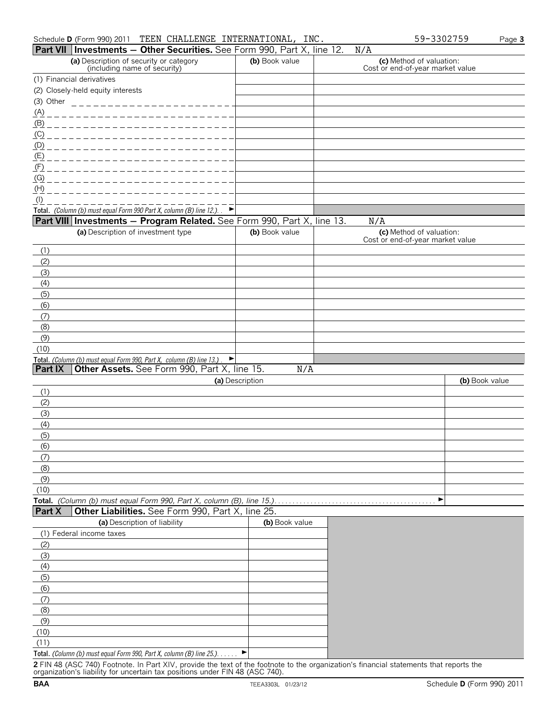|                  | <b>Part VII Investments - Other Securities.</b> See Form 990, Part X, line 12.             |                 |                | N/A                                                          |                |
|------------------|--------------------------------------------------------------------------------------------|-----------------|----------------|--------------------------------------------------------------|----------------|
|                  | (a) Description of security or category<br>(including name of security)                    |                 | (b) Book value | (c) Method of valuation:<br>Cost or end-of-year market value |                |
|                  | (1) Financial derivatives                                                                  |                 |                |                                                              |                |
|                  | (2) Closely-held equity interests                                                          |                 |                |                                                              |                |
| (3) Other        | _______________________                                                                    |                 |                |                                                              |                |
| <u>(A)</u>       | -------------------------                                                                  |                 |                |                                                              |                |
| (B)              | ________________________                                                                   |                 |                |                                                              |                |
| (C)              | ________________________                                                                   |                 |                |                                                              |                |
|                  |                                                                                            |                 |                |                                                              |                |
|                  |                                                                                            |                 |                |                                                              |                |
| (F)              | _______________________                                                                    |                 |                |                                                              |                |
| (G)              | _________________________                                                                  |                 |                |                                                              |                |
| (H)<br>$($ l $)$ |                                                                                            |                 |                |                                                              |                |
|                  | Total. (Column (b) must equal Form 990 Part X, column (B) line 12.). $\blacktriangleright$ |                 |                |                                                              |                |
|                  | Part VIII Investments - Program Related. See Form 990, Part X, line 13.                    |                 |                | N/A                                                          |                |
|                  | (a) Description of investment type                                                         |                 | (b) Book value | (c) Method of valuation:                                     |                |
|                  |                                                                                            |                 |                | Cost or end-of-year market value                             |                |
| (1)              |                                                                                            |                 |                |                                                              |                |
| (2)              |                                                                                            |                 |                |                                                              |                |
| (3)              |                                                                                            |                 |                |                                                              |                |
| (4)              |                                                                                            |                 |                |                                                              |                |
| (5)              |                                                                                            |                 |                |                                                              |                |
| (6)              |                                                                                            |                 |                |                                                              |                |
| (7)              |                                                                                            |                 |                |                                                              |                |
| (8)<br>(9)       |                                                                                            |                 |                |                                                              |                |
| (10)             |                                                                                            |                 |                |                                                              |                |
|                  | Total. (Column (b) must equal Form 990, Part X, column (B) line 13.)                       |                 |                |                                                              |                |
| <b>Part IX</b>   | Other Assets. See Form 990, Part X, line 15.                                               |                 | N/A            |                                                              |                |
|                  |                                                                                            | (a) Description |                |                                                              | (b) Book value |
| (1)              |                                                                                            |                 |                |                                                              |                |
| (2)              |                                                                                            |                 |                |                                                              |                |
| (3)              |                                                                                            |                 |                |                                                              |                |
| (4)              |                                                                                            |                 |                |                                                              |                |
| (5)              |                                                                                            |                 |                |                                                              |                |
| (6)              |                                                                                            |                 |                |                                                              |                |
| (7)              |                                                                                            |                 |                |                                                              |                |
| (8)              |                                                                                            |                 |                |                                                              |                |
| (9)<br>(10)      |                                                                                            |                 |                |                                                              |                |
|                  | Total. (Column (b) must equal Form 990, Part X, column (B), line 15.)                      |                 |                | ▶                                                            |                |
| <b>Part X</b>    | Other Liabilities. See Form 990, Part X, line 25.                                          |                 |                |                                                              |                |
|                  | (a) Description of liability                                                               |                 | (b) Book value |                                                              |                |
|                  | (1) Federal income taxes                                                                   |                 |                |                                                              |                |
| (2)              |                                                                                            |                 |                |                                                              |                |
| (3)              |                                                                                            |                 |                |                                                              |                |
| (4)              |                                                                                            |                 |                |                                                              |                |
| (5)              |                                                                                            |                 |                |                                                              |                |
| (6)              |                                                                                            |                 |                |                                                              |                |
| (7)              |                                                                                            |                 |                |                                                              |                |
| (8)              |                                                                                            |                 |                |                                                              |                |
| (9)              |                                                                                            |                 |                |                                                              |                |
| (10)             |                                                                                            |                 |                |                                                              |                |
| (11)             | Total. (Column (b) must equal Form 990, Part X, column (B) line 25.).                      | ▸               |                |                                                              |                |
|                  |                                                                                            |                 |                |                                                              |                |

**2** FIN 48 (ASC 740) Footnote. In Part XIV, provide the text of the footnote to the organization's financial statements that reports the organization's liability for uncertain tax positions under FIN 48 (ASC 740).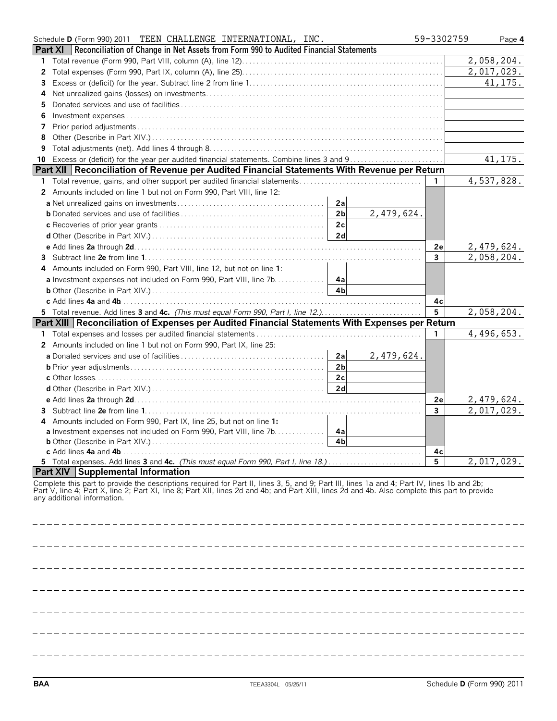| Schedule D (Form 990) 2011 TEEN CHALLENGE INTERNATIONAL, INC.                                                                                                                                                                                                                                                                | 59-3302759   |            | Page 4 |
|------------------------------------------------------------------------------------------------------------------------------------------------------------------------------------------------------------------------------------------------------------------------------------------------------------------------------|--------------|------------|--------|
| Reconciliation of Change in Net Assets from Form 990 to Audited Financial Statements<br><b>Part XI</b>                                                                                                                                                                                                                       |              |            |        |
| 1                                                                                                                                                                                                                                                                                                                            |              | 2,058,204. |        |
| 2                                                                                                                                                                                                                                                                                                                            |              | 2,017,029. |        |
| З                                                                                                                                                                                                                                                                                                                            |              | 41, 175.   |        |
| 4                                                                                                                                                                                                                                                                                                                            |              |            |        |
| 5                                                                                                                                                                                                                                                                                                                            |              |            |        |
| 6                                                                                                                                                                                                                                                                                                                            |              |            |        |
| 7                                                                                                                                                                                                                                                                                                                            |              |            |        |
| 8                                                                                                                                                                                                                                                                                                                            |              |            |        |
| 9                                                                                                                                                                                                                                                                                                                            |              |            |        |
| 10                                                                                                                                                                                                                                                                                                                           |              | 41, 175.   |        |
| Part XII   Reconciliation of Revenue per Audited Financial Statements With Revenue per Return                                                                                                                                                                                                                                |              |            |        |
| 1                                                                                                                                                                                                                                                                                                                            | $\mathbf{1}$ | 4,537,828. |        |
| 2 Amounts included on line 1 but not on Form 990, Part VIII, line 12:                                                                                                                                                                                                                                                        |              |            |        |
| 2a                                                                                                                                                                                                                                                                                                                           |              |            |        |
| 2,479,624.<br>2 <sub>b</sub>                                                                                                                                                                                                                                                                                                 |              |            |        |
| 2c                                                                                                                                                                                                                                                                                                                           |              |            |        |
| 2d                                                                                                                                                                                                                                                                                                                           |              |            |        |
|                                                                                                                                                                                                                                                                                                                              | 2e           | 2,479,624. |        |
| 3                                                                                                                                                                                                                                                                                                                            | 3            | 2,058,204. |        |
| Amounts included on Form 990, Part VIII, line 12, but not on line 1:<br>4                                                                                                                                                                                                                                                    |              |            |        |
| a Investment expenses not included on Form 990, Part VIII, line 7b. 4a                                                                                                                                                                                                                                                       |              |            |        |
| 4bl                                                                                                                                                                                                                                                                                                                          |              |            |        |
|                                                                                                                                                                                                                                                                                                                              | 4с           |            |        |
| 5 Total revenue. Add lines 3 and 4c. (This must equal Form 990, Part I, line 12.)                                                                                                                                                                                                                                            | 5            | 2,058,204. |        |
| Part XIII   Reconciliation of Expenses per Audited Financial Statements With Expenses per Return                                                                                                                                                                                                                             |              |            |        |
|                                                                                                                                                                                                                                                                                                                              | $\mathbf{1}$ | 4,496,653. |        |
| 2 Amounts included on line 1 but not on Form 990, Part IX, line 25:                                                                                                                                                                                                                                                          |              |            |        |
| 2a<br>2,479,624.                                                                                                                                                                                                                                                                                                             |              |            |        |
| 2 <sub>b</sub>                                                                                                                                                                                                                                                                                                               |              |            |        |
| 2c                                                                                                                                                                                                                                                                                                                           |              |            |        |
| 2d                                                                                                                                                                                                                                                                                                                           |              |            |        |
|                                                                                                                                                                                                                                                                                                                              | 2e           | 2,479,624. |        |
| 3                                                                                                                                                                                                                                                                                                                            | 3            | 2,017,029. |        |
| Amounts included on Form 990, Part IX, line 25, but not on line 1:                                                                                                                                                                                                                                                           |              |            |        |
| a Investment expenses not included on Form 990, Part VIII, line 7b.<br>4a                                                                                                                                                                                                                                                    |              |            |        |
| 4 <sub>b</sub>                                                                                                                                                                                                                                                                                                               |              |            |        |
| c Add lines 4a and 4b.                                                                                                                                                                                                                                                                                                       | 4c           |            |        |
| 5 Total expenses. Add lines 3 and 4c. (This must equal Form 990, Part I, line 18.)                                                                                                                                                                                                                                           | 5            | 2,017,029. |        |
| Part XIV Supplemental Information                                                                                                                                                                                                                                                                                            |              |            |        |
| Complete this part to provide the descriptions required for Part II, lines 3, 5, and 9; Part III, lines 1a and 4; Part IV, lines 1b and 2b;<br>Part V, line 4; Part X, line 2; Part XI, line 8; Part XII, lines 2d and 4b; and Part XIII, lines 2d and 4b. Also complete this part to provide<br>any additional information. |              |            |        |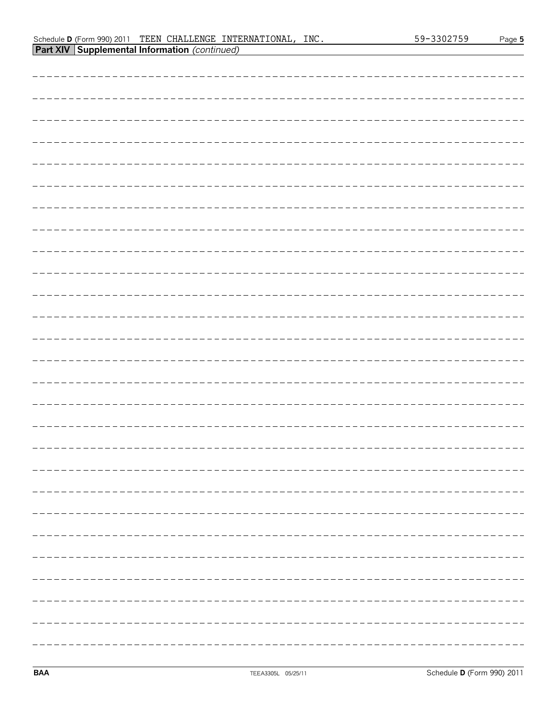## Schedule **D** (Form 990) 2011 Page **5** TEEN CHALLENGE INTERNATIONAL, INC. 59-3302759**Part XIV Supplemental Information** *(continued)*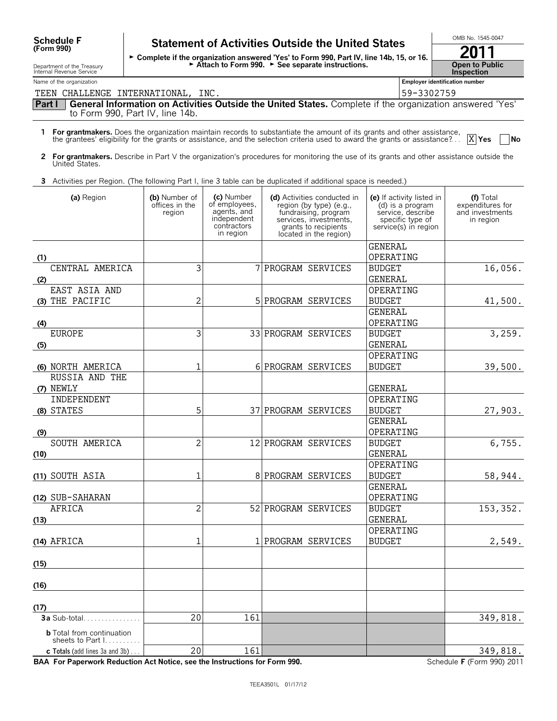# Schedule F Statement of Activities Outside the United States  $\overline{\hspace{1cm}}$ <sup>OMB No. 1545-0047</sup> **SCHECOULE F** Statement of Activities Outside the United States<br>
Form 990) Fart IV, line 14b, 15, or 16.<br>
2011 Attach to Form 990.  $\blacktriangleright$  See separate instructions. Name of the organization **Employer identification number Part I General Information on Activities Outside the United States.** Complete if the organization answered 'Yes' to Form 990, Part IV, line 14b. **1 For grantmakers.** Does the organization maintain records to substantiate the amount of its grants and other assistance, the grantees' eligibility for the grants or assistance, and the selection criteria used to award the grants or assistance?. . . **Yes No** TEEN CHALLENGE INTERNATIONAL, INC.

**2 For grantmakers.** Describe in Part V the organization's procedures for monitoring the use of its grants and other assistance outside the United States.

**3** Activities per Region. (The following Part I, line 3 table can be duplicated if additional space is needed.)

| (a) Region                                                             | (b) Number of<br>offices in the<br>region | (c) Number<br>of employees,<br>agents, and<br>independent<br>contractors<br>in region | (d) Activities conducted in<br>region (by type) (e.g.,<br>fundraising, program<br>services, investments,<br>grants to recipients<br>located in the region) | (e) If activity listed in<br>(d) is a program<br>service, describe<br>specific type of<br>service(s) in region | (f) Total<br>expenditures for<br>and investments<br>in region |
|------------------------------------------------------------------------|-------------------------------------------|---------------------------------------------------------------------------------------|------------------------------------------------------------------------------------------------------------------------------------------------------------|----------------------------------------------------------------------------------------------------------------|---------------------------------------------------------------|
|                                                                        |                                           |                                                                                       |                                                                                                                                                            | <b>GENERAL</b>                                                                                                 |                                                               |
| (1)<br>CENTRAL AMERICA                                                 | 3                                         |                                                                                       |                                                                                                                                                            | OPERATING                                                                                                      |                                                               |
| (2)                                                                    |                                           |                                                                                       | 7 PROGRAM SERVICES                                                                                                                                         | <b>BUDGET</b><br><b>GENERAL</b>                                                                                | 16,056.                                                       |
| EAST ASIA AND                                                          |                                           |                                                                                       |                                                                                                                                                            | OPERATING                                                                                                      |                                                               |
| (3) THE PACIFIC                                                        | $\overline{c}$                            |                                                                                       | 5 PROGRAM SERVICES                                                                                                                                         | <b>BUDGET</b>                                                                                                  | 41,500.                                                       |
|                                                                        |                                           |                                                                                       |                                                                                                                                                            | <b>GENERAL</b>                                                                                                 |                                                               |
| (4)                                                                    |                                           |                                                                                       |                                                                                                                                                            | OPERATING                                                                                                      |                                                               |
| <b>EUROPE</b>                                                          | $\overline{3}$                            |                                                                                       | 33 PROGRAM SERVICES                                                                                                                                        | <b>BUDGET</b>                                                                                                  | 3,259.                                                        |
| (5)                                                                    |                                           |                                                                                       |                                                                                                                                                            | <b>GENERAL</b>                                                                                                 |                                                               |
|                                                                        |                                           |                                                                                       |                                                                                                                                                            | OPERATING                                                                                                      |                                                               |
| (6) NORTH AMERICA                                                      | $\mathbf{1}$                              |                                                                                       | 6 PROGRAM SERVICES                                                                                                                                         | <b>BUDGET</b>                                                                                                  | 39,500.                                                       |
| RUSSIA AND THE                                                         |                                           |                                                                                       |                                                                                                                                                            |                                                                                                                |                                                               |
| (7) NEWLY                                                              |                                           |                                                                                       |                                                                                                                                                            | <b>GENERAL</b>                                                                                                 |                                                               |
| INDEPENDENT                                                            |                                           |                                                                                       |                                                                                                                                                            | OPERATING                                                                                                      |                                                               |
| (8) STATES                                                             | 5 <sup>1</sup>                            |                                                                                       | 37 PROGRAM SERVICES                                                                                                                                        | <b>BUDGET</b>                                                                                                  | 27,903.                                                       |
|                                                                        |                                           |                                                                                       |                                                                                                                                                            | <b>GENERAL</b>                                                                                                 |                                                               |
| (9)                                                                    |                                           |                                                                                       |                                                                                                                                                            | OPERATING                                                                                                      |                                                               |
| SOUTH AMERICA                                                          | $\overline{2}$                            |                                                                                       | 12 PROGRAM SERVICES                                                                                                                                        | <b>BUDGET</b>                                                                                                  | 6,755.                                                        |
| (10)                                                                   |                                           |                                                                                       |                                                                                                                                                            | <b>GENERAL</b>                                                                                                 |                                                               |
|                                                                        |                                           |                                                                                       |                                                                                                                                                            | OPERATING                                                                                                      |                                                               |
| (11) SOUTH ASIA                                                        | $\mathbf{1}$                              |                                                                                       | 8 PROGRAM SERVICES                                                                                                                                         | <b>BUDGET</b>                                                                                                  | 58,944.                                                       |
|                                                                        |                                           |                                                                                       |                                                                                                                                                            | <b>GENERAL</b>                                                                                                 |                                                               |
| (12) SUB-SAHARAN<br><b>AFRICA</b>                                      | $\overline{2}$                            |                                                                                       | 52 PROGRAM SERVICES                                                                                                                                        | OPERATING<br><b>BUDGET</b>                                                                                     | 153, 352.                                                     |
|                                                                        |                                           |                                                                                       |                                                                                                                                                            | <b>GENERAL</b>                                                                                                 |                                                               |
| (13)                                                                   |                                           |                                                                                       |                                                                                                                                                            | OPERATING                                                                                                      |                                                               |
| $(14)$ AFRICA                                                          | $1\,$                                     |                                                                                       | 1 PROGRAM SERVICES                                                                                                                                         | <b>BUDGET</b>                                                                                                  | 2,549.                                                        |
|                                                                        |                                           |                                                                                       |                                                                                                                                                            |                                                                                                                |                                                               |
| (15)                                                                   |                                           |                                                                                       |                                                                                                                                                            |                                                                                                                |                                                               |
|                                                                        |                                           |                                                                                       |                                                                                                                                                            |                                                                                                                |                                                               |
| (16)                                                                   |                                           |                                                                                       |                                                                                                                                                            |                                                                                                                |                                                               |
| (17)                                                                   |                                           |                                                                                       |                                                                                                                                                            |                                                                                                                |                                                               |
| $3a$ Sub-total                                                         | 20                                        | 161                                                                                   |                                                                                                                                                            |                                                                                                                | 349,818.                                                      |
| <b>b</b> Total from continuation<br>sheets to Part $1, \ldots, \ldots$ |                                           |                                                                                       |                                                                                                                                                            |                                                                                                                |                                                               |
| <b>c</b> Totals (add lines $3a$ and $3b$ )                             | 20                                        | 161                                                                                   |                                                                                                                                                            |                                                                                                                | 349,818.                                                      |

**BAA For Paperwork Reduction Act Notice, see the Instructions for Form 990.** Schedule **F** (Form 990) 2011

Department of the Treasury Internal Revenue Service

| <b>Open to Public</b> |
|-----------------------|

**Inspection**

X Yes

| <b>Employer identification</b> |
|--------------------------------|
| 59-3302759                     |

| 59-3302759 |  |
|------------|--|
|            |  |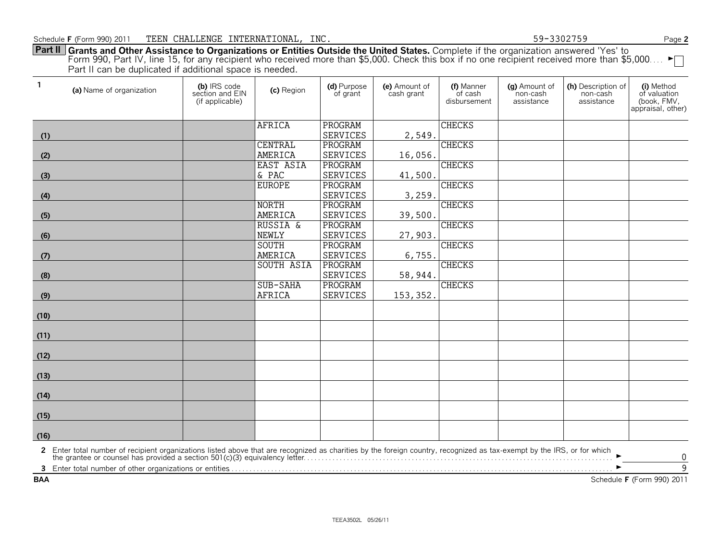**Part II Grants and Other Assistance to Organizations or Entities Outside the United States.** Complete if the organization answered 'Yes' to Form 990, Part IV, line 15, for any recipient who received more than \$5,000. Check this box if no one recipient received more than \$5,000.... ► Part II can be duplicated if additional space is needed.

| $\mathbf{1}$ | (a) Name of organization                                                                                                                                                                                                       | (b) IRS code<br>section and EIN<br>(if applicable) | (c) Region          | (d) Purpose<br>of grant | (e) Amount of<br>cash grant | (f) Manner<br>of cash<br>disbursement | (a) Amount of<br>non-cash<br>assistance | (h) Description of<br>non-cash<br>assistance | (i) Method<br>of valuation<br>(book, FMV,<br>appraisal, other) |
|--------------|--------------------------------------------------------------------------------------------------------------------------------------------------------------------------------------------------------------------------------|----------------------------------------------------|---------------------|-------------------------|-----------------------------|---------------------------------------|-----------------------------------------|----------------------------------------------|----------------------------------------------------------------|
|              |                                                                                                                                                                                                                                |                                                    | <b>AFRICA</b>       | PROGRAM                 |                             | <b>CHECKS</b>                         |                                         |                                              |                                                                |
| (1)          |                                                                                                                                                                                                                                |                                                    |                     | <b>SERVICES</b>         | 2,549.                      |                                       |                                         |                                              |                                                                |
|              |                                                                                                                                                                                                                                |                                                    | <b>CENTRAL</b>      | PROGRAM                 |                             | <b>CHECKS</b>                         |                                         |                                              |                                                                |
| (2)          |                                                                                                                                                                                                                                |                                                    | AMERICA             | <b>SERVICES</b>         | 16,056.                     |                                       |                                         |                                              |                                                                |
|              |                                                                                                                                                                                                                                |                                                    | EAST ASIA           | PROGRAM                 |                             | <b>CHECKS</b>                         |                                         |                                              |                                                                |
| (3)          |                                                                                                                                                                                                                                |                                                    | & PAC               | <b>SERVICES</b>         | 41,500.                     |                                       |                                         |                                              |                                                                |
|              |                                                                                                                                                                                                                                |                                                    | <b>EUROPE</b>       | PROGRAM                 |                             | <b>CHECKS</b>                         |                                         |                                              |                                                                |
| (4)          |                                                                                                                                                                                                                                |                                                    |                     | <b>SERVICES</b>         | 3,259.                      |                                       |                                         |                                              |                                                                |
|              |                                                                                                                                                                                                                                |                                                    | <b>NORTH</b>        | PROGRAM                 |                             | <b>CHECKS</b>                         |                                         |                                              |                                                                |
| (5)          |                                                                                                                                                                                                                                |                                                    | AMERICA             | <b>SERVICES</b>         | 39,500.                     |                                       |                                         |                                              |                                                                |
|              |                                                                                                                                                                                                                                |                                                    | <b>RUSSIA &amp;</b> | PROGRAM                 |                             | <b>CHECKS</b>                         |                                         |                                              |                                                                |
| (6)          |                                                                                                                                                                                                                                |                                                    | <b>NEWLY</b>        | <b>SERVICES</b>         | 27,903.                     |                                       |                                         |                                              |                                                                |
|              |                                                                                                                                                                                                                                |                                                    | SOUTH               | PROGRAM                 |                             | <b>CHECKS</b>                         |                                         |                                              |                                                                |
| (7)          |                                                                                                                                                                                                                                |                                                    | AMERICA             | <b>SERVICES</b>         | 6,755.                      |                                       |                                         |                                              |                                                                |
|              |                                                                                                                                                                                                                                |                                                    | <b>SOUTH ASIA</b>   | PROGRAM                 |                             | <b>CHECKS</b>                         |                                         |                                              |                                                                |
| (8)          |                                                                                                                                                                                                                                |                                                    |                     | <b>SERVICES</b>         | 58,944.                     |                                       |                                         |                                              |                                                                |
|              |                                                                                                                                                                                                                                |                                                    | SUB-SAHA            | PROGRAM                 |                             | <b>CHECKS</b>                         |                                         |                                              |                                                                |
| (9)          |                                                                                                                                                                                                                                |                                                    | <b>AFRICA</b>       | SERVICES                | 153, 352.                   |                                       |                                         |                                              |                                                                |
| (10)         |                                                                                                                                                                                                                                |                                                    |                     |                         |                             |                                       |                                         |                                              |                                                                |
| (11)         |                                                                                                                                                                                                                                |                                                    |                     |                         |                             |                                       |                                         |                                              |                                                                |
| (12)         |                                                                                                                                                                                                                                |                                                    |                     |                         |                             |                                       |                                         |                                              |                                                                |
| (13)         |                                                                                                                                                                                                                                |                                                    |                     |                         |                             |                                       |                                         |                                              |                                                                |
| (14)         |                                                                                                                                                                                                                                |                                                    |                     |                         |                             |                                       |                                         |                                              |                                                                |
| (15)         |                                                                                                                                                                                                                                |                                                    |                     |                         |                             |                                       |                                         |                                              |                                                                |
| (16)         |                                                                                                                                                                                                                                |                                                    |                     |                         |                             |                                       |                                         |                                              |                                                                |
|              | 2 Enter total number of recipient organizations listed above that are recognized as charities by the foreign country, recognized as tax-exempt by the IRS, or for which the grantee or counsel has provided a section 501(c)(3 |                                                    |                     |                         |                             |                                       |                                         |                                              | 0                                                              |
| 3            |                                                                                                                                                                                                                                |                                                    |                     |                         |                             |                                       |                                         |                                              | $\overline{9}$                                                 |
| <b>BAA</b>   |                                                                                                                                                                                                                                |                                                    |                     |                         |                             |                                       |                                         |                                              | Schedule F (Form 990) 2011                                     |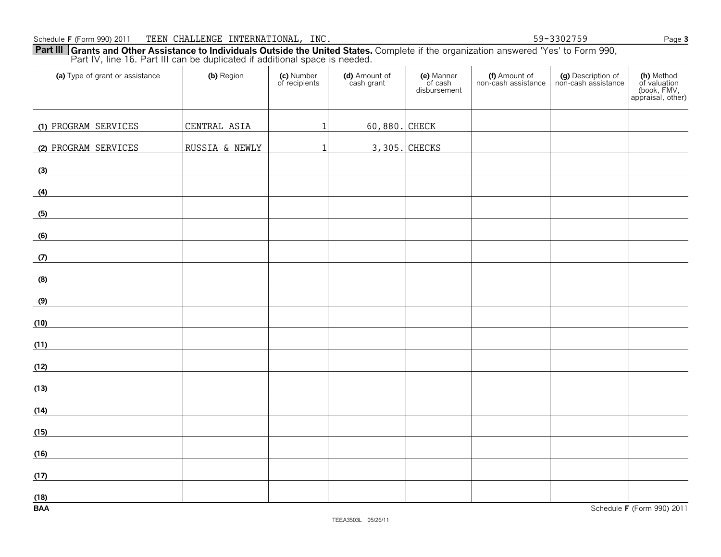Part IV, line 16. Part III can be duplicated if additional space is needed. **(a)** Type of grant or assistance **(b)** Region (c) Number<br>of recipients **(d)** Amount of cash grant **(e)** Manner of cash disbursement **(f)** Amount of non-cash assistance **(g)** Description of non-cash assistance **(h)** Method of valuation (book, FMV, appraisal, other) **(1)** PROGRAM SERVICES CENTRAL ASIA 1 60,880. CHECK **(2)** PROGRAM SERVICES RUSSIA & NEWLY 1 3,305. CHECKS

**Part III** Grants and Other Assistance to Individuals Outside the United States. Complete if the organization answered 'Yes' to Form 990,

| (12) |  |  |  |  |
|------|--|--|--|--|
|      |  |  |  |  |
| (13) |  |  |  |  |
|      |  |  |  |  |
| (14) |  |  |  |  |
|      |  |  |  |  |
| (15) |  |  |  |  |
|      |  |  |  |  |
| (16) |  |  |  |  |
|      |  |  |  |  |
| (17) |  |  |  |  |
|      |  |  |  |  |
| (18) |  |  |  |  |
|      |  |  |  |  |

**(3)**

**(4)**

**(5)**

**(6)**

**(7)**

**(8)**

**(9)**

**(10)**

**(11)**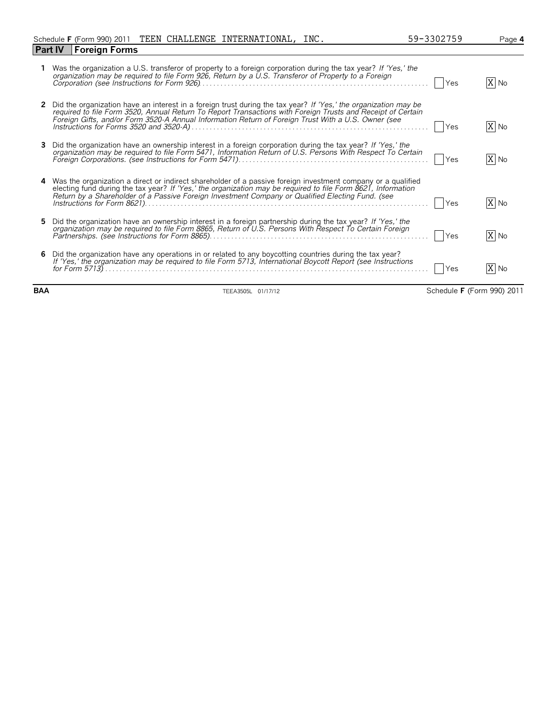| ۷ | ◡ | ॱ∽<br>フ |  |  | . . |  |
|---|---|---------|--|--|-----|--|
|   |   |         |  |  |     |  |
|   |   |         |  |  |     |  |

|    | Was the organization a U.S. transferor of property to a foreign corporation during the tax year? If 'Yes,' the<br>organization may be required to file Form 926, Return by a U.S. Transferor of Property to a Foreign                                                                                                                   | Yes | X No |
|----|-----------------------------------------------------------------------------------------------------------------------------------------------------------------------------------------------------------------------------------------------------------------------------------------------------------------------------------------|-----|------|
|    | 2 Did the organization have an interest in a foreign trust during the tax year? If 'Yes,' the organization may be<br>required to file Form 3520, Annual Return To Report Transactions with Foreign Trusts and Receipt of Certain<br>Foreign Gifts, and/or Form 3520-A Annual Information Return of Foreign Trust With a U.S. Owner (see | Yes | X No |
| 3  | Did the organization have an ownership interest in a foreign corporation during the tax year? If 'Yes,' the<br>organization may be required to file Form 5471, Information Return of U.S. Persons With Respect To Certain                                                                                                               | Yes | X No |
|    | 4 Was the organization a direct or indirect shareholder of a passive foreign investment company or a qualified<br>electing fund during the tax year? If 'Yes,' the organization may be required to file Form 8621, Information<br>Return by a Shareholder of a Passive Foreign Investment Company or Qualified Electing Fund. (see      | Yes | X No |
| 5. | Did the organization have an ownership interest in a foreign partnership during the tax year? If 'Yes,' the<br>organization may be required to file Form 8865, Return of U.S. Persons With Respect To Certain Foreign                                                                                                                   | Yes | X No |
|    | 6 Did the organization have any operations in or related to any boycotting countries during the tax year?<br>If 'Yes,' the organization may be required to file Form 5713, International Boycott Report (see Instructions                                                                                                               | Yes | X No |

**BAA** TEEA3505L 01/17/12 Schedule **F** (Form 990) 2011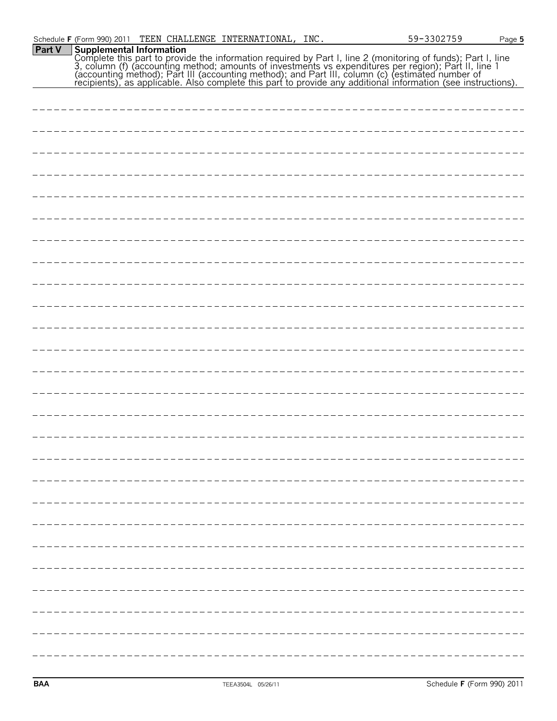|        | Schedule F (Form 990) 2011 |  | TEEN CHALLENGE INTERNATIONAL, INC. |  | 59-3302759                                                                                                                                                                                                                           | Page 5 |
|--------|----------------------------|--|------------------------------------|--|--------------------------------------------------------------------------------------------------------------------------------------------------------------------------------------------------------------------------------------|--------|
| Part V |                            |  |                                    |  | Supplemental Information<br>Complete this part to provide the information required by Part I, line 2 (monitoring of funds); Part I, line<br>3, column (f) (accounting method; amounts of investments vs expenditures per region); Pa |        |
|        |                            |  |                                    |  |                                                                                                                                                                                                                                      |        |
|        |                            |  |                                    |  |                                                                                                                                                                                                                                      |        |
|        |                            |  |                                    |  |                                                                                                                                                                                                                                      |        |
|        |                            |  |                                    |  |                                                                                                                                                                                                                                      |        |
|        |                            |  |                                    |  |                                                                                                                                                                                                                                      |        |
|        |                            |  |                                    |  |                                                                                                                                                                                                                                      |        |
|        |                            |  |                                    |  |                                                                                                                                                                                                                                      |        |
|        |                            |  |                                    |  |                                                                                                                                                                                                                                      |        |
|        |                            |  |                                    |  |                                                                                                                                                                                                                                      |        |
|        |                            |  |                                    |  |                                                                                                                                                                                                                                      |        |
|        |                            |  |                                    |  |                                                                                                                                                                                                                                      |        |
|        |                            |  |                                    |  |                                                                                                                                                                                                                                      |        |
|        |                            |  |                                    |  |                                                                                                                                                                                                                                      |        |
|        |                            |  |                                    |  |                                                                                                                                                                                                                                      |        |
|        |                            |  |                                    |  |                                                                                                                                                                                                                                      |        |
|        |                            |  |                                    |  |                                                                                                                                                                                                                                      |        |
|        |                            |  |                                    |  |                                                                                                                                                                                                                                      |        |
|        |                            |  |                                    |  |                                                                                                                                                                                                                                      |        |
|        |                            |  |                                    |  |                                                                                                                                                                                                                                      |        |
|        |                            |  |                                    |  |                                                                                                                                                                                                                                      |        |
|        |                            |  |                                    |  |                                                                                                                                                                                                                                      |        |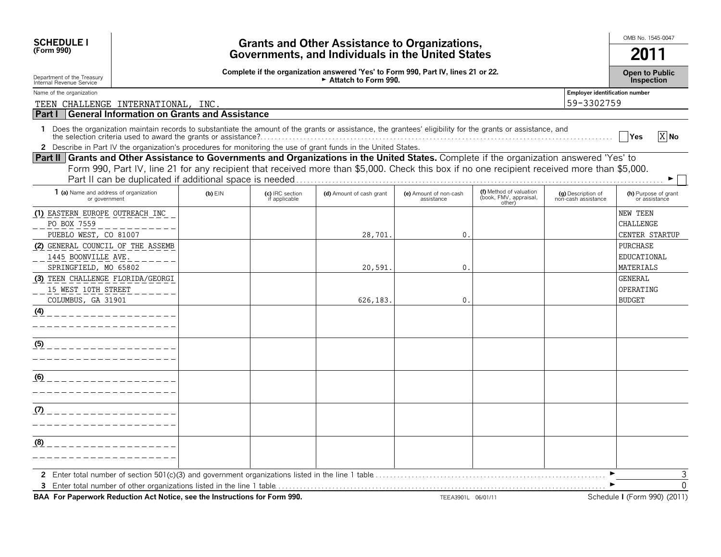| <b>SCHEDULE I</b><br>(Form 990)                                                                                                                                                                                                                                                                                                                       |                                                   |                                  | <b>Grants and Other Assistance to Organizations,</b>                                                      |                                      |                                                             |                                                     | OMB No. 1545-0047<br>2011                      |  |  |  |  |
|-------------------------------------------------------------------------------------------------------------------------------------------------------------------------------------------------------------------------------------------------------------------------------------------------------------------------------------------------------|---------------------------------------------------|----------------------------------|-----------------------------------------------------------------------------------------------------------|--------------------------------------|-------------------------------------------------------------|-----------------------------------------------------|------------------------------------------------|--|--|--|--|
|                                                                                                                                                                                                                                                                                                                                                       | Governments, and Individuals in the United States |                                  |                                                                                                           |                                      |                                                             |                                                     |                                                |  |  |  |  |
| Department of the Treasury<br>Internal Revenue Service                                                                                                                                                                                                                                                                                                |                                                   |                                  | Complete if the organization answered 'Yes' to Form 990, Part IV, lines 21 or 22.<br>Attatch to Form 990. |                                      |                                                             |                                                     | <b>Open to Public</b><br>Inspection            |  |  |  |  |
| Name of the organization<br>TEEN CHALLENGE INTERNATIONAL, INC.                                                                                                                                                                                                                                                                                        |                                                   |                                  |                                                                                                           |                                      |                                                             | <b>Employer identification number</b><br>59-3302759 |                                                |  |  |  |  |
| Part I<br>General Information on Grants and Assistance                                                                                                                                                                                                                                                                                                |                                                   |                                  |                                                                                                           |                                      |                                                             |                                                     |                                                |  |  |  |  |
| 1 Does the organization maintain records to substantiate the amount of the grants or assistance, the grantees' eligibility for the grants or assistance, and                                                                                                                                                                                          |                                                   |                                  |                                                                                                           |                                      |                                                             |                                                     | X No<br><b>Yes</b>                             |  |  |  |  |
| 2 Describe in Part IV the organization's procedures for monitoring the use of grant funds in the United States.                                                                                                                                                                                                                                       |                                                   |                                  |                                                                                                           |                                      |                                                             |                                                     |                                                |  |  |  |  |
| Part II Grants and Other Assistance to Governments and Organizations in the United States. Complete if the organization answered 'Yes' to<br>Form 990, Part IV, line 21 for any recipient that received more than \$5,000. Check this box if no one recipient received more than \$5,000.<br>Part II can be duplicated if additional space is needed. |                                                   |                                  |                                                                                                           |                                      |                                                             |                                                     |                                                |  |  |  |  |
| 1 (a) Name and address of organization<br>or government                                                                                                                                                                                                                                                                                               | $(b)$ EIN                                         | (c) IRC section<br>if applicable | (d) Amount of cash grant                                                                                  | (e) Amount of non-cash<br>assistance | (f) Method of valuation<br>(book, FMV, appraisal,<br>other) | (g) Description of<br>non-cash assistance           | (h) Purpose of grant<br>or assistance          |  |  |  |  |
| (1) EASTERN EUROPE OUTREACH INC<br>PO BOX 7559<br>PUEBLO WEST, CO 81007                                                                                                                                                                                                                                                                               |                                                   |                                  | 28,701                                                                                                    | $\mathbf 0$ .                        |                                                             |                                                     | NEW TEEN<br><b>CHALLENGE</b><br>CENTER STARTUP |  |  |  |  |
| (2) GENERAL COUNCIL OF THE ASSEMB<br>1445 BOONVILLE AVE.<br>SPRINGFIELD, MO 65802                                                                                                                                                                                                                                                                     |                                                   |                                  | 20,591                                                                                                    | 0.                                   |                                                             |                                                     | <b>PURCHASE</b><br>EDUCATIONAL<br>MATERIALS    |  |  |  |  |
| (3) TEEN CHALLENGE FLORIDA/GEORGI<br>15 WEST 10TH STREET<br>COLUMBUS, GA 31901                                                                                                                                                                                                                                                                        |                                                   |                                  | 626,183                                                                                                   | $\mathbf 0$ .                        |                                                             |                                                     | <b>GENERAL</b><br>OPERATING<br><b>BUDGET</b>   |  |  |  |  |
| (4)                                                                                                                                                                                                                                                                                                                                                   |                                                   |                                  |                                                                                                           |                                      |                                                             |                                                     |                                                |  |  |  |  |
| (5)                                                                                                                                                                                                                                                                                                                                                   |                                                   |                                  |                                                                                                           |                                      |                                                             |                                                     |                                                |  |  |  |  |
| (6)                                                                                                                                                                                                                                                                                                                                                   |                                                   |                                  |                                                                                                           |                                      |                                                             |                                                     |                                                |  |  |  |  |
| (7)                                                                                                                                                                                                                                                                                                                                                   |                                                   |                                  |                                                                                                           |                                      |                                                             |                                                     |                                                |  |  |  |  |
| (8)                                                                                                                                                                                                                                                                                                                                                   |                                                   |                                  |                                                                                                           |                                      |                                                             |                                                     |                                                |  |  |  |  |
| BAA For Paperwork Reduction Act Notice, see the Instructions for Form 990.                                                                                                                                                                                                                                                                            |                                                   |                                  |                                                                                                           | TEEA3901L 06/01/11                   |                                                             |                                                     | Schedule I (Form 990) (2011)                   |  |  |  |  |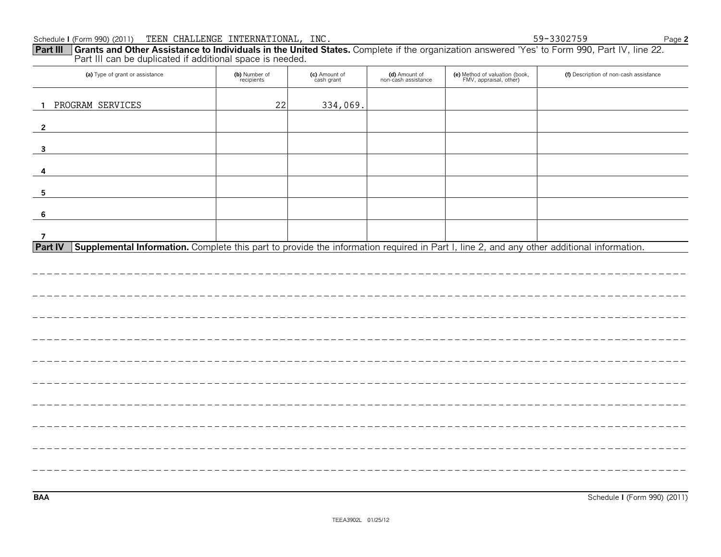### Schedule **I** (Form 990) (2011) Page **2** TEEN CHALLENGE INTERNATIONAL, INC. 59-3302759

| <b>Part III</b> Grants and Other Assistance to Individuals in the United States. Complete if the organization answered 'Yes' to Form 990, Part IV, line 22.<br>Part III can be duplicated if additional space is needed. |                             |                             |                                      |                                                          |                                        |
|--------------------------------------------------------------------------------------------------------------------------------------------------------------------------------------------------------------------------|-----------------------------|-----------------------------|--------------------------------------|----------------------------------------------------------|----------------------------------------|
| (a) Type of grant or assistance                                                                                                                                                                                          | (b) Number of<br>recipients | (c) Amount of<br>cash grant | (d) Amount of<br>non-cash assistance | (e) Method of valuation (book,<br>FMV, appraisal, other) | (f) Description of non-cash assistance |
| PROGRAM SERVICES<br>$\mathbf{1}$                                                                                                                                                                                         | 22                          | 334,069.                    |                                      |                                                          |                                        |
| $\overline{2}$                                                                                                                                                                                                           |                             |                             |                                      |                                                          |                                        |
| $\mathbf{3}$                                                                                                                                                                                                             |                             |                             |                                      |                                                          |                                        |
| 4                                                                                                                                                                                                                        |                             |                             |                                      |                                                          |                                        |
| 5                                                                                                                                                                                                                        |                             |                             |                                      |                                                          |                                        |
| $6\phantom{1}6$                                                                                                                                                                                                          |                             |                             |                                      |                                                          |                                        |
| $\overline{7}$<br>Supplemental Information. Complete this part to provide the information required in Part I, line 2, and any other additional information.<br><b>Part IV</b>                                            |                             |                             |                                      |                                                          |                                        |
|                                                                                                                                                                                                                          |                             |                             |                                      |                                                          |                                        |
|                                                                                                                                                                                                                          |                             |                             |                                      |                                                          |                                        |
|                                                                                                                                                                                                                          |                             |                             |                                      |                                                          |                                        |
|                                                                                                                                                                                                                          |                             |                             |                                      |                                                          |                                        |
|                                                                                                                                                                                                                          |                             |                             |                                      |                                                          |                                        |
|                                                                                                                                                                                                                          |                             |                             |                                      |                                                          |                                        |
|                                                                                                                                                                                                                          |                             |                             |                                      |                                                          |                                        |
|                                                                                                                                                                                                                          |                             |                             |                                      |                                                          |                                        |
|                                                                                                                                                                                                                          |                             |                             |                                      |                                                          |                                        |
|                                                                                                                                                                                                                          |                             |                             |                                      |                                                          |                                        |
|                                                                                                                                                                                                                          |                             |                             |                                      |                                                          |                                        |

**BAA** Schedule **I** (Form 990) (2011)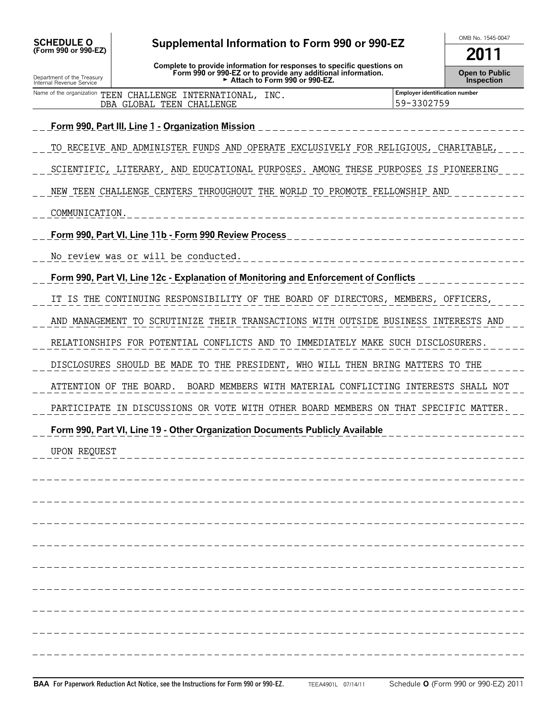| <b>SCHEDULE O</b><br>Supplemental Information to Form 990 or 990-EZ<br>(Form 990 or 990-EZ) |                                                                                                                                                                         | OMB No. 1545-0047<br>2011                    |  |  |
|---------------------------------------------------------------------------------------------|-------------------------------------------------------------------------------------------------------------------------------------------------------------------------|----------------------------------------------|--|--|
| Department of the Treasury<br>Internal Revenue Service                                      | Complete to provide information for responses to specific questions on<br>Form 990 or 990-EZ or to provide any additional information.<br>Attach to Form 990 or 990-EZ. |                                              |  |  |
|                                                                                             | Name of the organization TEEN CHALLENGE INTERNATIONAL, INC.<br>DBA GLOBAL TEEN CHALLENGE                                                                                | Employer identification number<br>59-3302759 |  |  |
|                                                                                             | <u> Form 990, Part III, Line 1 - Organization Mission</u>                                                                                                               |                                              |  |  |
|                                                                                             | TO RECEIVE AND ADMINISTER FUNDS AND OPERATE EXCLUSIVELY FOR RELIGIOUS, CHARITABLE,                                                                                      |                                              |  |  |
|                                                                                             | SCIENTIFIC, LITERARY, AND EDUCATIONAL PURPOSES. AMONG THESE PURPOSES IS PIONEERING                                                                                      |                                              |  |  |
|                                                                                             | NEW TEEN CHALLENGE CENTERS THROUGHOUT THE WORLD TO PROMOTE FELLOWSHIP AND                                                                                               |                                              |  |  |
| COMMUNICATION.                                                                              |                                                                                                                                                                         |                                              |  |  |
|                                                                                             | Form 990, Part VI, Line 11b - Form 990 Review Process                                                                                                                   |                                              |  |  |
|                                                                                             | No review was or will be conducted.                                                                                                                                     |                                              |  |  |
|                                                                                             | Form 990, Part VI, Line 12c - Explanation of Monitoring and Enforcement of Conflicts                                                                                    |                                              |  |  |
|                                                                                             | IT IS THE CONTINUING RESPONSIBILITY OF THE BOARD OF DIRECTORS, MEMBERS, OFFICERS,                                                                                       |                                              |  |  |
|                                                                                             | AND MANAGEMENT TO SCRUTINIZE THEIR TRANSACTIONS WITH OUTSIDE BUSINESS INTERESTS AND                                                                                     |                                              |  |  |
|                                                                                             | RELATIONSHIPS FOR POTENTIAL CONFLICTS AND TO IMMEDIATELY MAKE SUCH DISCLOSURERS.                                                                                        |                                              |  |  |
|                                                                                             | DISCLOSURES SHOULD BE MADE TO THE PRESIDENT, WHO WILL THEN BRING MATTERS TO THE                                                                                         |                                              |  |  |
|                                                                                             | BOARD MEMBERS WITH MATERIAL CONFLICTING INTERESTS SHALL NOT<br>ATTENTION OF THE BOARD.                                                                                  |                                              |  |  |
|                                                                                             | PARTICIPATE IN DISCUSSIONS OR VOTE WITH OTHER BOARD MEMBERS ON THAT SPECIFIC MATTER.                                                                                    |                                              |  |  |
|                                                                                             | Form 990, Part VI, Line 19 - Other Organization Documents Publicly Available                                                                                            |                                              |  |  |
| UPON REQUEST                                                                                |                                                                                                                                                                         |                                              |  |  |
|                                                                                             |                                                                                                                                                                         |                                              |  |  |
|                                                                                             |                                                                                                                                                                         |                                              |  |  |
|                                                                                             |                                                                                                                                                                         |                                              |  |  |
|                                                                                             |                                                                                                                                                                         |                                              |  |  |
|                                                                                             |                                                                                                                                                                         |                                              |  |  |
|                                                                                             |                                                                                                                                                                         |                                              |  |  |
|                                                                                             |                                                                                                                                                                         |                                              |  |  |
|                                                                                             |                                                                                                                                                                         |                                              |  |  |
|                                                                                             |                                                                                                                                                                         |                                              |  |  |
|                                                                                             |                                                                                                                                                                         |                                              |  |  |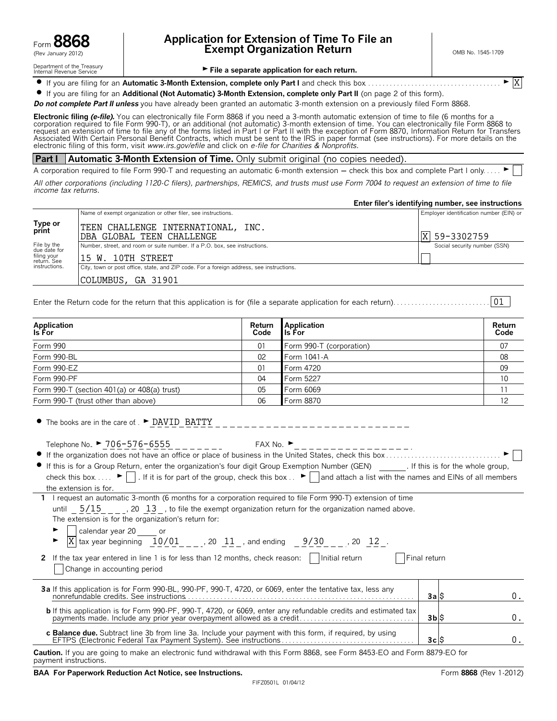

Department of the Treasury<br>Internal Revenue Service

# Form **8868 Application for Extension of Time To File an Exempt Organization Return Exempt Organization Return COMB No. 1545-1709**

X

File a separate application for each return.

? If you are filing for an **Automatic 3-Month Extension, complete only Part I** and check this box. . . . . . . . . . . . . . . . . . . . . . . . . . . . . . . . . . . . . . G

? If you are filing for an **Additional (Not Automatic) 3-Month Extension, complete only Part II** (on page 2 of this form).

**Do not complete Part II unless** you have already been granted an automatic 3-month extension on a previously filed Form 8868.

**Electronic filing** *(e-file).* You can electronically file Form 8868 if you need a 3-month automatic extension of time to file (6 months for a<br>corporation required to file Form 990-T), or an additional (not automatic) 3-m request an extension of time to file any of the forms listed in Part I or Part II with the exception of Form 8870, Information Return for Transfers Associated With Certain Personal Benefit Contracts, which must be sent to the IRS in paper format (see instructions). For more details on the electronic filing of this form, visit *www.irs.gov/efile* and click on *e-file for Charities & Nonprofits.*

#### **Part I Automatic 3-Month Extension of Time.** Only submit original (no copies needed).

A corporation required to file Form 990-T and requesting an automatic 6-month extension - check this box and complete Part I only....

*All other corporations (including 1120-C filers), partnerships, REMICS, and trusts must use Form 7004 to request an extension of time to file income tax returns.*

|                             |                                                                                          | Enter filer's identifying number, see instructions |
|-----------------------------|------------------------------------------------------------------------------------------|----------------------------------------------------|
|                             | Name of exempt organization or other filer, see instructions.                            | Employer identification number (EIN) or            |
| Type or<br>print            | TEEN CHALLENGE INTERNATIONAL, INC.<br>DBA GLOBAL TEEN CHALLENGE                          | X  59-3302759                                      |
| File by the<br>due date for | Number, street, and room or suite number. If a P.O. box, see instructions.               | Social security number (SSN)                       |
| filing your<br>return. See  | 15 W. 10TH STREET                                                                        |                                                    |
| instructions.               | City, town or post office, state, and ZIP code. For a foreign address, see instructions. |                                                    |
|                             | COLUMBUS, GA 31901                                                                       |                                                    |

Enter the Return code for the return that this application is for (file a separate application for each return). . . . . . . . . . . . . . . . . . . . . . . . . . . 01

| <b>Application</b><br><b>Is For</b>         | Return<br>Code | <b>Application</b><br>lls For i | Return<br>Code |
|---------------------------------------------|----------------|---------------------------------|----------------|
| Form 990                                    | 01             | Form 990-T (corporation)        | 07             |
| Form 990-BL                                 | 02             | Form 1041-A                     | 08             |
| Form 990-EZ                                 | 01             | Form 4720                       | 09             |
| Form 990-PF                                 | 04             | Form 5227                       | 10             |
| Form 990-T (section 401(a) or 408(a) trust) | 05             | Form 6069                       |                |
| Form 990-T (trust other than above)         | 06             | Form 8870                       | 12             |

• The books are in the care of . • DAVID BATTY

 $1$  request an automatic  $3$ -month (6 months for a corporation required to file Form 990-T) extension of time

| Telephone No. ► 706-576-6555 | FAX No. ' |
|------------------------------|-----------|
|                              |           |

| If this is for a Group Return, enter the organization's four digit Group Exemption Number (GEN)                                                                          | . If this is for the whole group, |
|--------------------------------------------------------------------------------------------------------------------------------------------------------------------------|-----------------------------------|
| check this box $\blacktriangleright$   . If it is for part of the group, check this box $\blacktriangleright$   and attach a list with the names and EINs of all members |                                   |
| the extension is for.                                                                                                                                                    |                                   |

| T Trequest an automatic 3-month to months for a corporation required to the Form 990-1) extension of time                                                                                 |
|-------------------------------------------------------------------------------------------------------------------------------------------------------------------------------------------|
| until $5/15$ , 20 13, to file the exempt organization return for the organization named above.                                                                                            |
| The extension is for the organization's return for:                                                                                                                                       |
|                                                                                                                                                                                           |
| ► $\boxed{\phantom{0}^\bullet \phantom{\Big }}$ calendar year 20 _____ or<br>► $\boxed{\phantom{\Big }}$ x   tax year beginning $\phantom{\Big }10/01$ , 20 11 , and ending 9/30 , 20 12. |
| 2 If the tax year entered in line 1 is for less than 12 months, check reason:    Initial return<br>Final return                                                                           |

Change in accounting period

| 3a If this application is for Form 990-BL, 990-PF, 990-T, 4720, or 6069, enter the tentative tax, less any | 3a S  |  |
|------------------------------------------------------------------------------------------------------------|-------|--|
|                                                                                                            | 3bl\$ |  |

| c Balance due. Subtract line 3b from line 3a. Include your payment with this form, if required, by using |  |
|----------------------------------------------------------------------------------------------------------|--|
|                                                                                                          |  |
|                                                                                                          |  |

**Caution.** If you are going to make an electronic fund withdrawal with this Form 8868, see Form 8453-EO and Form 8879-EO for payment instructions.

#### **BAA For Paperwork Reduction Act Notice, see Instructions.** The set of the set of the set of the Same Second Promotion and The Second Promotion and The Second Promotion and The Second Promotion and The Second Promotion and

 $\boldsymbol{0}$  .